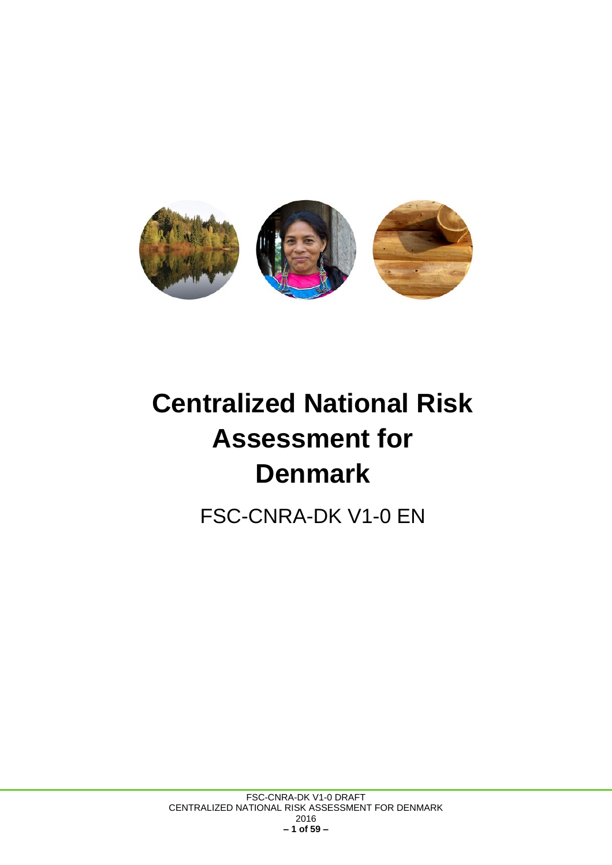

# **Centralized National Risk Assessment for Denmark**

FSC-CNRA-DK V1-0 EN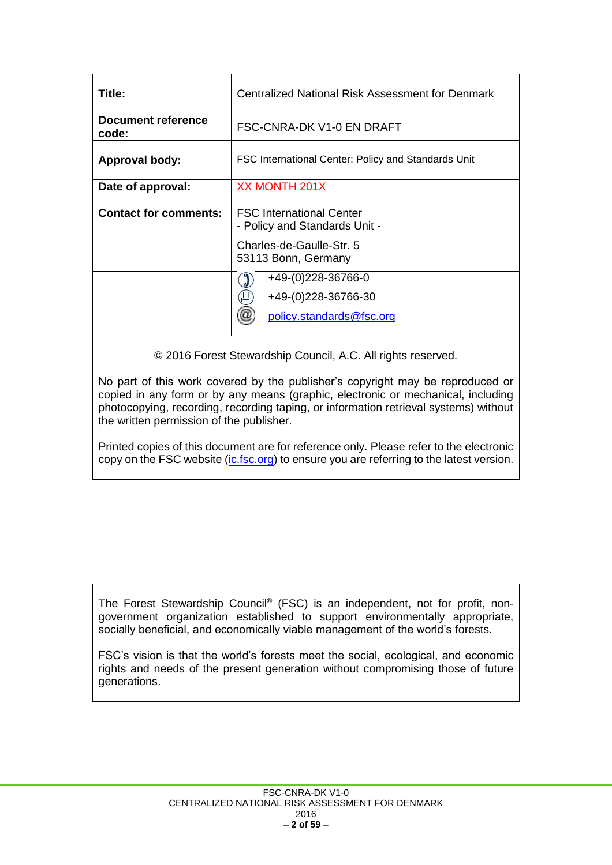| Title:                             | Centralized National Risk Assessment for Denmark                 |  |  |
|------------------------------------|------------------------------------------------------------------|--|--|
| <b>Document reference</b><br>code: | FSC-CNRA-DK V1-0 EN DRAFT                                        |  |  |
| Approval body:                     | FSC International Center: Policy and Standards Unit              |  |  |
| Date of approval:                  | <b>XX MONTH 201X</b>                                             |  |  |
| <b>Contact for comments:</b>       | <b>FSC International Center</b><br>- Policy and Standards Unit - |  |  |
|                                    | Charles-de-Gaulle-Str. 5<br>53113 Bonn, Germany                  |  |  |
|                                    | +49-(0)228-36766-0                                               |  |  |
|                                    | 昌<br>+49-(0)228-36766-30                                         |  |  |
|                                    | $^{\textregistered}$<br>policy.standards@fsc.org                 |  |  |

© 2016 Forest Stewardship Council, A.C. All rights reserved.

No part of this work covered by the publisher's copyright may be reproduced or copied in any form or by any means (graphic, electronic or mechanical, including photocopying, recording, recording taping, or information retrieval systems) without the written permission of the publisher.

Printed copies of this document are for reference only. Please refer to the electronic copy on the FSC website [\(ic.fsc.org\)](file://///fscsrv1/publico/PSU/FSC%20International%20docs/Standards/FSC-STD-40-005%20Company%20requirements%20for%20controlled%20wood/Version%203%20(in%20development)/D%203-0/ic.fsc.org) to ensure you are referring to the latest version.

The Forest Stewardship Council® (FSC) is an independent, not for profit, nongovernment organization established to support environmentally appropriate, socially beneficial, and economically viable management of the world's forests.

FSC's vision is that the world's forests meet the social, ecological, and economic rights and needs of the present generation without compromising those of future generations.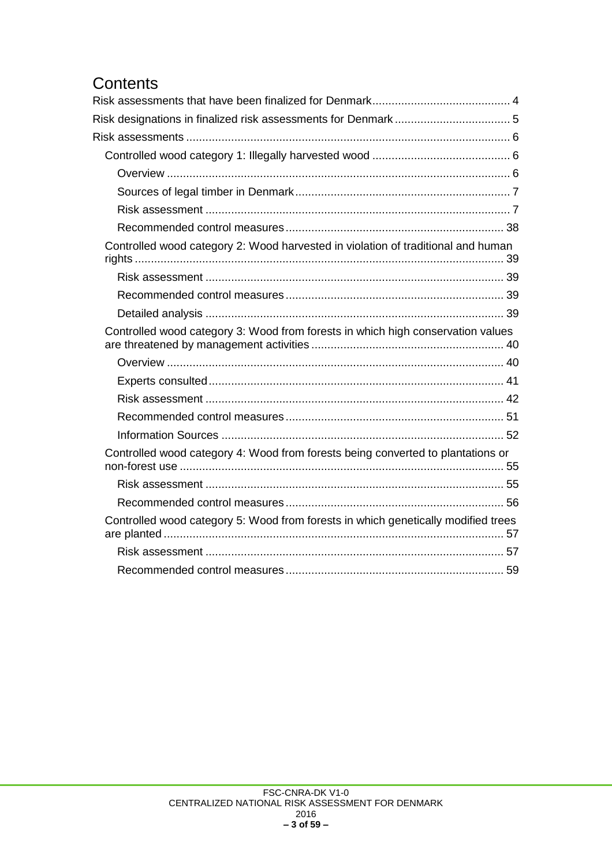# **Contents**<br>Risk assessm

| Controlled wood category 2: Wood harvested in violation of traditional and human  |  |
|-----------------------------------------------------------------------------------|--|
|                                                                                   |  |
|                                                                                   |  |
|                                                                                   |  |
| Controlled wood category 3: Wood from forests in which high conservation values   |  |
|                                                                                   |  |
|                                                                                   |  |
|                                                                                   |  |
|                                                                                   |  |
|                                                                                   |  |
| Controlled wood category 4: Wood from forests being converted to plantations or   |  |
|                                                                                   |  |
|                                                                                   |  |
| Controlled wood category 5: Wood from forests in which genetically modified trees |  |
|                                                                                   |  |
|                                                                                   |  |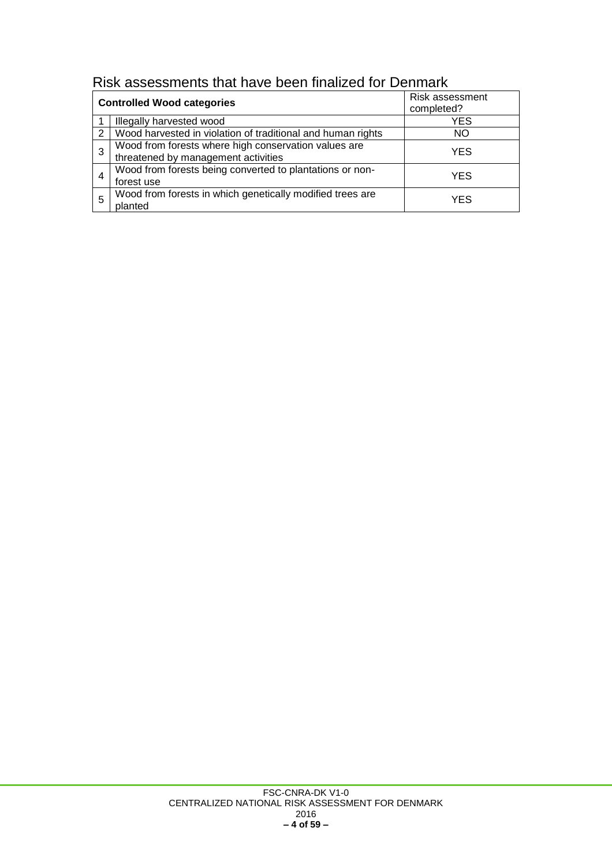<span id="page-3-0"></span>

| Risk assessments that have been finalized for Denmark |
|-------------------------------------------------------|
|-------------------------------------------------------|

|               | <b>Controlled Wood categories</b>                                                           | Risk assessment<br>completed? |
|---------------|---------------------------------------------------------------------------------------------|-------------------------------|
|               | Illegally harvested wood                                                                    | <b>YES</b>                    |
| $\mathcal{P}$ | Wood harvested in violation of traditional and human rights                                 | NO.                           |
| 3             | Wood from forests where high conservation values are<br>threatened by management activities | <b>YES</b>                    |
| 4             | Wood from forests being converted to plantations or non-<br>forest use                      | YES                           |
| 5             | Wood from forests in which genetically modified trees are<br>planted                        | YFS                           |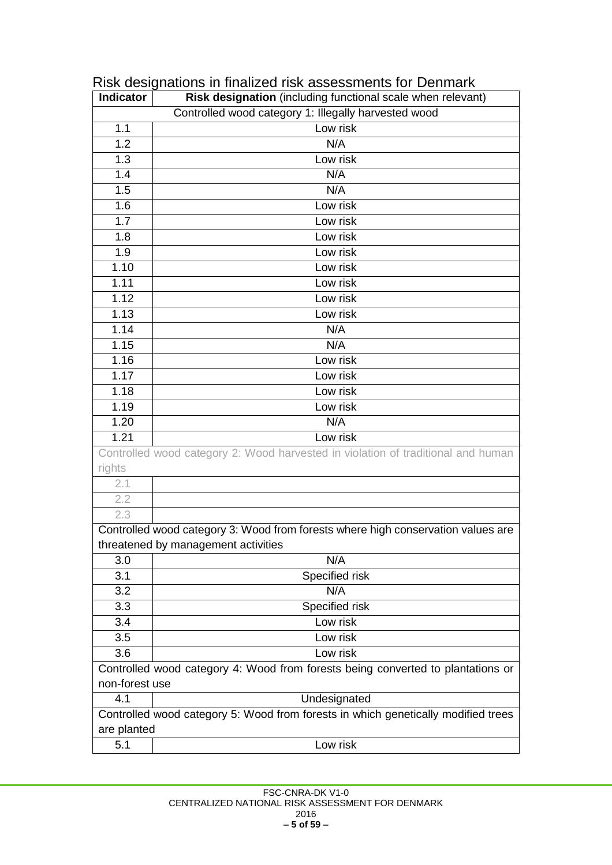| <b>Indicator</b>  | Risk designation (including functional scale when relevant)                       |  |  |
|-------------------|-----------------------------------------------------------------------------------|--|--|
|                   | Controlled wood category 1: Illegally harvested wood                              |  |  |
| 1.1               | Low risk                                                                          |  |  |
| 1.2               | N/A                                                                               |  |  |
| 1.3               | Low risk                                                                          |  |  |
| 1.4               | N/A                                                                               |  |  |
| 1.5               | N/A                                                                               |  |  |
| 1.6               | Low risk                                                                          |  |  |
| 1.7               | Low risk                                                                          |  |  |
| 1.8               | Low risk                                                                          |  |  |
| 1.9               | Low risk                                                                          |  |  |
| 1.10              | Low risk                                                                          |  |  |
| $\overline{1.11}$ | Low risk                                                                          |  |  |
| 1.12              | Low risk                                                                          |  |  |
| 1.13              | Low risk                                                                          |  |  |
| 1.14              | N/A                                                                               |  |  |
| 1.15              | N/A                                                                               |  |  |
| 1.16              | Low risk                                                                          |  |  |
| $\overline{1.17}$ | Low risk                                                                          |  |  |
| 1.18              | Low risk                                                                          |  |  |
| 1.19              | Low risk                                                                          |  |  |
| 1.20              | N/A                                                                               |  |  |
| 1.21              | Low risk                                                                          |  |  |
|                   | Controlled wood category 2: Wood harvested in violation of traditional and human  |  |  |
| rights            |                                                                                   |  |  |
| 2.1               |                                                                                   |  |  |
| 2.2               |                                                                                   |  |  |
| 2.3               |                                                                                   |  |  |
|                   | Controlled wood category 3: Wood from forests where high conservation values are  |  |  |
|                   | threatened by management activities                                               |  |  |
| 3.0               | N/A                                                                               |  |  |
| 3.1               | Specified risk                                                                    |  |  |
| 3.2               | N/A                                                                               |  |  |
| 3.3               | Specified risk                                                                    |  |  |
| 3.4               | Low risk                                                                          |  |  |
| 3.5               | Low risk                                                                          |  |  |
| 3.6               | Low risk                                                                          |  |  |
|                   | Controlled wood category 4: Wood from forests being converted to plantations or   |  |  |
| non-forest use    |                                                                                   |  |  |
| 4.1               | Undesignated                                                                      |  |  |
|                   | Controlled wood category 5: Wood from forests in which genetically modified trees |  |  |
| are planted       |                                                                                   |  |  |
| 5.1               | Low risk                                                                          |  |  |

# <span id="page-4-0"></span>Risk designations in finalized risk assessments for Denmark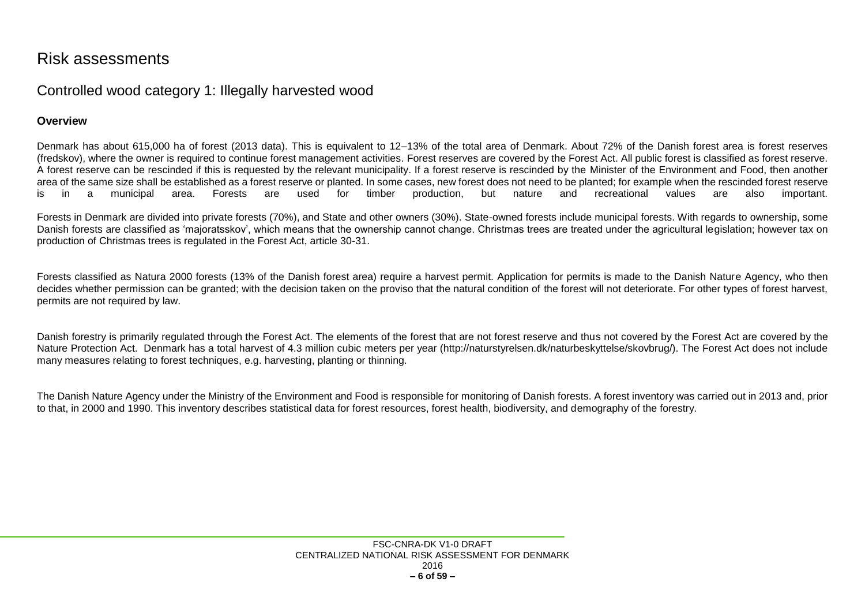## Risk assessments

### Controlled wood category 1: Illegally harvested wood

#### **Overview**

Denmark has about 615,000 ha of forest (2013 data). This is equivalent to 12–13% of the total area of Denmark. About 72% of the Danish forest area is forest reserves (fredskov), where the owner is required to continue forest management activities. Forest reserves are covered by the Forest Act. All public forest is classified as forest reserve. A forest reserve can be rescinded if this is requested by the relevant municipality. If a forest reserve is rescinded by the Minister of the Environment and Food, then another area of the same size shall be established as a forest reserve or planted. In some cases, new forest does not need to be planted; for example when the rescinded forest reserve is in a municipal area. Forests are used for timber production, but nature and recreational values are also important.

Forests in Denmark are divided into private forests (70%), and State and other owners (30%). State-owned forests include municipal forests. With regards to ownership, some Danish forests are classified as 'majoratsskov', which means that the ownership cannot change. Christmas trees are treated under the agricultural legislation; however tax on production of Christmas trees is regulated in the Forest Act, article 30-31.

<span id="page-5-0"></span>Forests classified as Natura 2000 forests (13% of the Danish forest area) require a harvest permit. Application for permits is made to the Danish Nature Agency, who then decides whether permission can be granted; with the decision taken on the proviso that the natural condition of the forest will not deteriorate. For other types of forest harvest, permits are not required by law.

<span id="page-5-1"></span>Danish forestry is primarily regulated through the Forest Act. The elements of the forest that are not forest reserve and thus not covered by the Forest Act are covered by the Nature Protection Act. Denmark has a total harvest of 4.3 million cubic meters per year (http://naturstyrelsen.dk/naturbeskyttelse/skovbrug/). The Forest Act does not include many measures relating to forest techniques, e.g. harvesting, planting or thinning.

<span id="page-5-2"></span>The Danish Nature Agency under the Ministry of the Environment and Food is responsible for monitoring of Danish forests. A forest inventory was carried out in 2013 and, prior to that, in 2000 and 1990. This inventory describes statistical data for forest resources, forest health, biodiversity, and demography of the forestry.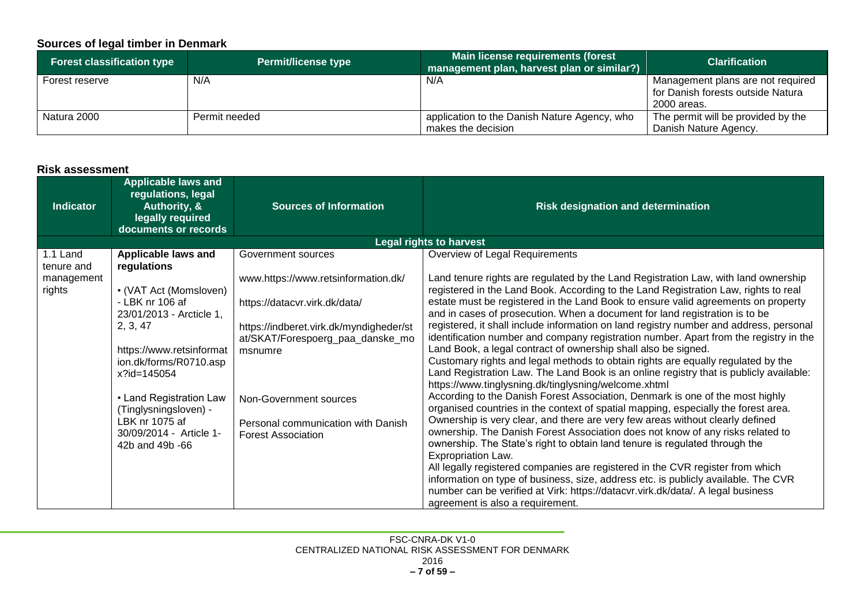#### **Sources of legal timber in Denmark**

| <b>Forest classification type</b> | <b>Permit/license type</b> | Main license requirements (forest<br>management plan, harvest plan or similar?) | <b>Clarification</b>               |
|-----------------------------------|----------------------------|---------------------------------------------------------------------------------|------------------------------------|
| Forest reserve                    | N/A                        | N/A                                                                             | Management plans are not required  |
|                                   |                            |                                                                                 | for Danish forests outside Natura  |
|                                   |                            |                                                                                 | 2000 areas.                        |
| Natura 2000                       | Permit needed              | application to the Danish Nature Agency, who                                    | The permit will be provided by the |
|                                   |                            | makes the decision                                                              | Danish Nature Agency.              |

#### **Risk assessment**

<span id="page-6-1"></span><span id="page-6-0"></span>

| <b>Indicator</b>       | <b>Applicable laws and</b><br>regulations, legal<br>Authority, &<br>legally required<br>documents or records                                                                                                                                                                              | <b>Sources of Information</b>                                                                                                                                                                                                                               | <b>Risk designation and determination</b>                                                                                                                                                                                                                                                                                                                                                                                                                                                                                                                                                                                                                                                                                                                                                                                                                                                                                                                                                                                                                                                                                                                                                                                                                                                                                                                                                                                                                                                                                                          |
|------------------------|-------------------------------------------------------------------------------------------------------------------------------------------------------------------------------------------------------------------------------------------------------------------------------------------|-------------------------------------------------------------------------------------------------------------------------------------------------------------------------------------------------------------------------------------------------------------|----------------------------------------------------------------------------------------------------------------------------------------------------------------------------------------------------------------------------------------------------------------------------------------------------------------------------------------------------------------------------------------------------------------------------------------------------------------------------------------------------------------------------------------------------------------------------------------------------------------------------------------------------------------------------------------------------------------------------------------------------------------------------------------------------------------------------------------------------------------------------------------------------------------------------------------------------------------------------------------------------------------------------------------------------------------------------------------------------------------------------------------------------------------------------------------------------------------------------------------------------------------------------------------------------------------------------------------------------------------------------------------------------------------------------------------------------------------------------------------------------------------------------------------------------|
|                        |                                                                                                                                                                                                                                                                                           |                                                                                                                                                                                                                                                             | <b>Legal rights to harvest</b>                                                                                                                                                                                                                                                                                                                                                                                                                                                                                                                                                                                                                                                                                                                                                                                                                                                                                                                                                                                                                                                                                                                                                                                                                                                                                                                                                                                                                                                                                                                     |
| 1.1 Land<br>tenure and | Applicable laws and                                                                                                                                                                                                                                                                       | Government sources                                                                                                                                                                                                                                          | Overview of Legal Requirements                                                                                                                                                                                                                                                                                                                                                                                                                                                                                                                                                                                                                                                                                                                                                                                                                                                                                                                                                                                                                                                                                                                                                                                                                                                                                                                                                                                                                                                                                                                     |
| management<br>rights   | regulations<br>• (VAT Act (Momsloven)<br>- LBK nr 106 af<br>23/01/2013 - Arcticle 1,<br>2, 3, 47<br>https://www.retsinformat<br>ion.dk/forms/R0710.asp<br>x?id=145054<br>• Land Registration Law<br>(Tinglysningsloven) -<br>LBK nr 1075 af<br>30/09/2014 - Article 1-<br>42b and 49b -66 | www.https://www.retsinformation.dk/<br>https://datacvr.virk.dk/data/<br>https://indberet.virk.dk/myndigheder/st<br>at/SKAT/Forespoerg_paa_danske_mo<br>msnumre<br>Non-Government sources<br>Personal communication with Danish<br><b>Forest Association</b> | Land tenure rights are regulated by the Land Registration Law, with land ownership<br>registered in the Land Book. According to the Land Registration Law, rights to real<br>estate must be registered in the Land Book to ensure valid agreements on property<br>and in cases of prosecution. When a document for land registration is to be<br>registered, it shall include information on land registry number and address, personal<br>identification number and company registration number. Apart from the registry in the<br>Land Book, a legal contract of ownership shall also be signed.<br>Customary rights and legal methods to obtain rights are equally regulated by the<br>Land Registration Law. The Land Book is an online registry that is publicly available:<br>https://www.tinglysning.dk/tinglysning/welcome.xhtml<br>According to the Danish Forest Association, Denmark is one of the most highly<br>organised countries in the context of spatial mapping, especially the forest area.<br>Ownership is very clear, and there are very few areas without clearly defined<br>ownership. The Danish Forest Association does not know of any risks related to<br>ownership. The State's right to obtain land tenure is regulated through the<br>Expropriation Law.<br>All legally registered companies are registered in the CVR register from which<br>information on type of business, size, address etc. is publicly available. The CVR<br>number can be verified at Virk: https://datacvr.virk.dk/data/. A legal business |
|                        |                                                                                                                                                                                                                                                                                           |                                                                                                                                                                                                                                                             | agreement is also a requirement.                                                                                                                                                                                                                                                                                                                                                                                                                                                                                                                                                                                                                                                                                                                                                                                                                                                                                                                                                                                                                                                                                                                                                                                                                                                                                                                                                                                                                                                                                                                   |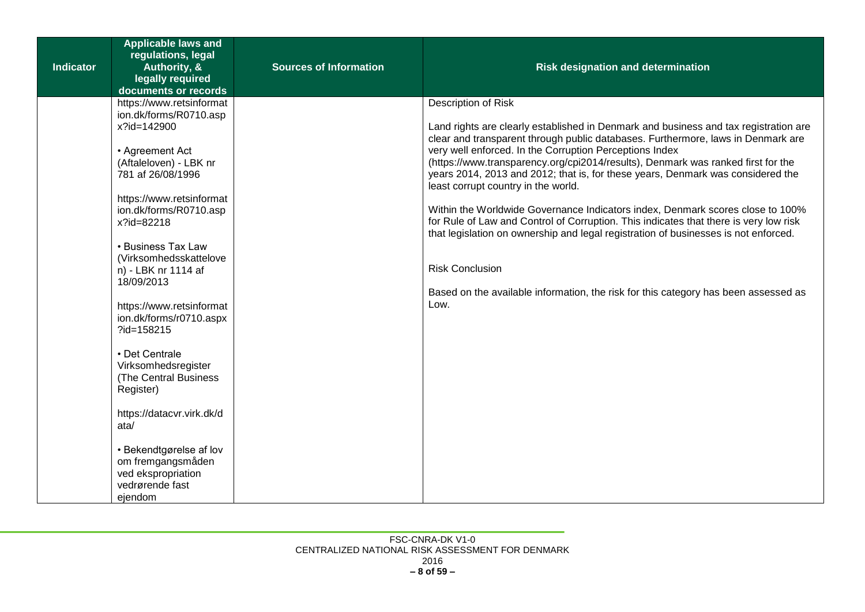| <b>Indicator</b> | <b>Applicable laws and</b><br>regulations, legal<br>Authority, &<br>legally required<br>documents or records                                                                                                                                                                                                                                                                                                                                                                                                                                                                              | <b>Sources of Information</b> | <b>Risk designation and determination</b>                                                                                                                                                                                                                                                                                                                                                                                                                                                                                                                                                                                                                                                                                                                                                                                                                           |
|------------------|-------------------------------------------------------------------------------------------------------------------------------------------------------------------------------------------------------------------------------------------------------------------------------------------------------------------------------------------------------------------------------------------------------------------------------------------------------------------------------------------------------------------------------------------------------------------------------------------|-------------------------------|---------------------------------------------------------------------------------------------------------------------------------------------------------------------------------------------------------------------------------------------------------------------------------------------------------------------------------------------------------------------------------------------------------------------------------------------------------------------------------------------------------------------------------------------------------------------------------------------------------------------------------------------------------------------------------------------------------------------------------------------------------------------------------------------------------------------------------------------------------------------|
|                  | https://www.retsinformat<br>ion.dk/forms/R0710.asp<br>x?id=142900<br>• Agreement Act<br>(Aftaleloven) - LBK nr<br>781 af 26/08/1996<br>https://www.retsinformat<br>ion.dk/forms/R0710.asp<br>x?id=82218<br>• Business Tax Law<br>(Virksomhedsskattelove<br>n) - LBK nr 1114 af<br>18/09/2013<br>https://www.retsinformat<br>ion.dk/forms/r0710.aspx<br>?id=158215<br>• Det Centrale<br>Virksomhedsregister<br>(The Central Business<br>Register)<br>https://datacvr.virk.dk/d<br>ata/<br>• Bekendtgørelse af lov<br>om fremgangsmåden<br>ved ekspropriation<br>vedrørende fast<br>ejendom |                               | Description of Risk<br>Land rights are clearly established in Denmark and business and tax registration are<br>clear and transparent through public databases. Furthermore, laws in Denmark are<br>very well enforced. In the Corruption Perceptions Index<br>(https://www.transparency.org/cpi2014/results), Denmark was ranked first for the<br>years 2014, 2013 and 2012; that is, for these years, Denmark was considered the<br>least corrupt country in the world.<br>Within the Worldwide Governance Indicators index, Denmark scores close to 100%<br>for Rule of Law and Control of Corruption. This indicates that there is very low risk<br>that legislation on ownership and legal registration of businesses is not enforced.<br><b>Risk Conclusion</b><br>Based on the available information, the risk for this category has been assessed as<br>Low. |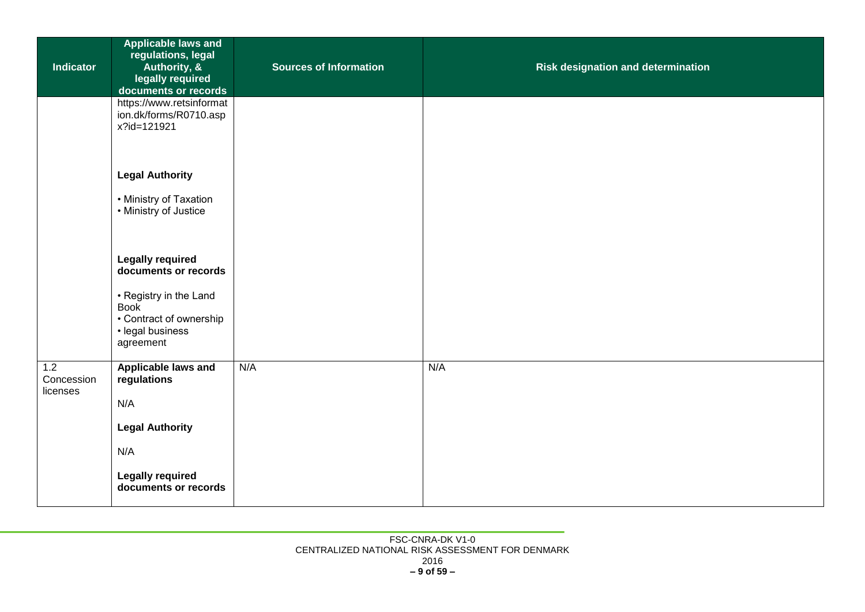| <b>Indicator</b>              | <b>Applicable laws and</b><br>regulations, legal<br>Authority, &<br>legally required<br>documents or records | <b>Sources of Information</b> | <b>Risk designation and determination</b> |
|-------------------------------|--------------------------------------------------------------------------------------------------------------|-------------------------------|-------------------------------------------|
|                               | https://www.retsinformat<br>ion.dk/forms/R0710.asp<br>x?id=121921                                            |                               |                                           |
|                               | <b>Legal Authority</b><br>• Ministry of Taxation                                                             |                               |                                           |
|                               | • Ministry of Justice                                                                                        |                               |                                           |
|                               | <b>Legally required</b><br>documents or records                                                              |                               |                                           |
|                               | • Registry in the Land<br><b>Book</b><br>• Contract of ownership                                             |                               |                                           |
|                               | · legal business<br>agreement                                                                                |                               |                                           |
| 1.2<br>Concession<br>licenses | <b>Applicable laws and</b><br>regulations                                                                    | N/A                           | N/A                                       |
|                               | N/A                                                                                                          |                               |                                           |
|                               | <b>Legal Authority</b>                                                                                       |                               |                                           |
|                               | N/A                                                                                                          |                               |                                           |
|                               | <b>Legally required</b><br>documents or records                                                              |                               |                                           |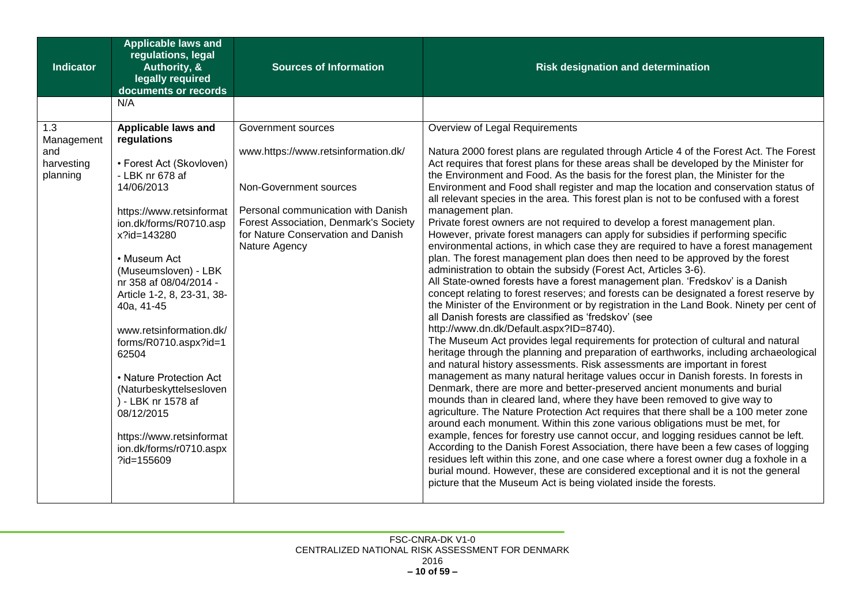| <b>Applicable laws and</b><br>regulations, legal<br><b>Indicator</b><br>Authority, &<br>legally required<br>documents or records                                                                                                                                                                                                                                                                                                                                                                                                                                     | <b>Sources of Information</b>                                                                                                                                                                                             | <b>Risk designation and determination</b>                                                                                                                                                                                                                                                                                                                                                                                                                                                                                                                                                                                                                                                                                                                                                                                                                                                                                                                                                                                                                                                                                                                                                                                                                                                                                                                                                                                                                                                                                                                                                                                                                                                                                                                                                                                                                                                                                                                                                                                                                                                                                                                                                                                                                                                                                                                                                                      |
|----------------------------------------------------------------------------------------------------------------------------------------------------------------------------------------------------------------------------------------------------------------------------------------------------------------------------------------------------------------------------------------------------------------------------------------------------------------------------------------------------------------------------------------------------------------------|---------------------------------------------------------------------------------------------------------------------------------------------------------------------------------------------------------------------------|----------------------------------------------------------------------------------------------------------------------------------------------------------------------------------------------------------------------------------------------------------------------------------------------------------------------------------------------------------------------------------------------------------------------------------------------------------------------------------------------------------------------------------------------------------------------------------------------------------------------------------------------------------------------------------------------------------------------------------------------------------------------------------------------------------------------------------------------------------------------------------------------------------------------------------------------------------------------------------------------------------------------------------------------------------------------------------------------------------------------------------------------------------------------------------------------------------------------------------------------------------------------------------------------------------------------------------------------------------------------------------------------------------------------------------------------------------------------------------------------------------------------------------------------------------------------------------------------------------------------------------------------------------------------------------------------------------------------------------------------------------------------------------------------------------------------------------------------------------------------------------------------------------------------------------------------------------------------------------------------------------------------------------------------------------------------------------------------------------------------------------------------------------------------------------------------------------------------------------------------------------------------------------------------------------------------------------------------------------------------------------------------------------------|
| N/A                                                                                                                                                                                                                                                                                                                                                                                                                                                                                                                                                                  |                                                                                                                                                                                                                           |                                                                                                                                                                                                                                                                                                                                                                                                                                                                                                                                                                                                                                                                                                                                                                                                                                                                                                                                                                                                                                                                                                                                                                                                                                                                                                                                                                                                                                                                                                                                                                                                                                                                                                                                                                                                                                                                                                                                                                                                                                                                                                                                                                                                                                                                                                                                                                                                                |
| Applicable laws and<br>1.3<br>regulations<br>Management<br>and<br>harvesting<br>• Forest Act (Skovloven)<br>- LBK nr 678 af<br>planning<br>14/06/2013<br>https://www.retsinformat<br>ion.dk/forms/R0710.asp<br>x?id=143280<br>• Museum Act<br>(Museumsloven) - LBK<br>nr 358 af 08/04/2014 -<br>Article 1-2, 8, 23-31, 38-<br>40a, 41-45<br>www.retsinformation.dk/<br>forms/R0710.aspx?id=1<br>62504<br>• Nature Protection Act<br>(Naturbeskyttelsesloven<br>) - LBK nr 1578 af<br>08/12/2015<br>https://www.retsinformat<br>ion.dk/forms/r0710.aspx<br>?id=155609 | Government sources<br>www.https://www.retsinformation.dk/<br>Non-Government sources<br>Personal communication with Danish<br>Forest Association, Denmark's Society<br>for Nature Conservation and Danish<br>Nature Agency | Overview of Legal Requirements<br>Natura 2000 forest plans are regulated through Article 4 of the Forest Act. The Forest<br>Act requires that forest plans for these areas shall be developed by the Minister for<br>the Environment and Food. As the basis for the forest plan, the Minister for the<br>Environment and Food shall register and map the location and conservation status of<br>all relevant species in the area. This forest plan is not to be confused with a forest<br>management plan.<br>Private forest owners are not required to develop a forest management plan.<br>However, private forest managers can apply for subsidies if performing specific<br>environmental actions, in which case they are required to have a forest management<br>plan. The forest management plan does then need to be approved by the forest<br>administration to obtain the subsidy (Forest Act, Articles 3-6).<br>All State-owned forests have a forest management plan. 'Fredskov' is a Danish<br>concept relating to forest reserves; and forests can be designated a forest reserve by<br>the Minister of the Environment or by registration in the Land Book. Ninety per cent of<br>all Danish forests are classified as 'fredskov' (see<br>http://www.dn.dk/Default.aspx?ID=8740).<br>The Museum Act provides legal requirements for protection of cultural and natural<br>heritage through the planning and preparation of earthworks, including archaeological<br>and natural history assessments. Risk assessments are important in forest<br>management as many natural heritage values occur in Danish forests. In forests in<br>Denmark, there are more and better-preserved ancient monuments and burial<br>mounds than in cleared land, where they have been removed to give way to<br>agriculture. The Nature Protection Act requires that there shall be a 100 meter zone<br>around each monument. Within this zone various obligations must be met, for<br>example, fences for forestry use cannot occur, and logging residues cannot be left.<br>According to the Danish Forest Association, there have been a few cases of logging<br>residues left within this zone, and one case where a forest owner dug a foxhole in a<br>burial mound. However, these are considered exceptional and it is not the general<br>picture that the Museum Act is being violated inside the forests. |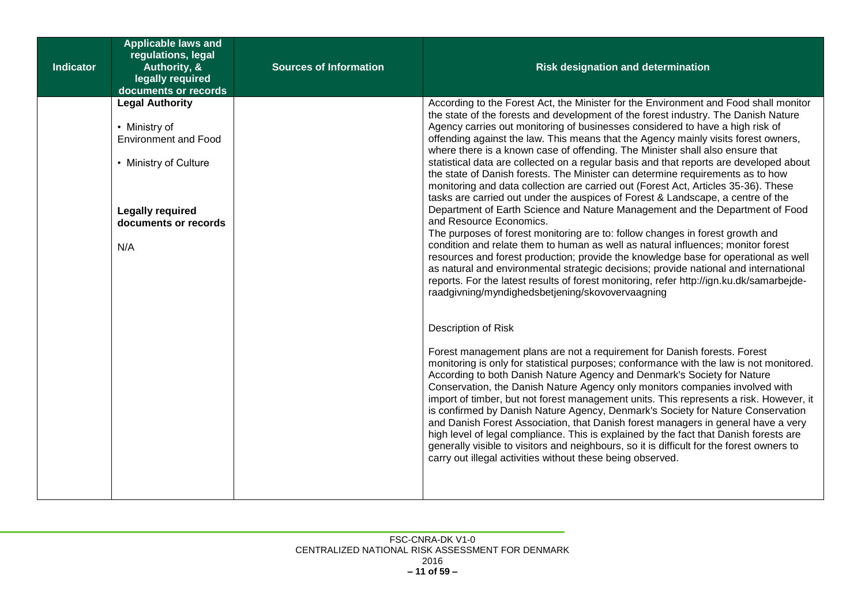| <b>Indicator</b> | <b>Applicable laws and</b><br>regulations, legal<br>Authority, &<br>legally required<br>documents or records                                              | <b>Sources of Information</b> | <b>Risk designation and determination</b>                                                                                                                                                                                                                                                                                                                                                                                                                                                                                                                                                                                                                                                                                                                                                                                                                                                                                                                                                                                                                                                                                                                                                                                                                                                                                                                                                                                                                                                                                                                                                                                                                                                                                                                                                                                                                                                                                                                                                                                                                                                                                                                                                                                                                                             |
|------------------|-----------------------------------------------------------------------------------------------------------------------------------------------------------|-------------------------------|---------------------------------------------------------------------------------------------------------------------------------------------------------------------------------------------------------------------------------------------------------------------------------------------------------------------------------------------------------------------------------------------------------------------------------------------------------------------------------------------------------------------------------------------------------------------------------------------------------------------------------------------------------------------------------------------------------------------------------------------------------------------------------------------------------------------------------------------------------------------------------------------------------------------------------------------------------------------------------------------------------------------------------------------------------------------------------------------------------------------------------------------------------------------------------------------------------------------------------------------------------------------------------------------------------------------------------------------------------------------------------------------------------------------------------------------------------------------------------------------------------------------------------------------------------------------------------------------------------------------------------------------------------------------------------------------------------------------------------------------------------------------------------------------------------------------------------------------------------------------------------------------------------------------------------------------------------------------------------------------------------------------------------------------------------------------------------------------------------------------------------------------------------------------------------------------------------------------------------------------------------------------------------------|
|                  | <b>Legal Authority</b><br>• Ministry of<br><b>Environment and Food</b><br>• Ministry of Culture<br><b>Legally required</b><br>documents or records<br>N/A |                               | According to the Forest Act, the Minister for the Environment and Food shall monitor<br>the state of the forests and development of the forest industry. The Danish Nature<br>Agency carries out monitoring of businesses considered to have a high risk of<br>offending against the law. This means that the Agency mainly visits forest owners,<br>where there is a known case of offending. The Minister shall also ensure that<br>statistical data are collected on a regular basis and that reports are developed about<br>the state of Danish forests. The Minister can determine requirements as to how<br>monitoring and data collection are carried out (Forest Act, Articles 35-36). These<br>tasks are carried out under the auspices of Forest & Landscape, a centre of the<br>Department of Earth Science and Nature Management and the Department of Food<br>and Resource Economics.<br>The purposes of forest monitoring are to: follow changes in forest growth and<br>condition and relate them to human as well as natural influences; monitor forest<br>resources and forest production; provide the knowledge base for operational as well<br>as natural and environmental strategic decisions; provide national and international<br>reports. For the latest results of forest monitoring, refer http://ign.ku.dk/samarbejde-<br>raadgivning/myndighedsbetjening/skovovervaagning<br>Description of Risk<br>Forest management plans are not a requirement for Danish forests. Forest<br>monitoring is only for statistical purposes; conformance with the law is not monitored.<br>According to both Danish Nature Agency and Denmark's Society for Nature<br>Conservation, the Danish Nature Agency only monitors companies involved with<br>import of timber, but not forest management units. This represents a risk. However, it<br>is confirmed by Danish Nature Agency, Denmark's Society for Nature Conservation<br>and Danish Forest Association, that Danish forest managers in general have a very<br>high level of legal compliance. This is explained by the fact that Danish forests are<br>generally visible to visitors and neighbours, so it is difficult for the forest owners to<br>carry out illegal activities without these being observed. |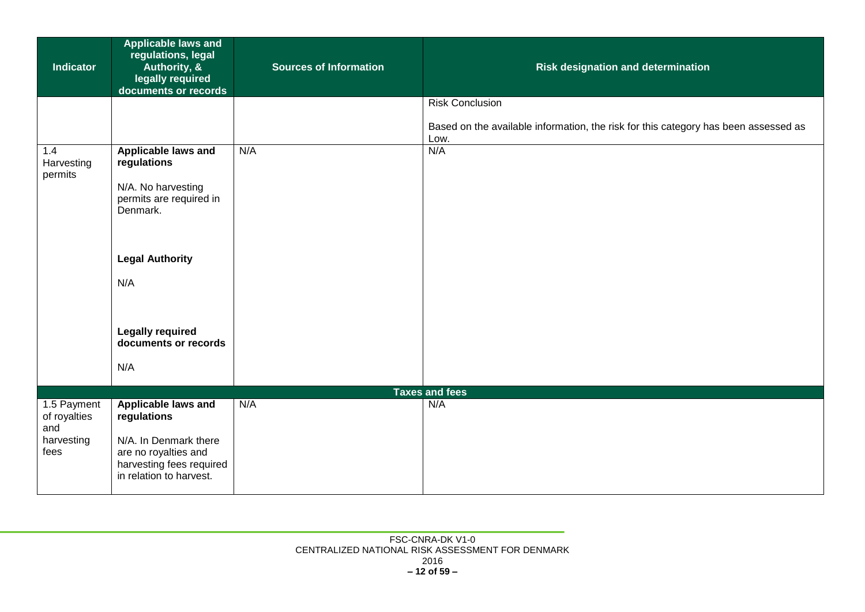| <b>Indicator</b>                   | <b>Applicable laws and</b><br>regulations, legal<br>Authority, &<br>legally required<br>documents or records | <b>Sources of Information</b> | Risk designation and determination                                                          |
|------------------------------------|--------------------------------------------------------------------------------------------------------------|-------------------------------|---------------------------------------------------------------------------------------------|
|                                    |                                                                                                              |                               | <b>Risk Conclusion</b>                                                                      |
|                                    |                                                                                                              |                               | Based on the available information, the risk for this category has been assessed as<br>Low. |
| 1.4<br>Harvesting                  | <b>Applicable laws and</b><br>regulations                                                                    | N/A                           | N/A                                                                                         |
| permits                            | N/A. No harvesting<br>permits are required in<br>Denmark.                                                    |                               |                                                                                             |
|                                    | <b>Legal Authority</b>                                                                                       |                               |                                                                                             |
|                                    | N/A                                                                                                          |                               |                                                                                             |
|                                    | <b>Legally required</b><br>documents or records                                                              |                               |                                                                                             |
|                                    | N/A                                                                                                          |                               |                                                                                             |
|                                    |                                                                                                              |                               | <b>Taxes and fees</b>                                                                       |
| 1.5 Payment<br>of royalties<br>and | Applicable laws and<br>regulations                                                                           | N/A                           | N/A                                                                                         |
| harvesting<br>fees                 | N/A. In Denmark there<br>are no royalties and<br>harvesting fees required<br>in relation to harvest.         |                               |                                                                                             |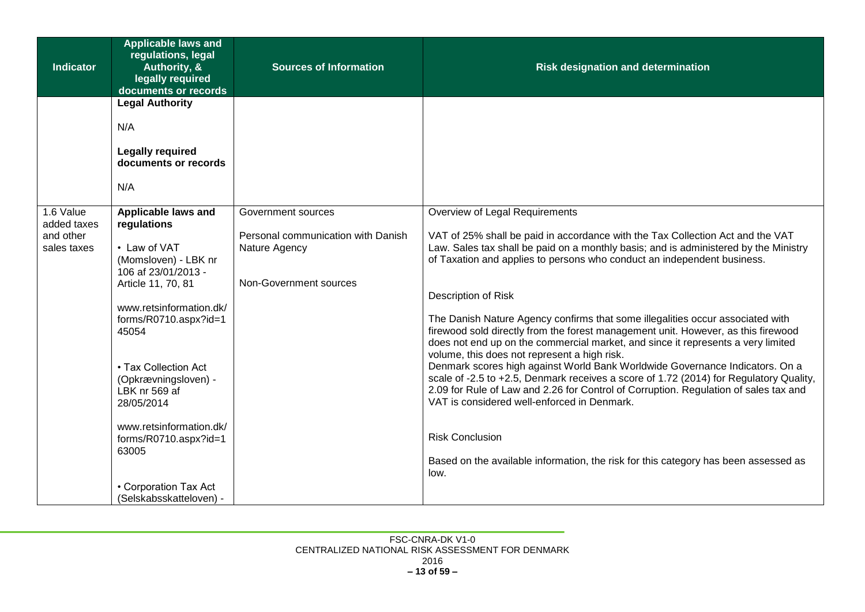| <b>Indicator</b>         | <b>Applicable laws and</b><br>regulations, legal<br>Authority, &<br>legally required<br>documents or records | <b>Sources of Information</b>                       | <b>Risk designation and determination</b>                                                                                                                                                                                                                                                                                      |
|--------------------------|--------------------------------------------------------------------------------------------------------------|-----------------------------------------------------|--------------------------------------------------------------------------------------------------------------------------------------------------------------------------------------------------------------------------------------------------------------------------------------------------------------------------------|
|                          | <b>Legal Authority</b>                                                                                       |                                                     |                                                                                                                                                                                                                                                                                                                                |
|                          | N/A                                                                                                          |                                                     |                                                                                                                                                                                                                                                                                                                                |
|                          | <b>Legally required</b><br>documents or records                                                              |                                                     |                                                                                                                                                                                                                                                                                                                                |
|                          | N/A                                                                                                          |                                                     |                                                                                                                                                                                                                                                                                                                                |
| 1.6 Value<br>added taxes | Applicable laws and<br>regulations                                                                           | Government sources                                  | Overview of Legal Requirements                                                                                                                                                                                                                                                                                                 |
| and other<br>sales taxes | • Law of VAT<br>(Momsloven) - LBK nr<br>106 af 23/01/2013 -                                                  | Personal communication with Danish<br>Nature Agency | VAT of 25% shall be paid in accordance with the Tax Collection Act and the VAT<br>Law. Sales tax shall be paid on a monthly basis; and is administered by the Ministry<br>of Taxation and applies to persons who conduct an independent business.                                                                              |
|                          | Article 11, 70, 81                                                                                           | Non-Government sources                              |                                                                                                                                                                                                                                                                                                                                |
|                          | www.retsinformation.dk/<br>forms/R0710.aspx?id=1<br>45054                                                    |                                                     | Description of Risk<br>The Danish Nature Agency confirms that some illegalities occur associated with<br>firewood sold directly from the forest management unit. However, as this firewood<br>does not end up on the commercial market, and since it represents a very limited<br>volume, this does not represent a high risk. |
|                          | • Tax Collection Act<br>(Opkrævningsloven) -<br>LBK nr 569 af<br>28/05/2014                                  |                                                     | Denmark scores high against World Bank Worldwide Governance Indicators. On a<br>scale of -2.5 to +2.5, Denmark receives a score of 1.72 (2014) for Regulatory Quality,<br>2.09 for Rule of Law and 2.26 for Control of Corruption. Regulation of sales tax and<br>VAT is considered well-enforced in Denmark.                  |
|                          | www.retsinformation.dk/<br>forms/R0710.aspx?id=1<br>63005                                                    |                                                     | <b>Risk Conclusion</b><br>Based on the available information, the risk for this category has been assessed as                                                                                                                                                                                                                  |
|                          | • Corporation Tax Act<br>(Selskabsskatteloven) -                                                             |                                                     | low.                                                                                                                                                                                                                                                                                                                           |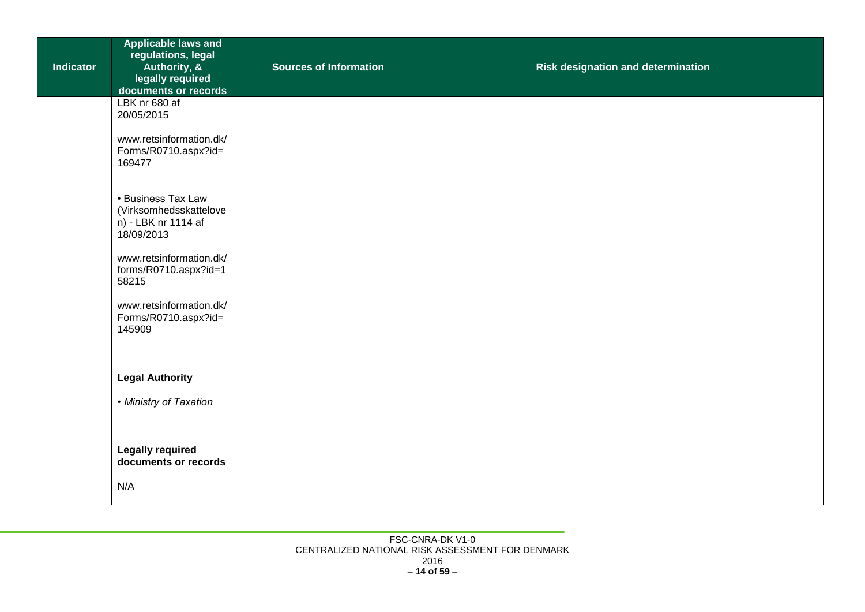| <b>Indicator</b> | <b>Applicable laws and</b><br>regulations, legal<br>Authority, &<br>legally required<br>documents or records | <b>Sources of Information</b> | Risk designation and determination |
|------------------|--------------------------------------------------------------------------------------------------------------|-------------------------------|------------------------------------|
|                  | LBK nr 680 af<br>20/05/2015                                                                                  |                               |                                    |
|                  | www.retsinformation.dk/<br>Forms/R0710.aspx?id=<br>169477                                                    |                               |                                    |
|                  | • Business Tax Law<br>(Virksomhedsskattelove<br>n) - LBK nr 1114 af<br>18/09/2013                            |                               |                                    |
|                  | www.retsinformation.dk/<br>forms/R0710.aspx?id=1<br>58215                                                    |                               |                                    |
|                  | www.retsinformation.dk/<br>Forms/R0710.aspx?id=<br>145909                                                    |                               |                                    |
|                  | <b>Legal Authority</b>                                                                                       |                               |                                    |
|                  | • Ministry of Taxation                                                                                       |                               |                                    |
|                  | <b>Legally required</b><br>documents or records                                                              |                               |                                    |
|                  | N/A                                                                                                          |                               |                                    |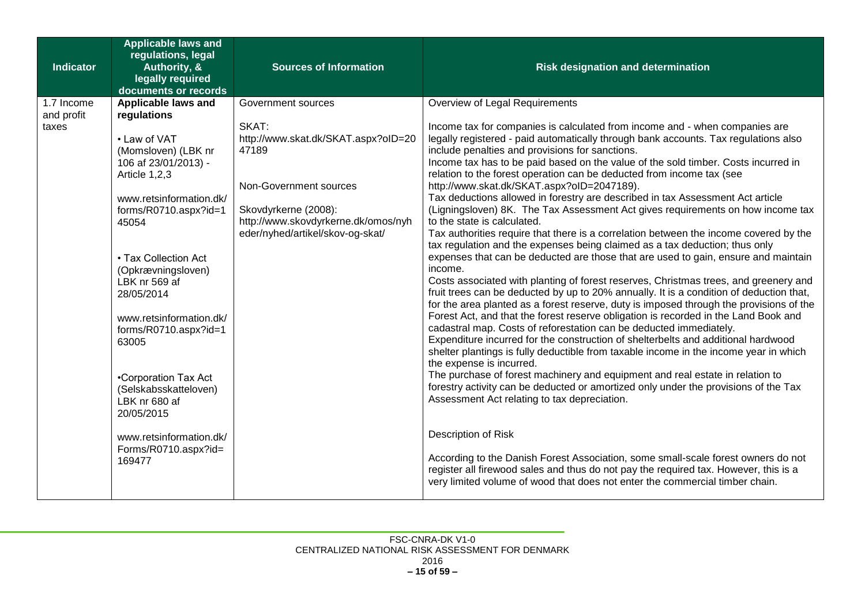| Indicator                         | <b>Applicable laws and</b><br>regulations, legal<br>Authority, &<br>legally required                                                                                                                                                                                                                                                                                                                                                                                   | <b>Sources of Information</b>                                                                                                                                                                            | <b>Risk designation and determination</b>                                                                                                                                                                                                                                                                                                                                                                                                                                                                                                                                                                                                                                                                                                                                                                                                                                                                                                                                                                                                                                                                                                                                                                                                                                                                                                                                                                                                                                                                                                                                                                                                                                                                                                                                                                                                                                                                                                                                                                                          |
|-----------------------------------|------------------------------------------------------------------------------------------------------------------------------------------------------------------------------------------------------------------------------------------------------------------------------------------------------------------------------------------------------------------------------------------------------------------------------------------------------------------------|----------------------------------------------------------------------------------------------------------------------------------------------------------------------------------------------------------|------------------------------------------------------------------------------------------------------------------------------------------------------------------------------------------------------------------------------------------------------------------------------------------------------------------------------------------------------------------------------------------------------------------------------------------------------------------------------------------------------------------------------------------------------------------------------------------------------------------------------------------------------------------------------------------------------------------------------------------------------------------------------------------------------------------------------------------------------------------------------------------------------------------------------------------------------------------------------------------------------------------------------------------------------------------------------------------------------------------------------------------------------------------------------------------------------------------------------------------------------------------------------------------------------------------------------------------------------------------------------------------------------------------------------------------------------------------------------------------------------------------------------------------------------------------------------------------------------------------------------------------------------------------------------------------------------------------------------------------------------------------------------------------------------------------------------------------------------------------------------------------------------------------------------------------------------------------------------------------------------------------------------------|
|                                   | documents or records                                                                                                                                                                                                                                                                                                                                                                                                                                                   |                                                                                                                                                                                                          |                                                                                                                                                                                                                                                                                                                                                                                                                                                                                                                                                                                                                                                                                                                                                                                                                                                                                                                                                                                                                                                                                                                                                                                                                                                                                                                                                                                                                                                                                                                                                                                                                                                                                                                                                                                                                                                                                                                                                                                                                                    |
| 1.7 Income<br>and profit<br>taxes | Applicable laws and<br>regulations<br>• Law of VAT<br>(Momsloven) (LBK nr<br>106 af 23/01/2013) -<br>Article 1,2,3<br>www.retsinformation.dk/<br>forms/R0710.aspx?id=1<br>45054<br>• Tax Collection Act<br>(Opkrævningsloven)<br>LBK nr 569 af<br>28/05/2014<br>www.retsinformation.dk/<br>forms/R0710.aspx?id=1<br>63005<br>•Corporation Tax Act<br>(Selskabsskatteloven)<br>LBK nr 680 af<br>20/05/2015<br>www.retsinformation.dk/<br>Forms/R0710.aspx?id=<br>169477 | Government sources<br>SKAT:<br>http://www.skat.dk/SKAT.aspx?oID=20<br>47189<br>Non-Government sources<br>Skovdyrkerne (2008):<br>http://www.skovdyrkerne.dk/omos/nyh<br>eder/nyhed/artikel/skov-og-skat/ | Overview of Legal Requirements<br>Income tax for companies is calculated from income and - when companies are<br>legally registered - paid automatically through bank accounts. Tax regulations also<br>include penalties and provisions for sanctions.<br>Income tax has to be paid based on the value of the sold timber. Costs incurred in<br>relation to the forest operation can be deducted from income tax (see<br>http://www.skat.dk/SKAT.aspx?oID=2047189).<br>Tax deductions allowed in forestry are described in tax Assessment Act article<br>(Ligningsloven) 8K. The Tax Assessment Act gives requirements on how income tax<br>to the state is calculated.<br>Tax authorities require that there is a correlation between the income covered by the<br>tax regulation and the expenses being claimed as a tax deduction; thus only<br>expenses that can be deducted are those that are used to gain, ensure and maintain<br>income.<br>Costs associated with planting of forest reserves, Christmas trees, and greenery and<br>fruit trees can be deducted by up to 20% annually. It is a condition of deduction that,<br>for the area planted as a forest reserve, duty is imposed through the provisions of the<br>Forest Act, and that the forest reserve obligation is recorded in the Land Book and<br>cadastral map. Costs of reforestation can be deducted immediately.<br>Expenditure incurred for the construction of shelterbelts and additional hardwood<br>shelter plantings is fully deductible from taxable income in the income year in which<br>the expense is incurred.<br>The purchase of forest machinery and equipment and real estate in relation to<br>forestry activity can be deducted or amortized only under the provisions of the Tax<br>Assessment Act relating to tax depreciation.<br>Description of Risk<br>According to the Danish Forest Association, some small-scale forest owners do not<br>register all firewood sales and thus do not pay the required tax. However, this is a |
|                                   |                                                                                                                                                                                                                                                                                                                                                                                                                                                                        |                                                                                                                                                                                                          | very limited volume of wood that does not enter the commercial timber chain.                                                                                                                                                                                                                                                                                                                                                                                                                                                                                                                                                                                                                                                                                                                                                                                                                                                                                                                                                                                                                                                                                                                                                                                                                                                                                                                                                                                                                                                                                                                                                                                                                                                                                                                                                                                                                                                                                                                                                       |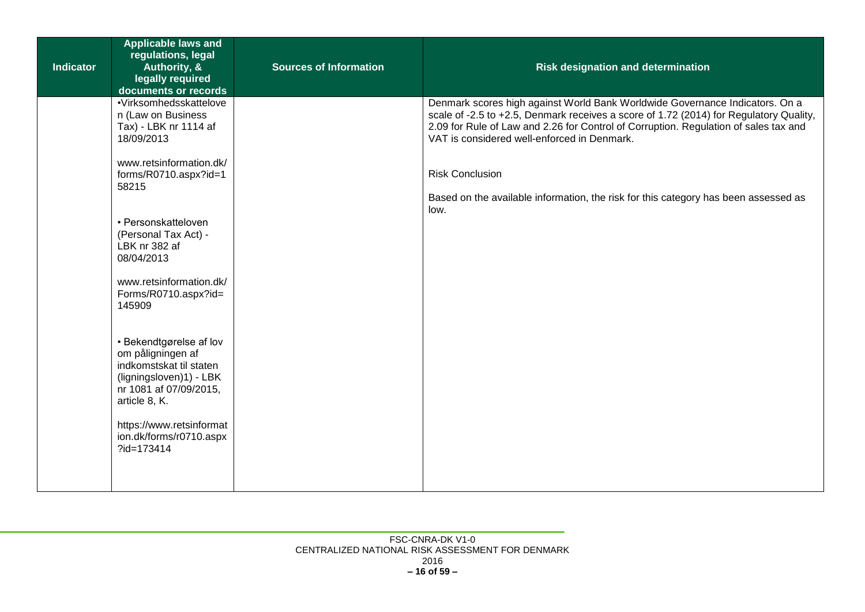| <b>Indicator</b> | <b>Applicable laws and</b><br>regulations, legal<br>Authority, &<br>legally required<br>documents or records                                  | <b>Sources of Information</b> | <b>Risk designation and determination</b>                                                                                                                                                                                                                                                                     |
|------------------|-----------------------------------------------------------------------------------------------------------------------------------------------|-------------------------------|---------------------------------------------------------------------------------------------------------------------------------------------------------------------------------------------------------------------------------------------------------------------------------------------------------------|
|                  | ·Virksomhedsskattelove<br>n (Law on Business<br>Tax) - LBK nr 1114 af<br>18/09/2013                                                           |                               | Denmark scores high against World Bank Worldwide Governance Indicators. On a<br>scale of -2.5 to +2.5, Denmark receives a score of 1.72 (2014) for Regulatory Quality,<br>2.09 for Rule of Law and 2.26 for Control of Corruption. Regulation of sales tax and<br>VAT is considered well-enforced in Denmark. |
|                  | www.retsinformation.dk/<br>forms/R0710.aspx?id=1<br>58215                                                                                     |                               | <b>Risk Conclusion</b><br>Based on the available information, the risk for this category has been assessed as                                                                                                                                                                                                 |
|                  | • Personskatteloven<br>(Personal Tax Act) -<br>LBK nr 382 af<br>08/04/2013                                                                    |                               | low.                                                                                                                                                                                                                                                                                                          |
|                  | www.retsinformation.dk/<br>Forms/R0710.aspx?id=<br>145909                                                                                     |                               |                                                                                                                                                                                                                                                                                                               |
|                  | • Bekendtgørelse af lov<br>om påligningen af<br>indkomstskat til staten<br>(ligningsloven)1) - LBK<br>nr 1081 af 07/09/2015,<br>article 8, K. |                               |                                                                                                                                                                                                                                                                                                               |
|                  | https://www.retsinformat<br>ion.dk/forms/r0710.aspx<br>?id=173414                                                                             |                               |                                                                                                                                                                                                                                                                                                               |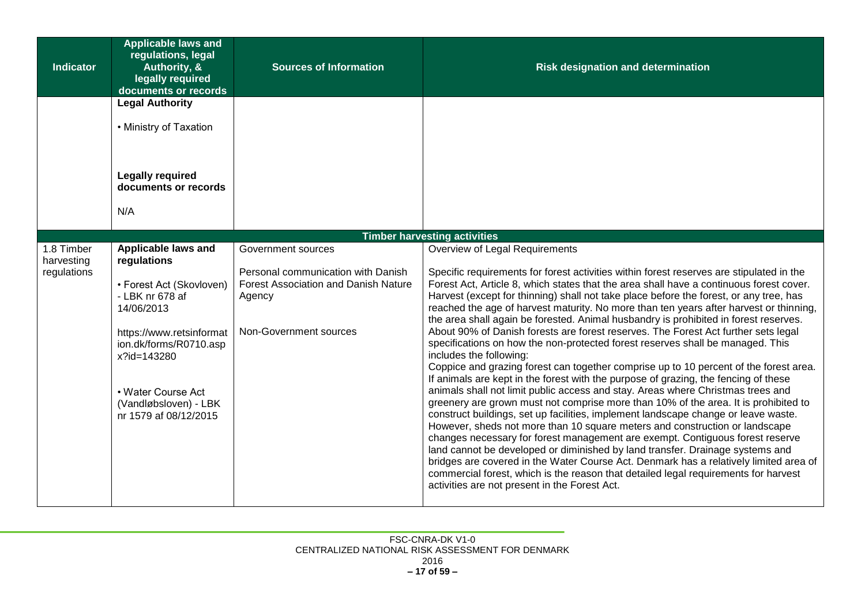| <b>Indicator</b> | <b>Applicable laws and</b><br>regulations, legal<br>Authority, &<br>legally required<br>documents or records | <b>Sources of Information</b>                         | <b>Risk designation and determination</b>                                                                                                                                                                                                                                                                                                                                                                                                                                      |
|------------------|--------------------------------------------------------------------------------------------------------------|-------------------------------------------------------|--------------------------------------------------------------------------------------------------------------------------------------------------------------------------------------------------------------------------------------------------------------------------------------------------------------------------------------------------------------------------------------------------------------------------------------------------------------------------------|
|                  | <b>Legal Authority</b>                                                                                       |                                                       |                                                                                                                                                                                                                                                                                                                                                                                                                                                                                |
|                  | • Ministry of Taxation                                                                                       |                                                       |                                                                                                                                                                                                                                                                                                                                                                                                                                                                                |
|                  | <b>Legally required</b><br>documents or records<br>N/A                                                       |                                                       |                                                                                                                                                                                                                                                                                                                                                                                                                                                                                |
|                  |                                                                                                              |                                                       |                                                                                                                                                                                                                                                                                                                                                                                                                                                                                |
| 1.8 Timber       | Applicable laws and                                                                                          | Government sources                                    | <b>Timber harvesting activities</b><br>Overview of Legal Requirements                                                                                                                                                                                                                                                                                                                                                                                                          |
| harvesting       | regulations                                                                                                  |                                                       |                                                                                                                                                                                                                                                                                                                                                                                                                                                                                |
| regulations      |                                                                                                              | Personal communication with Danish                    | Specific requirements for forest activities within forest reserves are stipulated in the                                                                                                                                                                                                                                                                                                                                                                                       |
|                  | • Forest Act (Skovloven)<br>- LBK nr 678 af<br>14/06/2013                                                    | <b>Forest Association and Danish Nature</b><br>Agency | Forest Act, Article 8, which states that the area shall have a continuous forest cover.<br>Harvest (except for thinning) shall not take place before the forest, or any tree, has<br>reached the age of harvest maturity. No more than ten years after harvest or thinning,<br>the area shall again be forested. Animal husbandry is prohibited in forest reserves.                                                                                                            |
|                  | https://www.retsinformat<br>ion.dk/forms/R0710.asp<br>x?id=143280                                            | Non-Government sources                                | About 90% of Danish forests are forest reserves. The Forest Act further sets legal<br>specifications on how the non-protected forest reserves shall be managed. This<br>includes the following:<br>Coppice and grazing forest can together comprise up to 10 percent of the forest area.                                                                                                                                                                                       |
|                  |                                                                                                              |                                                       | If animals are kept in the forest with the purpose of grazing, the fencing of these                                                                                                                                                                                                                                                                                                                                                                                            |
|                  | • Water Course Act                                                                                           |                                                       | animals shall not limit public access and stay. Areas where Christmas trees and                                                                                                                                                                                                                                                                                                                                                                                                |
|                  | (Vandløbsloven) - LBK<br>nr 1579 af 08/12/2015                                                               |                                                       | greenery are grown must not comprise more than 10% of the area. It is prohibited to<br>construct buildings, set up facilities, implement landscape change or leave waste.                                                                                                                                                                                                                                                                                                      |
|                  |                                                                                                              |                                                       | However, sheds not more than 10 square meters and construction or landscape<br>changes necessary for forest management are exempt. Contiguous forest reserve<br>land cannot be developed or diminished by land transfer. Drainage systems and<br>bridges are covered in the Water Course Act. Denmark has a relatively limited area of<br>commercial forest, which is the reason that detailed legal requirements for harvest<br>activities are not present in the Forest Act. |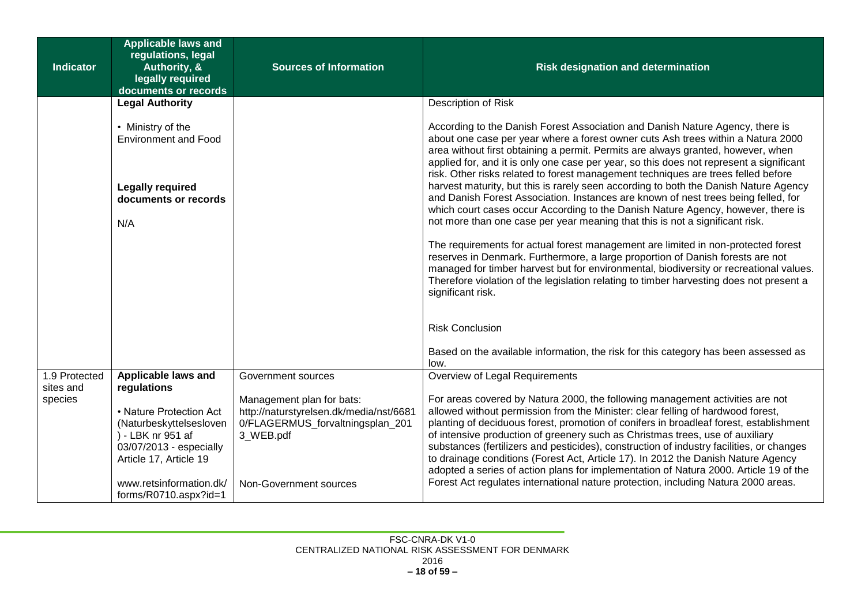| <b>Indicator</b> | <b>Applicable laws and</b><br>regulations, legal<br>Authority, &<br>legally required<br>documents or records                 | <b>Sources of Information</b>                                                            | <b>Risk designation and determination</b>                                                                                                                                                                                                                                                                                                                                                                                                                                                                                            |
|------------------|------------------------------------------------------------------------------------------------------------------------------|------------------------------------------------------------------------------------------|--------------------------------------------------------------------------------------------------------------------------------------------------------------------------------------------------------------------------------------------------------------------------------------------------------------------------------------------------------------------------------------------------------------------------------------------------------------------------------------------------------------------------------------|
|                  | <b>Legal Authority</b>                                                                                                       |                                                                                          | Description of Risk                                                                                                                                                                                                                                                                                                                                                                                                                                                                                                                  |
|                  | • Ministry of the<br><b>Environment and Food</b>                                                                             |                                                                                          | According to the Danish Forest Association and Danish Nature Agency, there is<br>about one case per year where a forest owner cuts Ash trees within a Natura 2000<br>area without first obtaining a permit. Permits are always granted, however, when<br>applied for, and it is only one case per year, so this does not represent a significant                                                                                                                                                                                     |
|                  | <b>Legally required</b><br>documents or records<br>N/A                                                                       |                                                                                          | risk. Other risks related to forest management techniques are trees felled before<br>harvest maturity, but this is rarely seen according to both the Danish Nature Agency<br>and Danish Forest Association. Instances are known of nest trees being felled, for<br>which court cases occur According to the Danish Nature Agency, however, there is<br>not more than one case per year meaning that this is not a significant risk.                                                                                                  |
|                  |                                                                                                                              |                                                                                          | The requirements for actual forest management are limited in non-protected forest<br>reserves in Denmark. Furthermore, a large proportion of Danish forests are not<br>managed for timber harvest but for environmental, biodiversity or recreational values.<br>Therefore violation of the legislation relating to timber harvesting does not present a<br>significant risk.                                                                                                                                                        |
|                  |                                                                                                                              |                                                                                          | <b>Risk Conclusion</b><br>Based on the available information, the risk for this category has been assessed as                                                                                                                                                                                                                                                                                                                                                                                                                        |
| 1.9 Protected    | Applicable laws and                                                                                                          | Government sources                                                                       | low.<br>Overview of Legal Requirements                                                                                                                                                                                                                                                                                                                                                                                                                                                                                               |
| sites and        | regulations                                                                                                                  |                                                                                          |                                                                                                                                                                                                                                                                                                                                                                                                                                                                                                                                      |
| species          |                                                                                                                              | Management plan for bats:                                                                | For areas covered by Natura 2000, the following management activities are not                                                                                                                                                                                                                                                                                                                                                                                                                                                        |
|                  | • Nature Protection Act<br>(Naturbeskyttelsesloven<br>) - LBK nr 951 af<br>03/07/2013 - especially<br>Article 17, Article 19 | http://naturstyrelsen.dk/media/nst/6681<br>0/FLAGERMUS_forvaltningsplan_201<br>3 WEB.pdf | allowed without permission from the Minister: clear felling of hardwood forest,<br>planting of deciduous forest, promotion of conifers in broadleaf forest, establishment<br>of intensive production of greenery such as Christmas trees, use of auxiliary<br>substances (fertilizers and pesticides), construction of industry facilities, or changes<br>to drainage conditions (Forest Act, Article 17). In 2012 the Danish Nature Agency<br>adopted a series of action plans for implementation of Natura 2000. Article 19 of the |
|                  | www.retsinformation.dk/<br>forms/R0710.aspx?id=1                                                                             | Non-Government sources                                                                   | Forest Act regulates international nature protection, including Natura 2000 areas.                                                                                                                                                                                                                                                                                                                                                                                                                                                   |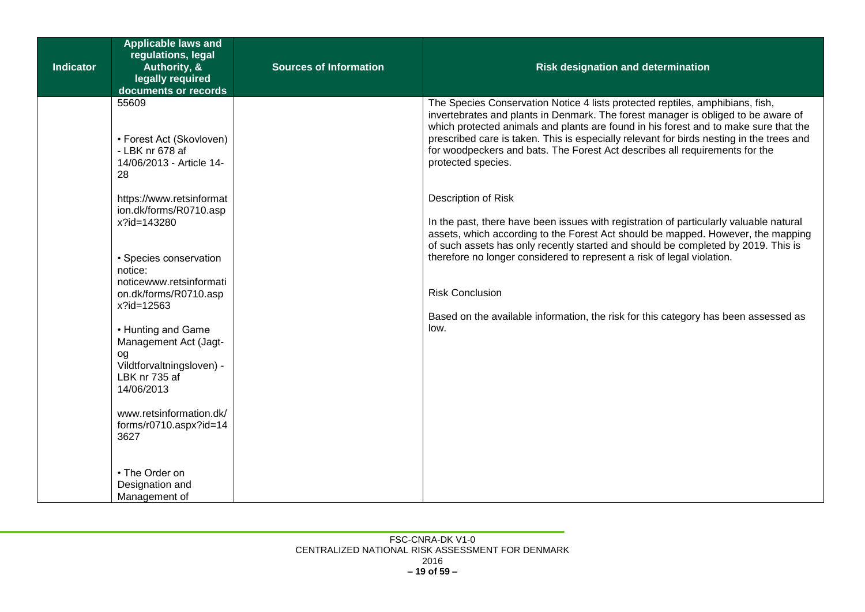| <b>Indicator</b> | <b>Applicable laws and</b><br>regulations, legal<br>Authority, &<br>legally required<br>documents or records  | <b>Sources of Information</b> | <b>Risk designation and determination</b>                                                                                                                                                                                                                                                                                                                                                                                                                   |
|------------------|---------------------------------------------------------------------------------------------------------------|-------------------------------|-------------------------------------------------------------------------------------------------------------------------------------------------------------------------------------------------------------------------------------------------------------------------------------------------------------------------------------------------------------------------------------------------------------------------------------------------------------|
|                  | 55609<br>• Forest Act (Skovloven)<br>- LBK nr 678 af<br>14/06/2013 - Article 14-<br>28                        |                               | The Species Conservation Notice 4 lists protected reptiles, amphibians, fish,<br>invertebrates and plants in Denmark. The forest manager is obliged to be aware of<br>which protected animals and plants are found in his forest and to make sure that the<br>prescribed care is taken. This is especially relevant for birds nesting in the trees and<br>for woodpeckers and bats. The Forest Act describes all requirements for the<br>protected species. |
|                  | https://www.retsinformat<br>ion.dk/forms/R0710.asp<br>x?id=143280                                             |                               | Description of Risk<br>In the past, there have been issues with registration of particularly valuable natural<br>assets, which according to the Forest Act should be mapped. However, the mapping<br>of such assets has only recently started and should be completed by 2019. This is                                                                                                                                                                      |
|                  | • Species conservation<br>notice:<br>noticewww.retsinformati<br>on.dk/forms/R0710.asp<br>x?id=12563           |                               | therefore no longer considered to represent a risk of legal violation.<br><b>Risk Conclusion</b>                                                                                                                                                                                                                                                                                                                                                            |
|                  | • Hunting and Game<br>Management Act (Jagt-<br>og<br>Vildtforvaltningsloven) -<br>LBK nr 735 af<br>14/06/2013 |                               | Based on the available information, the risk for this category has been assessed as<br>low.                                                                                                                                                                                                                                                                                                                                                                 |
|                  | www.retsinformation.dk/<br>forms/r0710.aspx?id=14<br>3627                                                     |                               |                                                                                                                                                                                                                                                                                                                                                                                                                                                             |
|                  | • The Order on<br>Designation and<br>Management of                                                            |                               |                                                                                                                                                                                                                                                                                                                                                                                                                                                             |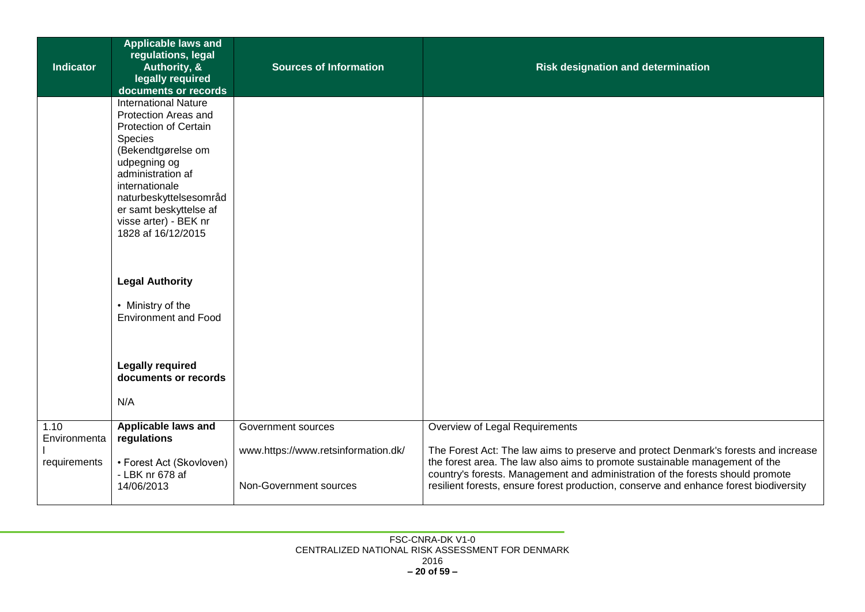| <b>Indicator</b>                     | <b>Applicable laws and</b><br>regulations, legal<br>Authority, &<br>legally required<br>documents or records                                                                                                                                                                   | <b>Sources of Information</b>                                                       | <b>Risk designation and determination</b>                                                                                                                                                                                                                                                                                                                                       |
|--------------------------------------|--------------------------------------------------------------------------------------------------------------------------------------------------------------------------------------------------------------------------------------------------------------------------------|-------------------------------------------------------------------------------------|---------------------------------------------------------------------------------------------------------------------------------------------------------------------------------------------------------------------------------------------------------------------------------------------------------------------------------------------------------------------------------|
|                                      | <b>International Nature</b><br>Protection Areas and<br><b>Protection of Certain</b><br>Species<br>(Bekendtgørelse om<br>udpegning og<br>administration af<br>internationale<br>naturbeskyttelsesområd<br>er samt beskyttelse af<br>visse arter) - BEK nr<br>1828 af 16/12/2015 |                                                                                     |                                                                                                                                                                                                                                                                                                                                                                                 |
|                                      | <b>Legal Authority</b><br>• Ministry of the<br><b>Environment and Food</b>                                                                                                                                                                                                     |                                                                                     |                                                                                                                                                                                                                                                                                                                                                                                 |
|                                      | <b>Legally required</b><br>documents or records<br>N/A                                                                                                                                                                                                                         |                                                                                     |                                                                                                                                                                                                                                                                                                                                                                                 |
| 1.10<br>Environmenta<br>requirements | Applicable laws and<br>regulations<br>• Forest Act (Skovloven)<br>- LBK nr 678 af<br>14/06/2013                                                                                                                                                                                | Government sources<br>www.https://www.retsinformation.dk/<br>Non-Government sources | Overview of Legal Requirements<br>The Forest Act: The law aims to preserve and protect Denmark's forests and increase<br>the forest area. The law also aims to promote sustainable management of the<br>country's forests. Management and administration of the forests should promote<br>resilient forests, ensure forest production, conserve and enhance forest biodiversity |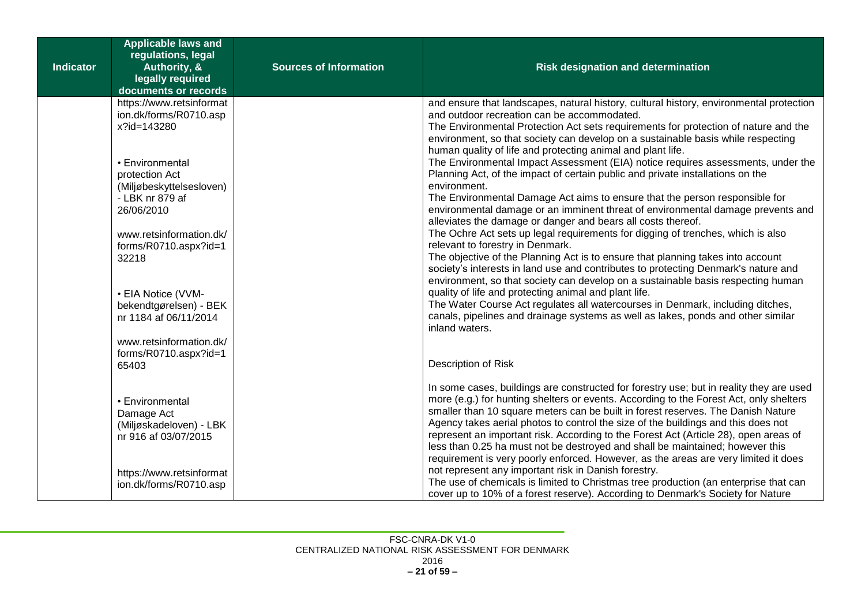| <b>Indicator</b> | <b>Applicable laws and</b><br>regulations, legal<br>Authority, &<br>legally required<br>documents or records | <b>Sources of Information</b> | <b>Risk designation and determination</b>                                                                                                                                                                                                                                                                                                                                                                                                                                                                                                                                                                                  |
|------------------|--------------------------------------------------------------------------------------------------------------|-------------------------------|----------------------------------------------------------------------------------------------------------------------------------------------------------------------------------------------------------------------------------------------------------------------------------------------------------------------------------------------------------------------------------------------------------------------------------------------------------------------------------------------------------------------------------------------------------------------------------------------------------------------------|
|                  | https://www.retsinformat<br>ion.dk/forms/R0710.asp<br>x?id=143280                                            |                               | and ensure that landscapes, natural history, cultural history, environmental protection<br>and outdoor recreation can be accommodated.<br>The Environmental Protection Act sets requirements for protection of nature and the<br>environment, so that society can develop on a sustainable basis while respecting<br>human quality of life and protecting animal and plant life.                                                                                                                                                                                                                                           |
|                  | • Environmental<br>protection Act<br>(Miljøbeskyttelsesloven)<br>- LBK nr 879 af                             |                               | The Environmental Impact Assessment (EIA) notice requires assessments, under the<br>Planning Act, of the impact of certain public and private installations on the<br>environment.<br>The Environmental Damage Act aims to ensure that the person responsible for                                                                                                                                                                                                                                                                                                                                                          |
|                  | 26/06/2010<br>www.retsinformation.dk/                                                                        |                               | environmental damage or an imminent threat of environmental damage prevents and<br>alleviates the damage or danger and bears all costs thereof.<br>The Ochre Act sets up legal requirements for digging of trenches, which is also                                                                                                                                                                                                                                                                                                                                                                                         |
|                  | forms/R0710.aspx?id=1<br>32218                                                                               |                               | relevant to forestry in Denmark.<br>The objective of the Planning Act is to ensure that planning takes into account<br>society's interests in land use and contributes to protecting Denmark's nature and<br>environment, so that society can develop on a sustainable basis respecting human                                                                                                                                                                                                                                                                                                                              |
|                  | • EIA Notice (VVM-<br>bekendtgørelsen) - BEK<br>nr 1184 af 06/11/2014                                        |                               | quality of life and protecting animal and plant life.<br>The Water Course Act regulates all watercourses in Denmark, including ditches,<br>canals, pipelines and drainage systems as well as lakes, ponds and other similar<br>inland waters.                                                                                                                                                                                                                                                                                                                                                                              |
|                  | www.retsinformation.dk/<br>forms/R0710.aspx?id=1<br>65403                                                    |                               | Description of Risk                                                                                                                                                                                                                                                                                                                                                                                                                                                                                                                                                                                                        |
|                  | • Environmental<br>Damage Act<br>(Miljøskadeloven) - LBK<br>nr 916 af 03/07/2015                             |                               | In some cases, buildings are constructed for forestry use; but in reality they are used<br>more (e.g.) for hunting shelters or events. According to the Forest Act, only shelters<br>smaller than 10 square meters can be built in forest reserves. The Danish Nature<br>Agency takes aerial photos to control the size of the buildings and this does not<br>represent an important risk. According to the Forest Act (Article 28), open areas of<br>less than 0.25 ha must not be destroyed and shall be maintained; however this<br>requirement is very poorly enforced. However, as the areas are very limited it does |
|                  | https://www.retsinformat<br>ion.dk/forms/R0710.asp                                                           |                               | not represent any important risk in Danish forestry.<br>The use of chemicals is limited to Christmas tree production (an enterprise that can<br>cover up to 10% of a forest reserve). According to Denmark's Society for Nature                                                                                                                                                                                                                                                                                                                                                                                            |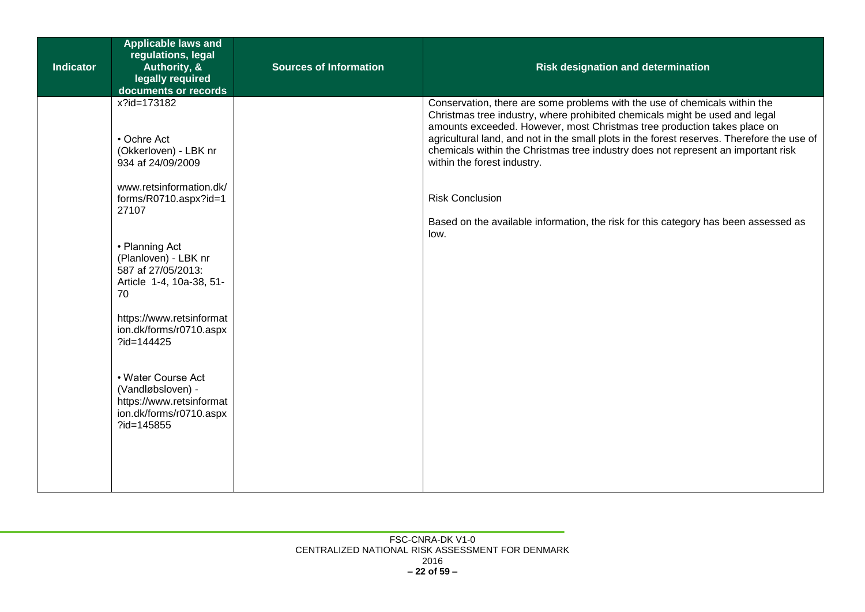| <b>Indicator</b> | <b>Applicable laws and</b><br>regulations, legal<br>Authority, &                                             | <b>Sources of Information</b> | <b>Risk designation and determination</b>                                                                                                                                                                                                                                                                                           |
|------------------|--------------------------------------------------------------------------------------------------------------|-------------------------------|-------------------------------------------------------------------------------------------------------------------------------------------------------------------------------------------------------------------------------------------------------------------------------------------------------------------------------------|
|                  | legally required<br>documents or records                                                                     |                               |                                                                                                                                                                                                                                                                                                                                     |
|                  | x?id=173182<br>• Ochre Act                                                                                   |                               | Conservation, there are some problems with the use of chemicals within the<br>Christmas tree industry, where prohibited chemicals might be used and legal<br>amounts exceeded. However, most Christmas tree production takes place on<br>agricultural land, and not in the small plots in the forest reserves. Therefore the use of |
|                  | (Okkerloven) - LBK nr<br>934 af 24/09/2009                                                                   |                               | chemicals within the Christmas tree industry does not represent an important risk<br>within the forest industry.                                                                                                                                                                                                                    |
|                  | www.retsinformation.dk/<br>forms/R0710.aspx?id=1<br>27107                                                    |                               | <b>Risk Conclusion</b>                                                                                                                                                                                                                                                                                                              |
|                  |                                                                                                              |                               | Based on the available information, the risk for this category has been assessed as<br>low.                                                                                                                                                                                                                                         |
|                  | • Planning Act<br>(Planloven) - LBK nr<br>587 af 27/05/2013:<br>Article 1-4, 10a-38, 51-<br>70               |                               |                                                                                                                                                                                                                                                                                                                                     |
|                  | https://www.retsinformat<br>ion.dk/forms/r0710.aspx<br>?id=144425                                            |                               |                                                                                                                                                                                                                                                                                                                                     |
|                  | • Water Course Act<br>(Vandløbsloven) -<br>https://www.retsinformat<br>ion.dk/forms/r0710.aspx<br>?id=145855 |                               |                                                                                                                                                                                                                                                                                                                                     |
|                  |                                                                                                              |                               |                                                                                                                                                                                                                                                                                                                                     |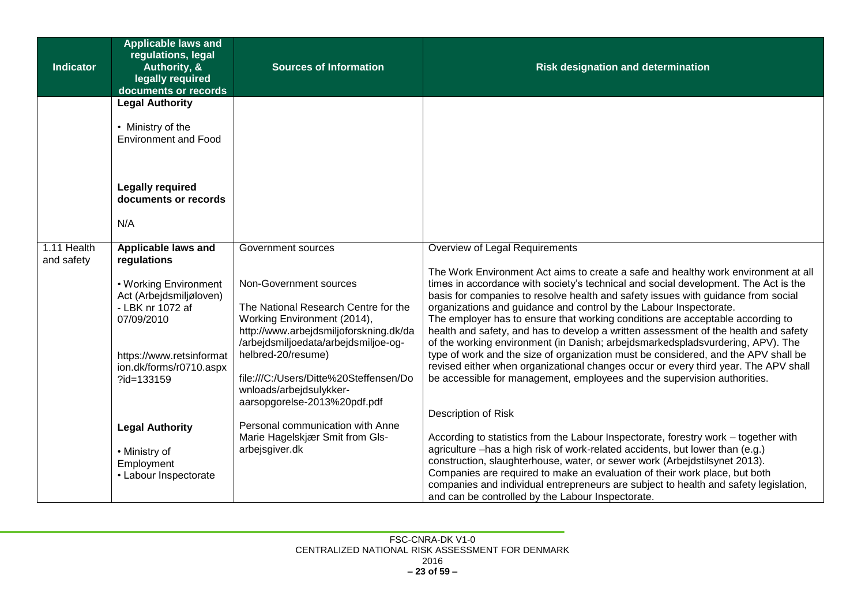| <b>Indicator</b>          | <b>Applicable laws and</b><br>regulations, legal<br><b>Authority, &amp;</b><br>legally required<br>documents or records                                 | <b>Sources of Information</b>                                                                                                                                                                                                                                                                              | <b>Risk designation and determination</b>                                                                                                                                                                                                                                                                                                                                                                                                                                                                                                                                                                                                                                                                                                                                                                                                                |
|---------------------------|---------------------------------------------------------------------------------------------------------------------------------------------------------|------------------------------------------------------------------------------------------------------------------------------------------------------------------------------------------------------------------------------------------------------------------------------------------------------------|----------------------------------------------------------------------------------------------------------------------------------------------------------------------------------------------------------------------------------------------------------------------------------------------------------------------------------------------------------------------------------------------------------------------------------------------------------------------------------------------------------------------------------------------------------------------------------------------------------------------------------------------------------------------------------------------------------------------------------------------------------------------------------------------------------------------------------------------------------|
|                           | <b>Legal Authority</b>                                                                                                                                  |                                                                                                                                                                                                                                                                                                            |                                                                                                                                                                                                                                                                                                                                                                                                                                                                                                                                                                                                                                                                                                                                                                                                                                                          |
|                           | • Ministry of the<br><b>Environment and Food</b>                                                                                                        |                                                                                                                                                                                                                                                                                                            |                                                                                                                                                                                                                                                                                                                                                                                                                                                                                                                                                                                                                                                                                                                                                                                                                                                          |
|                           | <b>Legally required</b><br>documents or records                                                                                                         |                                                                                                                                                                                                                                                                                                            |                                                                                                                                                                                                                                                                                                                                                                                                                                                                                                                                                                                                                                                                                                                                                                                                                                                          |
|                           | N/A                                                                                                                                                     |                                                                                                                                                                                                                                                                                                            |                                                                                                                                                                                                                                                                                                                                                                                                                                                                                                                                                                                                                                                                                                                                                                                                                                                          |
| 1.11 Health<br>and safety | Applicable laws and<br>regulations                                                                                                                      | Government sources                                                                                                                                                                                                                                                                                         | Overview of Legal Requirements                                                                                                                                                                                                                                                                                                                                                                                                                                                                                                                                                                                                                                                                                                                                                                                                                           |
|                           | • Working Environment<br>Act (Arbejdsmiljøloven)<br>- LBK nr 1072 af<br>07/09/2010<br>https://www.retsinformat<br>ion.dk/forms/r0710.aspx<br>?id=133159 | Non-Government sources<br>The National Research Centre for the<br>Working Environment (2014),<br>http://www.arbejdsmiljoforskning.dk/da<br>/arbejdsmiljoedata/arbejdsmiljoe-og-<br>helbred-20/resume)<br>file:///C:/Users/Ditte%20Steffensen/Do<br>wnloads/arbejdsulykker-<br>aarsopgorelse-2013%20pdf.pdf | The Work Environment Act aims to create a safe and healthy work environment at all<br>times in accordance with society's technical and social development. The Act is the<br>basis for companies to resolve health and safety issues with guidance from social<br>organizations and guidance and control by the Labour Inspectorate.<br>The employer has to ensure that working conditions are acceptable according to<br>health and safety, and has to develop a written assessment of the health and safety<br>of the working environment (in Danish; arbejdsmarkedspladsvurdering, APV). The<br>type of work and the size of organization must be considered, and the APV shall be<br>revised either when organizational changes occur or every third year. The APV shall<br>be accessible for management, employees and the supervision authorities. |
|                           | <b>Legal Authority</b><br>• Ministry of<br>Employment<br>• Labour Inspectorate                                                                          | Personal communication with Anne<br>Marie Hagelskjær Smit from Gls-<br>arbejsgiver.dk                                                                                                                                                                                                                      | Description of Risk<br>According to statistics from the Labour Inspectorate, forestry work – together with<br>agriculture -has a high risk of work-related accidents, but lower than (e.g.)<br>construction, slaughterhouse, water, or sewer work (Arbejdstilsynet 2013).<br>Companies are required to make an evaluation of their work place, but both<br>companies and individual entrepreneurs are subject to health and safety legislation,<br>and can be controlled by the Labour Inspectorate.                                                                                                                                                                                                                                                                                                                                                     |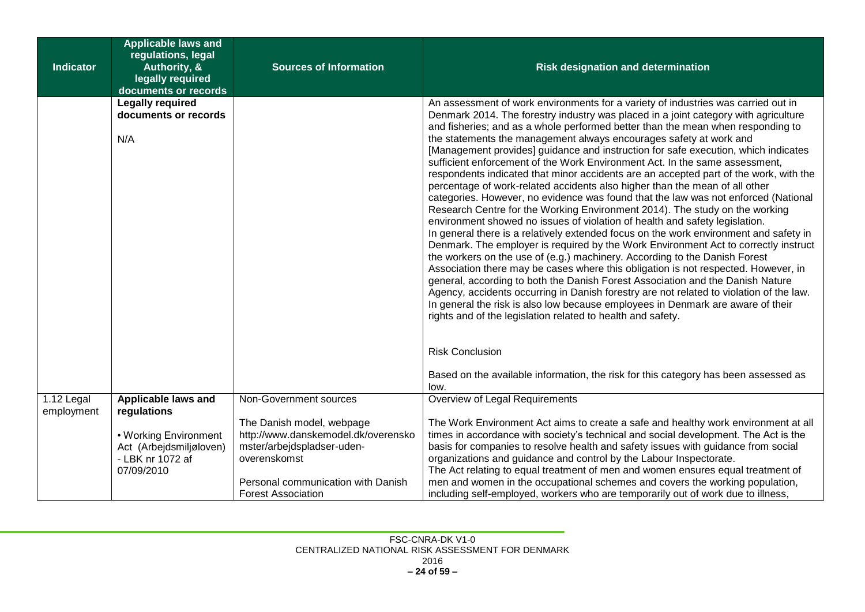| <b>Indicator</b>                      | <b>Applicable laws and</b><br>regulations, legal<br>Authority, &<br>legally required<br>documents or records | <b>Sources of Information</b>                                                                                                                                                     | <b>Risk designation and determination</b>                                                                                                                                                                                                                                                                                                                                                                                                                                                                                                                                                                                                                                                                                                                                                                                                                                                                                                                                                                                                                                                                                                                                                                                                                                                                                                                                                                                                                                                                                                                                                                                                       |
|---------------------------------------|--------------------------------------------------------------------------------------------------------------|-----------------------------------------------------------------------------------------------------------------------------------------------------------------------------------|-------------------------------------------------------------------------------------------------------------------------------------------------------------------------------------------------------------------------------------------------------------------------------------------------------------------------------------------------------------------------------------------------------------------------------------------------------------------------------------------------------------------------------------------------------------------------------------------------------------------------------------------------------------------------------------------------------------------------------------------------------------------------------------------------------------------------------------------------------------------------------------------------------------------------------------------------------------------------------------------------------------------------------------------------------------------------------------------------------------------------------------------------------------------------------------------------------------------------------------------------------------------------------------------------------------------------------------------------------------------------------------------------------------------------------------------------------------------------------------------------------------------------------------------------------------------------------------------------------------------------------------------------|
|                                       | <b>Legally required</b><br>documents or records<br>N/A                                                       |                                                                                                                                                                                   | An assessment of work environments for a variety of industries was carried out in<br>Denmark 2014. The forestry industry was placed in a joint category with agriculture<br>and fisheries; and as a whole performed better than the mean when responding to<br>the statements the management always encourages safety at work and<br>[Management provides] guidance and instruction for safe execution, which indicates<br>sufficient enforcement of the Work Environment Act. In the same assessment,<br>respondents indicated that minor accidents are an accepted part of the work, with the<br>percentage of work-related accidents also higher than the mean of all other<br>categories. However, no evidence was found that the law was not enforced (National<br>Research Centre for the Working Environment 2014). The study on the working<br>environment showed no issues of violation of health and safety legislation.<br>In general there is a relatively extended focus on the work environment and safety in<br>Denmark. The employer is required by the Work Environment Act to correctly instruct<br>the workers on the use of (e.g.) machinery. According to the Danish Forest<br>Association there may be cases where this obligation is not respected. However, in<br>general, according to both the Danish Forest Association and the Danish Nature<br>Agency, accidents occurring in Danish forestry are not related to violation of the law.<br>In general the risk is also low because employees in Denmark are aware of their<br>rights and of the legislation related to health and safety.<br><b>Risk Conclusion</b> |
|                                       |                                                                                                              |                                                                                                                                                                                   | Based on the available information, the risk for this category has been assessed as<br>low.                                                                                                                                                                                                                                                                                                                                                                                                                                                                                                                                                                                                                                                                                                                                                                                                                                                                                                                                                                                                                                                                                                                                                                                                                                                                                                                                                                                                                                                                                                                                                     |
| $\overline{1.12}$ Legal<br>employment | Applicable laws and<br>regulations                                                                           | Non-Government sources                                                                                                                                                            | Overview of Legal Requirements                                                                                                                                                                                                                                                                                                                                                                                                                                                                                                                                                                                                                                                                                                                                                                                                                                                                                                                                                                                                                                                                                                                                                                                                                                                                                                                                                                                                                                                                                                                                                                                                                  |
|                                       | • Working Environment<br>Act (Arbejdsmiljøloven)<br>- LBK nr 1072 af<br>07/09/2010                           | The Danish model, webpage<br>http://www.danskemodel.dk/overensko<br>mster/arbejdspladser-uden-<br>overenskomst<br>Personal communication with Danish<br><b>Forest Association</b> | The Work Environment Act aims to create a safe and healthy work environment at all<br>times in accordance with society's technical and social development. The Act is the<br>basis for companies to resolve health and safety issues with guidance from social<br>organizations and guidance and control by the Labour Inspectorate.<br>The Act relating to equal treatment of men and women ensures equal treatment of<br>men and women in the occupational schemes and covers the working population,<br>including self-employed, workers who are temporarily out of work due to illness,                                                                                                                                                                                                                                                                                                                                                                                                                                                                                                                                                                                                                                                                                                                                                                                                                                                                                                                                                                                                                                                     |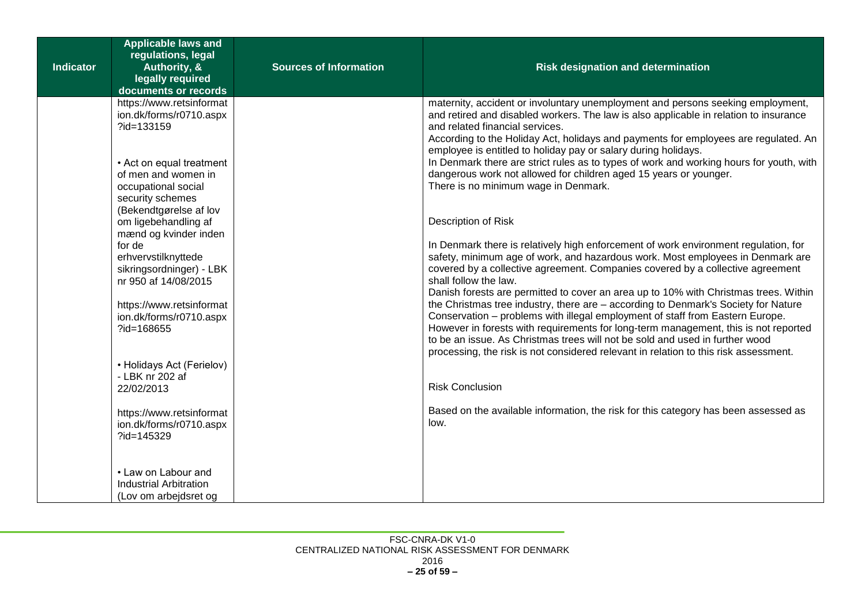| <b>Indicator</b> | <b>Applicable laws and</b><br>regulations, legal<br>Authority, &<br>legally required<br>documents or records                                                                                                                                                                                                                                                                                                                                                       | <b>Sources of Information</b> | <b>Risk designation and determination</b>                                                                                                                                                                                                                                                                                                                                                                                                                                                                                                                                                                                                                                                                                                                                                                                                                                                                                                                                                                                                                                                                                                                                                                                                                                                                                                                                                                                                       |
|------------------|--------------------------------------------------------------------------------------------------------------------------------------------------------------------------------------------------------------------------------------------------------------------------------------------------------------------------------------------------------------------------------------------------------------------------------------------------------------------|-------------------------------|-------------------------------------------------------------------------------------------------------------------------------------------------------------------------------------------------------------------------------------------------------------------------------------------------------------------------------------------------------------------------------------------------------------------------------------------------------------------------------------------------------------------------------------------------------------------------------------------------------------------------------------------------------------------------------------------------------------------------------------------------------------------------------------------------------------------------------------------------------------------------------------------------------------------------------------------------------------------------------------------------------------------------------------------------------------------------------------------------------------------------------------------------------------------------------------------------------------------------------------------------------------------------------------------------------------------------------------------------------------------------------------------------------------------------------------------------|
|                  | https://www.retsinformat<br>ion.dk/forms/r0710.aspx<br>?id=133159<br>• Act on equal treatment<br>of men and women in<br>occupational social<br>security schemes<br>(Bekendtgørelse af lov<br>om ligebehandling af<br>mænd og kvinder inden<br>for de<br>erhvervstilknyttede<br>sikringsordninger) - LBK<br>nr 950 af 14/08/2015<br>https://www.retsinformat<br>ion.dk/forms/r0710.aspx<br>?id=168655<br>• Holidays Act (Ferielov)<br>- LBK nr 202 af<br>22/02/2013 |                               | maternity, accident or involuntary unemployment and persons seeking employment,<br>and retired and disabled workers. The law is also applicable in relation to insurance<br>and related financial services.<br>According to the Holiday Act, holidays and payments for employees are regulated. An<br>employee is entitled to holiday pay or salary during holidays.<br>In Denmark there are strict rules as to types of work and working hours for youth, with<br>dangerous work not allowed for children aged 15 years or younger.<br>There is no minimum wage in Denmark.<br>Description of Risk<br>In Denmark there is relatively high enforcement of work environment regulation, for<br>safety, minimum age of work, and hazardous work. Most employees in Denmark are<br>covered by a collective agreement. Companies covered by a collective agreement<br>shall follow the law.<br>Danish forests are permitted to cover an area up to 10% with Christmas trees. Within<br>the Christmas tree industry, there are - according to Denmark's Society for Nature<br>Conservation - problems with illegal employment of staff from Eastern Europe.<br>However in forests with requirements for long-term management, this is not reported<br>to be an issue. As Christmas trees will not be sold and used in further wood<br>processing, the risk is not considered relevant in relation to this risk assessment.<br><b>Risk Conclusion</b> |
|                  | https://www.retsinformat<br>ion.dk/forms/r0710.aspx<br>?id=145329                                                                                                                                                                                                                                                                                                                                                                                                  |                               | Based on the available information, the risk for this category has been assessed as<br>low.                                                                                                                                                                                                                                                                                                                                                                                                                                                                                                                                                                                                                                                                                                                                                                                                                                                                                                                                                                                                                                                                                                                                                                                                                                                                                                                                                     |
|                  | • Law on Labour and<br><b>Industrial Arbitration</b><br>(Lov om arbejdsret og                                                                                                                                                                                                                                                                                                                                                                                      |                               |                                                                                                                                                                                                                                                                                                                                                                                                                                                                                                                                                                                                                                                                                                                                                                                                                                                                                                                                                                                                                                                                                                                                                                                                                                                                                                                                                                                                                                                 |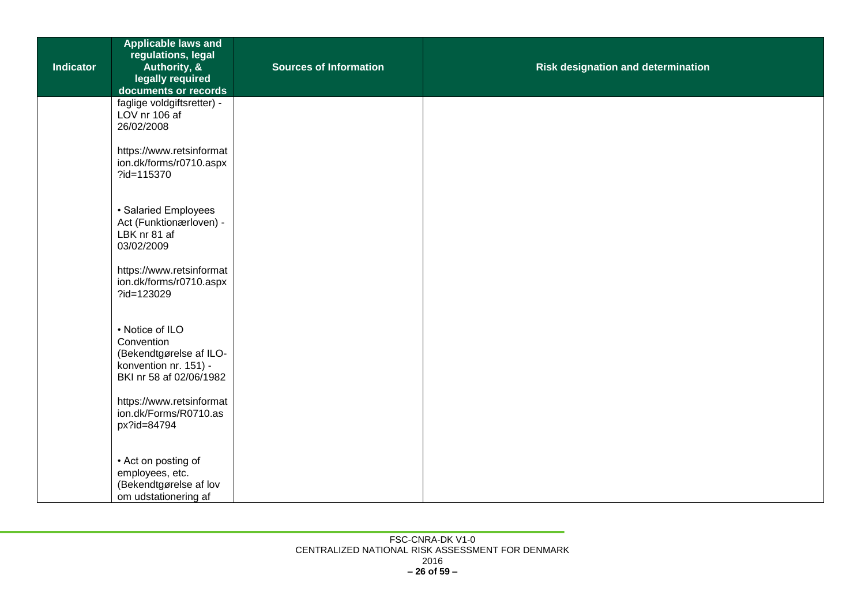| <b>Indicator</b> | <b>Applicable laws and</b><br>regulations, legal<br>Authority, &<br>legally required<br>documents or records | <b>Sources of Information</b> | <b>Risk designation and determination</b> |
|------------------|--------------------------------------------------------------------------------------------------------------|-------------------------------|-------------------------------------------|
|                  | faglige voldgiftsretter) -<br>LOV nr 106 af<br>26/02/2008                                                    |                               |                                           |
|                  | https://www.retsinformat<br>ion.dk/forms/r0710.aspx<br>?id=115370                                            |                               |                                           |
|                  | · Salaried Employees<br>Act (Funktionærloven) -<br>LBK nr 81 af<br>03/02/2009                                |                               |                                           |
|                  | https://www.retsinformat<br>ion.dk/forms/r0710.aspx<br>?id=123029                                            |                               |                                           |
|                  | • Notice of ILO<br>Convention<br>(Bekendtgørelse af ILO-<br>konvention nr. 151) -<br>BKI nr 58 af 02/06/1982 |                               |                                           |
|                  | https://www.retsinformat<br>ion.dk/Forms/R0710.as<br>px?id=84794                                             |                               |                                           |
|                  | • Act on posting of<br>employees, etc.<br>(Bekendtgørelse af lov<br>om udstationering af                     |                               |                                           |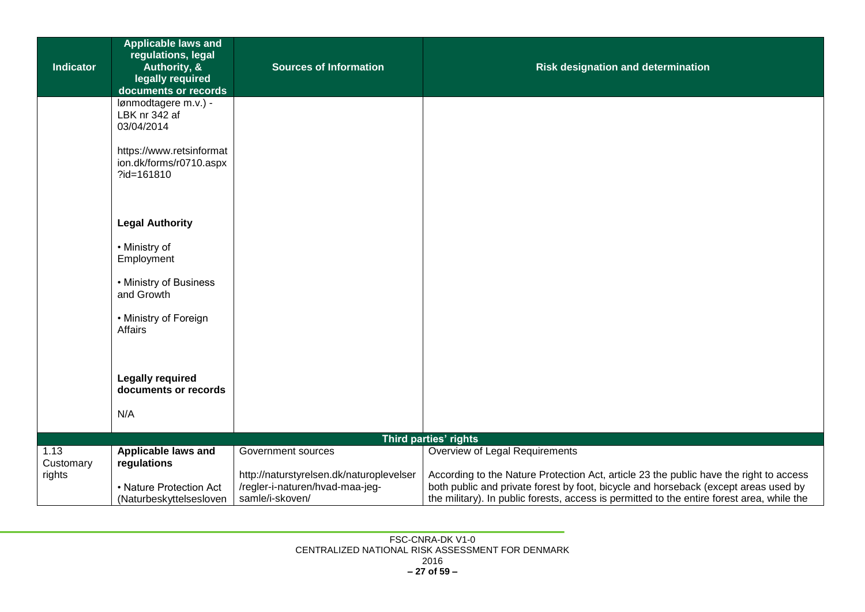| <b>Indicator</b>  | <b>Applicable laws and</b><br>regulations, legal<br>Authority, &  | <b>Sources of Information</b>                                                                  | <b>Risk designation and determination</b>                                                                                                                                                                                                                                   |
|-------------------|-------------------------------------------------------------------|------------------------------------------------------------------------------------------------|-----------------------------------------------------------------------------------------------------------------------------------------------------------------------------------------------------------------------------------------------------------------------------|
|                   | legally required<br>documents or records                          |                                                                                                |                                                                                                                                                                                                                                                                             |
|                   | lønmodtagere m.v.) -<br>LBK nr 342 af<br>03/04/2014               |                                                                                                |                                                                                                                                                                                                                                                                             |
|                   | https://www.retsinformat<br>ion.dk/forms/r0710.aspx<br>?id=161810 |                                                                                                |                                                                                                                                                                                                                                                                             |
|                   | <b>Legal Authority</b>                                            |                                                                                                |                                                                                                                                                                                                                                                                             |
|                   | • Ministry of<br>Employment                                       |                                                                                                |                                                                                                                                                                                                                                                                             |
|                   | • Ministry of Business<br>and Growth                              |                                                                                                |                                                                                                                                                                                                                                                                             |
|                   | • Ministry of Foreign<br><b>Affairs</b>                           |                                                                                                |                                                                                                                                                                                                                                                                             |
|                   |                                                                   |                                                                                                |                                                                                                                                                                                                                                                                             |
|                   | <b>Legally required</b><br>documents or records                   |                                                                                                |                                                                                                                                                                                                                                                                             |
|                   | N/A                                                               |                                                                                                |                                                                                                                                                                                                                                                                             |
|                   |                                                                   |                                                                                                | Third parties' rights                                                                                                                                                                                                                                                       |
| 1.13<br>Customary | Applicable laws and<br>regulations                                | Government sources                                                                             | Overview of Legal Requirements                                                                                                                                                                                                                                              |
| rights            | • Nature Protection Act                                           | http://naturstyrelsen.dk/naturoplevelser<br>/regler-i-naturen/hvad-maa-jeg-<br>samle/i-skoven/ | According to the Nature Protection Act, article 23 the public have the right to access<br>both public and private forest by foot, bicycle and horseback (except areas used by<br>the military). In public forests, access is permitted to the entire forest area, while the |
|                   | (Naturbeskyttelsesloven                                           |                                                                                                |                                                                                                                                                                                                                                                                             |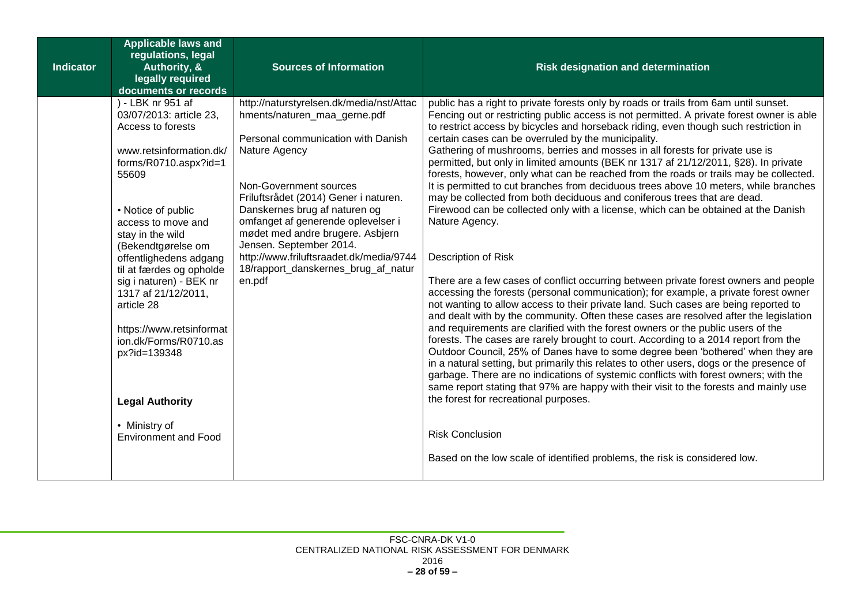| <b>Indicator</b> | <b>Applicable laws and</b><br>regulations, legal<br>Authority, &<br>legally required<br>documents or records                                                                                                                                                                                                                                                                                                                                                                              | <b>Sources of Information</b>                                                                                                                                                                                                                                                                                                                                                                                                        | <b>Risk designation and determination</b>                                                                                                                                                                                                                                                                                                                                                                                                                                                                                                                                                                                                                                                                                                                                                                                                                                                                                                                                                                                                                                                                                                                                                                                                                                                                                                                                                                                                                                                                                                                                                                                                                                                                                                                                                                                                                                                                                                                      |
|------------------|-------------------------------------------------------------------------------------------------------------------------------------------------------------------------------------------------------------------------------------------------------------------------------------------------------------------------------------------------------------------------------------------------------------------------------------------------------------------------------------------|--------------------------------------------------------------------------------------------------------------------------------------------------------------------------------------------------------------------------------------------------------------------------------------------------------------------------------------------------------------------------------------------------------------------------------------|----------------------------------------------------------------------------------------------------------------------------------------------------------------------------------------------------------------------------------------------------------------------------------------------------------------------------------------------------------------------------------------------------------------------------------------------------------------------------------------------------------------------------------------------------------------------------------------------------------------------------------------------------------------------------------------------------------------------------------------------------------------------------------------------------------------------------------------------------------------------------------------------------------------------------------------------------------------------------------------------------------------------------------------------------------------------------------------------------------------------------------------------------------------------------------------------------------------------------------------------------------------------------------------------------------------------------------------------------------------------------------------------------------------------------------------------------------------------------------------------------------------------------------------------------------------------------------------------------------------------------------------------------------------------------------------------------------------------------------------------------------------------------------------------------------------------------------------------------------------------------------------------------------------------------------------------------------------|
|                  | ) - LBK nr 951 af<br>03/07/2013: article 23,<br>Access to forests<br>www.retsinformation.dk/<br>forms/R0710.aspx?id=1<br>55609<br>• Notice of public<br>access to move and<br>stay in the wild<br>(Bekendtgørelse om<br>offentlighedens adgang<br>til at færdes og opholde<br>sig i naturen) - BEK nr<br>1317 af 21/12/2011,<br>article 28<br>https://www.retsinformat<br>ion.dk/Forms/R0710.as<br>px?id=139348<br><b>Legal Authority</b><br>• Ministry of<br><b>Environment and Food</b> | http://naturstyrelsen.dk/media/nst/Attac<br>hments/naturen_maa_gerne.pdf<br>Personal communication with Danish<br>Nature Agency<br>Non-Government sources<br>Friluftsrådet (2014) Gener i naturen.<br>Danskernes brug af naturen og<br>omfanget af generende oplevelser i<br>mødet med andre brugere. Asbjern<br>Jensen. September 2014.<br>http://www.friluftsraadet.dk/media/9744<br>18/rapport_danskernes_brug_af_natur<br>en.pdf | public has a right to private forests only by roads or trails from 6am until sunset.<br>Fencing out or restricting public access is not permitted. A private forest owner is able<br>to restrict access by bicycles and horseback riding, even though such restriction in<br>certain cases can be overruled by the municipality.<br>Gathering of mushrooms, berries and mosses in all forests for private use is<br>permitted, but only in limited amounts (BEK nr 1317 af 21/12/2011, §28). In private<br>forests, however, only what can be reached from the roads or trails may be collected.<br>It is permitted to cut branches from deciduous trees above 10 meters, while branches<br>may be collected from both deciduous and coniferous trees that are dead.<br>Firewood can be collected only with a license, which can be obtained at the Danish<br>Nature Agency.<br>Description of Risk<br>There are a few cases of conflict occurring between private forest owners and people<br>accessing the forests (personal communication); for example, a private forest owner<br>not wanting to allow access to their private land. Such cases are being reported to<br>and dealt with by the community. Often these cases are resolved after the legislation<br>and requirements are clarified with the forest owners or the public users of the<br>forests. The cases are rarely brought to court. According to a 2014 report from the<br>Outdoor Council, 25% of Danes have to some degree been 'bothered' when they are<br>in a natural setting, but primarily this relates to other users, dogs or the presence of<br>garbage. There are no indications of systemic conflicts with forest owners; with the<br>same report stating that 97% are happy with their visit to the forests and mainly use<br>the forest for recreational purposes.<br><b>Risk Conclusion</b><br>Based on the low scale of identified problems, the risk is considered low. |
|                  |                                                                                                                                                                                                                                                                                                                                                                                                                                                                                           |                                                                                                                                                                                                                                                                                                                                                                                                                                      |                                                                                                                                                                                                                                                                                                                                                                                                                                                                                                                                                                                                                                                                                                                                                                                                                                                                                                                                                                                                                                                                                                                                                                                                                                                                                                                                                                                                                                                                                                                                                                                                                                                                                                                                                                                                                                                                                                                                                                |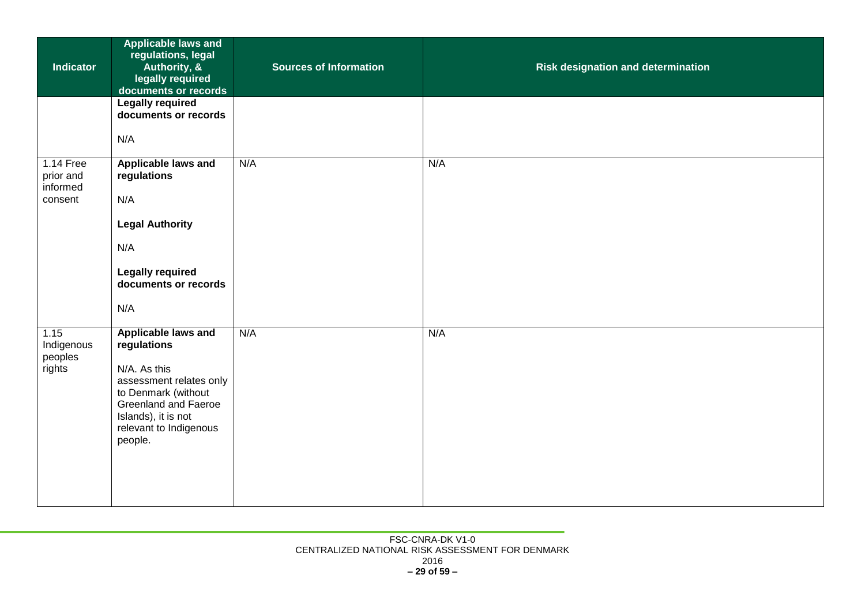| <b>Indicator</b>                              | <b>Applicable laws and</b><br>regulations, legal<br>Authority, &<br>legally required<br>documents or records                                                                                           | <b>Sources of Information</b> | Risk designation and determination |
|-----------------------------------------------|--------------------------------------------------------------------------------------------------------------------------------------------------------------------------------------------------------|-------------------------------|------------------------------------|
|                                               | <b>Legally required</b><br>documents or records<br>N/A                                                                                                                                                 |                               |                                    |
| 1.14 Free<br>prior and<br>informed<br>consent | Applicable laws and<br>regulations<br>N/A<br><b>Legal Authority</b><br>N/A<br><b>Legally required</b><br>documents or records<br>N/A                                                                   | N/A                           | N/A                                |
| 1.15<br>Indigenous<br>peoples<br>rights       | <b>Applicable laws and</b><br>regulations<br>N/A. As this<br>assessment relates only<br>to Denmark (without<br><b>Greenland and Faeroe</b><br>Islands), it is not<br>relevant to Indigenous<br>people. | N/A                           | N/A                                |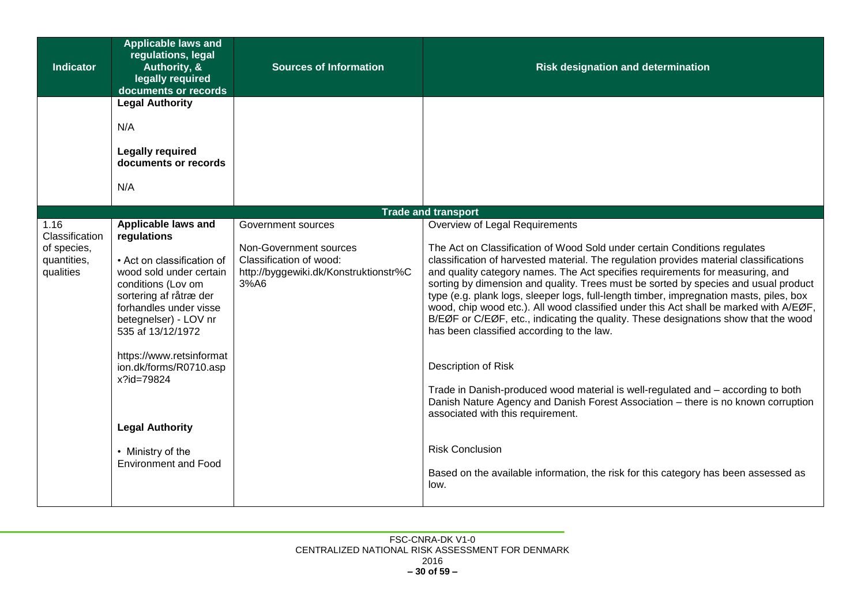| <b>Indicator</b>                        | <b>Applicable laws and</b><br>regulations, legal<br>Authority, &<br>legally required<br>documents or records                                                                  | <b>Sources of Information</b>                                                                      | <b>Risk designation and determination</b>                                                                                                                                                                                                                                                                                                                                                                                                                                                                                                                                                                                                                           |
|-----------------------------------------|-------------------------------------------------------------------------------------------------------------------------------------------------------------------------------|----------------------------------------------------------------------------------------------------|---------------------------------------------------------------------------------------------------------------------------------------------------------------------------------------------------------------------------------------------------------------------------------------------------------------------------------------------------------------------------------------------------------------------------------------------------------------------------------------------------------------------------------------------------------------------------------------------------------------------------------------------------------------------|
|                                         | <b>Legal Authority</b>                                                                                                                                                        |                                                                                                    |                                                                                                                                                                                                                                                                                                                                                                                                                                                                                                                                                                                                                                                                     |
|                                         | N/A                                                                                                                                                                           |                                                                                                    |                                                                                                                                                                                                                                                                                                                                                                                                                                                                                                                                                                                                                                                                     |
|                                         | <b>Legally required</b><br>documents or records                                                                                                                               |                                                                                                    |                                                                                                                                                                                                                                                                                                                                                                                                                                                                                                                                                                                                                                                                     |
|                                         | N/A                                                                                                                                                                           |                                                                                                    |                                                                                                                                                                                                                                                                                                                                                                                                                                                                                                                                                                                                                                                                     |
|                                         |                                                                                                                                                                               |                                                                                                    | <b>Trade and transport</b>                                                                                                                                                                                                                                                                                                                                                                                                                                                                                                                                                                                                                                          |
| 1.16<br>Classification                  | Applicable laws and<br>regulations                                                                                                                                            | Government sources                                                                                 | Overview of Legal Requirements                                                                                                                                                                                                                                                                                                                                                                                                                                                                                                                                                                                                                                      |
| of species,<br>quantities,<br>qualities | • Act on classification of<br>wood sold under certain<br>conditions (Lov om<br>sortering af råtræ der<br>forhandles under visse<br>betegnelser) - LOV nr<br>535 af 13/12/1972 | Non-Government sources<br>Classification of wood:<br>http://byggewiki.dk/Konstruktionstr%C<br>3%A6 | The Act on Classification of Wood Sold under certain Conditions regulates<br>classification of harvested material. The regulation provides material classifications<br>and quality category names. The Act specifies requirements for measuring, and<br>sorting by dimension and quality. Trees must be sorted by species and usual product<br>type (e.g. plank logs, sleeper logs, full-length timber, impregnation masts, piles, box<br>wood, chip wood etc.). All wood classified under this Act shall be marked with A/EØF,<br>B/EØF or C/EØF, etc., indicating the quality. These designations show that the wood<br>has been classified according to the law. |
|                                         | https://www.retsinformat<br>ion.dk/forms/R0710.asp<br>x?id=79824                                                                                                              |                                                                                                    | Description of Risk<br>Trade in Danish-produced wood material is well-regulated and – according to both<br>Danish Nature Agency and Danish Forest Association - there is no known corruption<br>associated with this requirement.                                                                                                                                                                                                                                                                                                                                                                                                                                   |
|                                         | <b>Legal Authority</b>                                                                                                                                                        |                                                                                                    |                                                                                                                                                                                                                                                                                                                                                                                                                                                                                                                                                                                                                                                                     |
|                                         | • Ministry of the<br><b>Environment and Food</b>                                                                                                                              |                                                                                                    | <b>Risk Conclusion</b><br>Based on the available information, the risk for this category has been assessed as<br>low.                                                                                                                                                                                                                                                                                                                                                                                                                                                                                                                                               |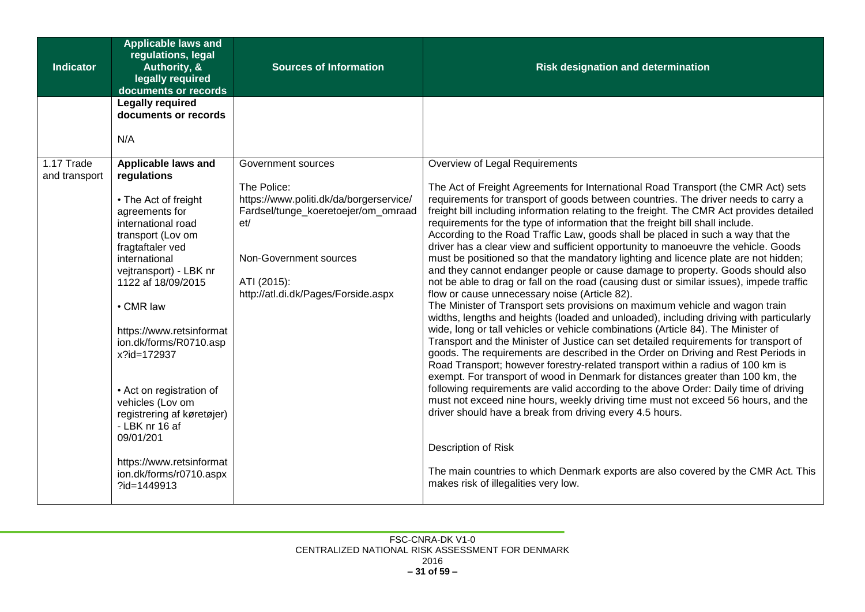| <b>Indicator</b>            | <b>Applicable laws and</b><br>regulations, legal<br>Authority, &<br>legally required<br>documents or records                                                                                                                                                                                                                                                          | <b>Sources of Information</b>                                                                                                                                                        | <b>Risk designation and determination</b>                                                                                                                                                                                                                                                                                                                                                                                                                                                                                                                                                                                                                                                                                                                                                                                                                                                                                                                                                                                                                                                                                                                                                                                                                                                                                                                                                                                                                                                                                                                                                                                                                                                                                              |
|-----------------------------|-----------------------------------------------------------------------------------------------------------------------------------------------------------------------------------------------------------------------------------------------------------------------------------------------------------------------------------------------------------------------|--------------------------------------------------------------------------------------------------------------------------------------------------------------------------------------|----------------------------------------------------------------------------------------------------------------------------------------------------------------------------------------------------------------------------------------------------------------------------------------------------------------------------------------------------------------------------------------------------------------------------------------------------------------------------------------------------------------------------------------------------------------------------------------------------------------------------------------------------------------------------------------------------------------------------------------------------------------------------------------------------------------------------------------------------------------------------------------------------------------------------------------------------------------------------------------------------------------------------------------------------------------------------------------------------------------------------------------------------------------------------------------------------------------------------------------------------------------------------------------------------------------------------------------------------------------------------------------------------------------------------------------------------------------------------------------------------------------------------------------------------------------------------------------------------------------------------------------------------------------------------------------------------------------------------------------|
|                             | <b>Legally required</b><br>documents or records                                                                                                                                                                                                                                                                                                                       |                                                                                                                                                                                      |                                                                                                                                                                                                                                                                                                                                                                                                                                                                                                                                                                                                                                                                                                                                                                                                                                                                                                                                                                                                                                                                                                                                                                                                                                                                                                                                                                                                                                                                                                                                                                                                                                                                                                                                        |
|                             | N/A                                                                                                                                                                                                                                                                                                                                                                   |                                                                                                                                                                                      |                                                                                                                                                                                                                                                                                                                                                                                                                                                                                                                                                                                                                                                                                                                                                                                                                                                                                                                                                                                                                                                                                                                                                                                                                                                                                                                                                                                                                                                                                                                                                                                                                                                                                                                                        |
| 1.17 Trade<br>and transport | Applicable laws and<br>regulations                                                                                                                                                                                                                                                                                                                                    | Government sources                                                                                                                                                                   | Overview of Legal Requirements                                                                                                                                                                                                                                                                                                                                                                                                                                                                                                                                                                                                                                                                                                                                                                                                                                                                                                                                                                                                                                                                                                                                                                                                                                                                                                                                                                                                                                                                                                                                                                                                                                                                                                         |
|                             | • The Act of freight<br>agreements for<br>international road<br>transport (Lov om<br>fragtaftaler ved<br>international<br>vejtransport) - LBK nr<br>1122 af 18/09/2015<br>• CMR law<br>https://www.retsinformat<br>ion.dk/forms/R0710.asp<br>x?id=172937<br>• Act on registration of<br>vehicles (Lov om<br>registrering af køretøjer)<br>- LBK nr 16 af<br>09/01/201 | The Police:<br>https://www.politi.dk/da/borgerservice/<br>Fardsel/tunge_koeretoejer/om_omraad<br>et/<br>Non-Government sources<br>ATI (2015):<br>http://atl.di.dk/Pages/Forside.aspx | The Act of Freight Agreements for International Road Transport (the CMR Act) sets<br>requirements for transport of goods between countries. The driver needs to carry a<br>freight bill including information relating to the freight. The CMR Act provides detailed<br>requirements for the type of information that the freight bill shall include.<br>According to the Road Traffic Law, goods shall be placed in such a way that the<br>driver has a clear view and sufficient opportunity to manoeuvre the vehicle. Goods<br>must be positioned so that the mandatory lighting and licence plate are not hidden;<br>and they cannot endanger people or cause damage to property. Goods should also<br>not be able to drag or fall on the road (causing dust or similar issues), impede traffic<br>flow or cause unnecessary noise (Article 82).<br>The Minister of Transport sets provisions on maximum vehicle and wagon train<br>widths, lengths and heights (loaded and unloaded), including driving with particularly<br>wide, long or tall vehicles or vehicle combinations (Article 84). The Minister of<br>Transport and the Minister of Justice can set detailed requirements for transport of<br>goods. The requirements are described in the Order on Driving and Rest Periods in<br>Road Transport; however forestry-related transport within a radius of 100 km is<br>exempt. For transport of wood in Denmark for distances greater than 100 km, the<br>following requirements are valid according to the above Order: Daily time of driving<br>must not exceed nine hours, weekly driving time must not exceed 56 hours, and the<br>driver should have a break from driving every 4.5 hours.<br>Description of Risk |
|                             | https://www.retsinformat<br>ion.dk/forms/r0710.aspx<br>?id=1449913                                                                                                                                                                                                                                                                                                    |                                                                                                                                                                                      | The main countries to which Denmark exports are also covered by the CMR Act. This<br>makes risk of illegalities very low.                                                                                                                                                                                                                                                                                                                                                                                                                                                                                                                                                                                                                                                                                                                                                                                                                                                                                                                                                                                                                                                                                                                                                                                                                                                                                                                                                                                                                                                                                                                                                                                                              |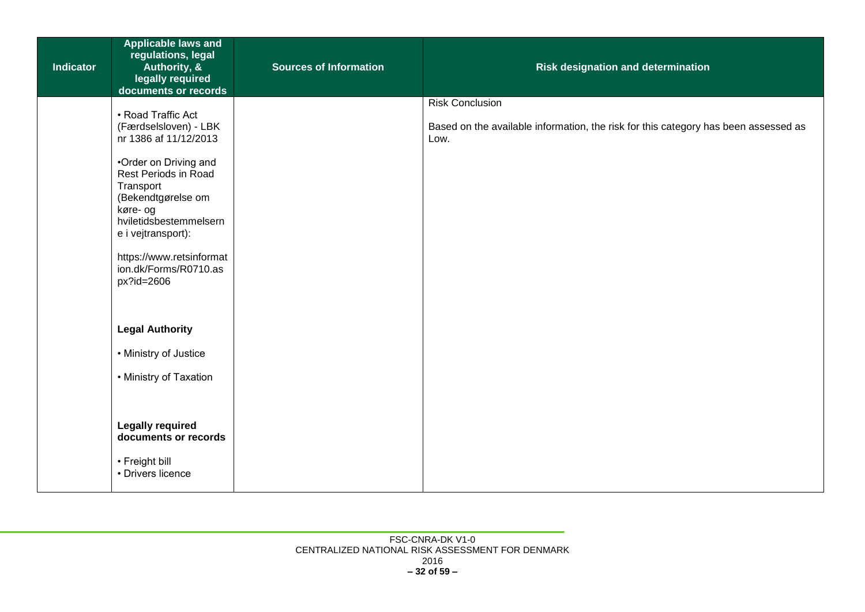| <b>Indicator</b> | <b>Applicable laws and</b><br>regulations, legal<br>Authority, &<br>legally required<br>documents or records                                                         | <b>Sources of Information</b> | <b>Risk designation and determination</b>                                                                             |
|------------------|----------------------------------------------------------------------------------------------------------------------------------------------------------------------|-------------------------------|-----------------------------------------------------------------------------------------------------------------------|
|                  | • Road Traffic Act<br>(Færdselsloven) - LBK<br>nr 1386 af 11/12/2013<br>•Order on Driving and<br>Rest Periods in Road<br>Transport<br>(Bekendtgørelse om<br>køre- og |                               | <b>Risk Conclusion</b><br>Based on the available information, the risk for this category has been assessed as<br>Low. |
|                  | hviletidsbestemmelsern<br>e i vejtransport):<br>https://www.retsinformat<br>ion.dk/Forms/R0710.as<br>px?id=2606                                                      |                               |                                                                                                                       |
|                  | <b>Legal Authority</b><br>• Ministry of Justice                                                                                                                      |                               |                                                                                                                       |
|                  | • Ministry of Taxation                                                                                                                                               |                               |                                                                                                                       |
|                  | <b>Legally required</b><br>documents or records                                                                                                                      |                               |                                                                                                                       |
|                  | • Freight bill<br>• Drivers licence                                                                                                                                  |                               |                                                                                                                       |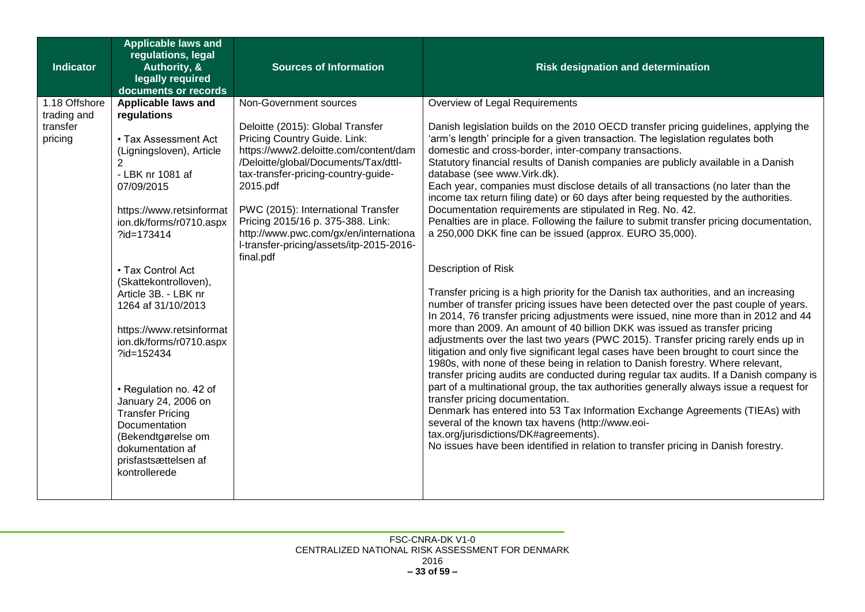| <b>Indicator</b>             | <b>Applicable laws and</b><br>regulations, legal<br>Authority, &<br>legally required<br>documents or records                                                                 | <b>Sources of Information</b>                                                                                                                                                                                                                                                                                                                                        | <b>Risk designation and determination</b>                                                                                                                                                                                                                                                                                                                                                                                                                                                                                                                                                                                                                                                                                                              |
|------------------------------|------------------------------------------------------------------------------------------------------------------------------------------------------------------------------|----------------------------------------------------------------------------------------------------------------------------------------------------------------------------------------------------------------------------------------------------------------------------------------------------------------------------------------------------------------------|--------------------------------------------------------------------------------------------------------------------------------------------------------------------------------------------------------------------------------------------------------------------------------------------------------------------------------------------------------------------------------------------------------------------------------------------------------------------------------------------------------------------------------------------------------------------------------------------------------------------------------------------------------------------------------------------------------------------------------------------------------|
| 1.18 Offshore<br>trading and | Applicable laws and<br>regulations                                                                                                                                           | Non-Government sources                                                                                                                                                                                                                                                                                                                                               | Overview of Legal Requirements                                                                                                                                                                                                                                                                                                                                                                                                                                                                                                                                                                                                                                                                                                                         |
| transfer<br>pricing          | • Tax Assessment Act<br>(Ligningsloven), Article<br>$\overline{2}$<br>- LBK nr 1081 af<br>07/09/2015<br>https://www.retsinformat<br>ion.dk/forms/r0710.aspx<br>?id=173414    | Deloitte (2015): Global Transfer<br>Pricing Country Guide. Link:<br>https://www2.deloitte.com/content/dam<br>/Deloitte/global/Documents/Tax/dttl-<br>tax-transfer-pricing-country-guide-<br>2015.pdf<br>PWC (2015): International Transfer<br>Pricing 2015/16 p. 375-388. Link:<br>http://www.pwc.com/gx/en/internationa<br>I-transfer-pricing/assets/itp-2015-2016- | Danish legislation builds on the 2010 OECD transfer pricing guidelines, applying the<br>'arm's length' principle for a given transaction. The legislation regulates both<br>domestic and cross-border, inter-company transactions.<br>Statutory financial results of Danish companies are publicly available in a Danish<br>database (see www.Virk.dk).<br>Each year, companies must disclose details of all transactions (no later than the<br>income tax return filing date) or 60 days after being requested by the authorities.<br>Documentation requirements are stipulated in Reg. No. 42.<br>Penalties are in place. Following the failure to submit transfer pricing documentation,<br>a 250,000 DKK fine can be issued (approx. EURO 35,000). |
|                              | • Tax Control Act                                                                                                                                                            | final.pdf                                                                                                                                                                                                                                                                                                                                                            | Description of Risk                                                                                                                                                                                                                                                                                                                                                                                                                                                                                                                                                                                                                                                                                                                                    |
|                              | (Skattekontrolloven),<br>Article 3B. - LBK nr<br>1264 af 31/10/2013<br>https://www.retsinformat<br>ion.dk/forms/r0710.aspx<br>?id=152434                                     |                                                                                                                                                                                                                                                                                                                                                                      | Transfer pricing is a high priority for the Danish tax authorities, and an increasing<br>number of transfer pricing issues have been detected over the past couple of years.<br>In 2014, 76 transfer pricing adjustments were issued, nine more than in 2012 and 44<br>more than 2009. An amount of 40 billion DKK was issued as transfer pricing<br>adjustments over the last two years (PWC 2015). Transfer pricing rarely ends up in<br>litigation and only five significant legal cases have been brought to court since the<br>1980s, with none of these being in relation to Danish forestry. Where relevant,<br>transfer pricing audits are conducted during regular tax audits. If a Danish company is                                         |
|                              | • Regulation no. 42 of<br>January 24, 2006 on<br><b>Transfer Pricing</b><br>Documentation<br>(Bekendtgørelse om<br>dokumentation af<br>prisfastsættelsen af<br>kontrollerede |                                                                                                                                                                                                                                                                                                                                                                      | part of a multinational group, the tax authorities generally always issue a request for<br>transfer pricing documentation.<br>Denmark has entered into 53 Tax Information Exchange Agreements (TIEAs) with<br>several of the known tax havens (http://www.eoi-<br>tax.org/jurisdictions/DK#agreements).<br>No issues have been identified in relation to transfer pricing in Danish forestry.                                                                                                                                                                                                                                                                                                                                                          |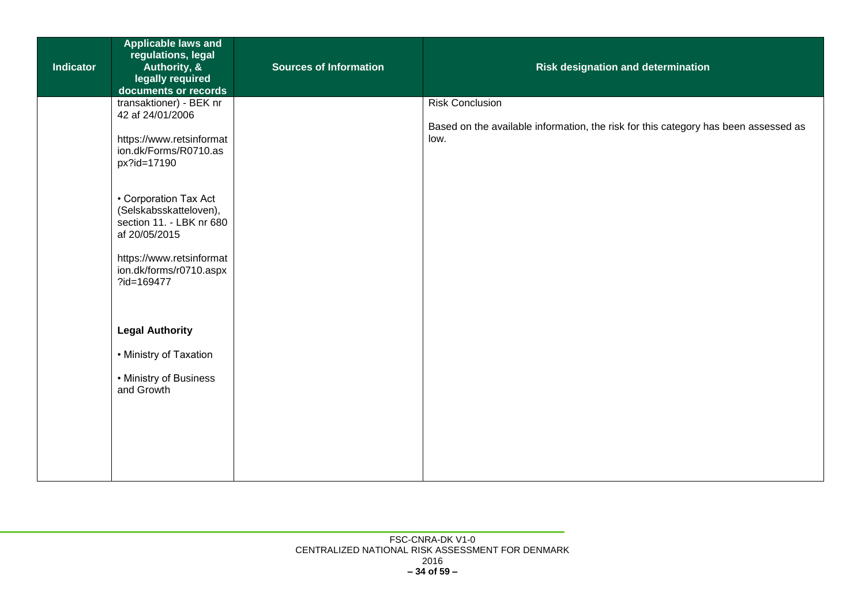| <b>Indicator</b> | <b>Applicable laws and</b><br>regulations, legal<br>Authority, &<br>legally required<br>documents or records                                                      | <b>Sources of Information</b> | <b>Risk designation and determination</b>                                                                             |
|------------------|-------------------------------------------------------------------------------------------------------------------------------------------------------------------|-------------------------------|-----------------------------------------------------------------------------------------------------------------------|
|                  | transaktioner) - BEK nr<br>42 af 24/01/2006<br>https://www.retsinformat<br>ion.dk/Forms/R0710.as<br>px?id=17190                                                   |                               | <b>Risk Conclusion</b><br>Based on the available information, the risk for this category has been assessed as<br>low. |
|                  | • Corporation Tax Act<br>(Selskabsskatteloven),<br>section 11. - LBK nr 680<br>af 20/05/2015<br>https://www.retsinformat<br>ion.dk/forms/r0710.aspx<br>?id=169477 |                               |                                                                                                                       |
|                  | <b>Legal Authority</b><br>• Ministry of Taxation<br>• Ministry of Business<br>and Growth                                                                          |                               |                                                                                                                       |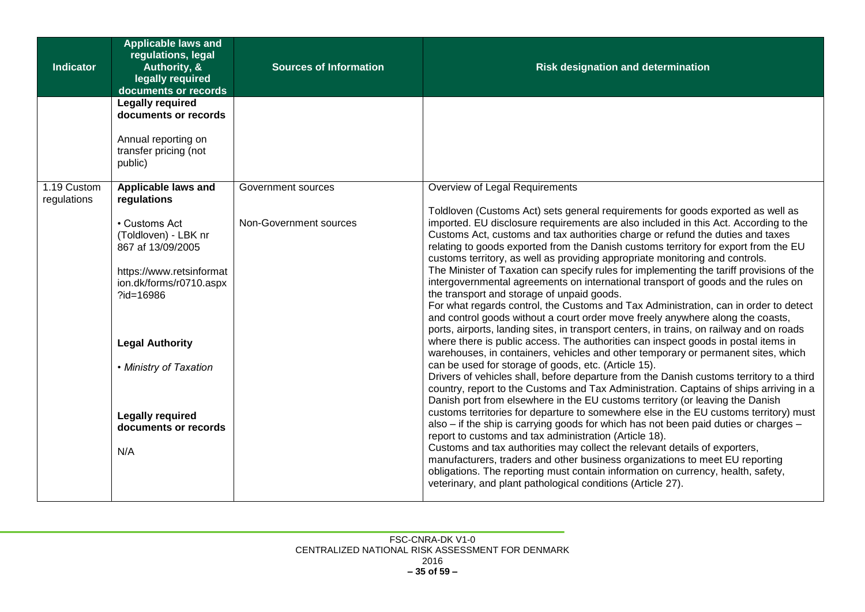| <b>Applicable laws and</b><br>regulations, legal<br><b>Indicator</b><br>Authority, &<br>legally required<br>documents or records                                                                                                             | <b>Sources of Information</b> | <b>Risk designation and determination</b>                                                                                                                                                                                                                                                                                                                                                                                                                                                                                                                                                                                                                                                                                                                                                                                                                                                                                                                                                                                                                                                                                                                                                                                                                                                                                                                                                                                                                                                                                                                                                                                                                                                                                                                                                                                                                                                                                                    |
|----------------------------------------------------------------------------------------------------------------------------------------------------------------------------------------------------------------------------------------------|-------------------------------|----------------------------------------------------------------------------------------------------------------------------------------------------------------------------------------------------------------------------------------------------------------------------------------------------------------------------------------------------------------------------------------------------------------------------------------------------------------------------------------------------------------------------------------------------------------------------------------------------------------------------------------------------------------------------------------------------------------------------------------------------------------------------------------------------------------------------------------------------------------------------------------------------------------------------------------------------------------------------------------------------------------------------------------------------------------------------------------------------------------------------------------------------------------------------------------------------------------------------------------------------------------------------------------------------------------------------------------------------------------------------------------------------------------------------------------------------------------------------------------------------------------------------------------------------------------------------------------------------------------------------------------------------------------------------------------------------------------------------------------------------------------------------------------------------------------------------------------------------------------------------------------------------------------------------------------------|
| <b>Legally required</b><br>documents or records<br>Annual reporting on<br>transfer pricing (not<br>public)                                                                                                                                   |                               |                                                                                                                                                                                                                                                                                                                                                                                                                                                                                                                                                                                                                                                                                                                                                                                                                                                                                                                                                                                                                                                                                                                                                                                                                                                                                                                                                                                                                                                                                                                                                                                                                                                                                                                                                                                                                                                                                                                                              |
| 1.19 Custom<br>Applicable laws and<br>regulations<br>regulations                                                                                                                                                                             | Government sources            | Overview of Legal Requirements                                                                                                                                                                                                                                                                                                                                                                                                                                                                                                                                                                                                                                                                                                                                                                                                                                                                                                                                                                                                                                                                                                                                                                                                                                                                                                                                                                                                                                                                                                                                                                                                                                                                                                                                                                                                                                                                                                               |
| • Customs Act<br>(Toldloven) - LBK nr<br>867 af 13/09/2005<br>https://www.retsinformat<br>ion.dk/forms/r0710.aspx<br>?id=16986<br><b>Legal Authority</b><br>• Ministry of Taxation<br><b>Legally required</b><br>documents or records<br>N/A | Non-Government sources        | Toldloven (Customs Act) sets general requirements for goods exported as well as<br>imported. EU disclosure requirements are also included in this Act. According to the<br>Customs Act, customs and tax authorities charge or refund the duties and taxes<br>relating to goods exported from the Danish customs territory for export from the EU<br>customs territory, as well as providing appropriate monitoring and controls.<br>The Minister of Taxation can specify rules for implementing the tariff provisions of the<br>intergovernmental agreements on international transport of goods and the rules on<br>the transport and storage of unpaid goods.<br>For what regards control, the Customs and Tax Administration, can in order to detect<br>and control goods without a court order move freely anywhere along the coasts,<br>ports, airports, landing sites, in transport centers, in trains, on railway and on roads<br>where there is public access. The authorities can inspect goods in postal items in<br>warehouses, in containers, vehicles and other temporary or permanent sites, which<br>can be used for storage of goods, etc. (Article 15).<br>Drivers of vehicles shall, before departure from the Danish customs territory to a third<br>country, report to the Customs and Tax Administration. Captains of ships arriving in a<br>Danish port from elsewhere in the EU customs territory (or leaving the Danish<br>customs territories for departure to somewhere else in the EU customs territory) must<br>also – if the ship is carrying goods for which has not been paid duties or charges –<br>report to customs and tax administration (Article 18).<br>Customs and tax authorities may collect the relevant details of exporters,<br>manufacturers, traders and other business organizations to meet EU reporting<br>obligations. The reporting must contain information on currency, health, safety, |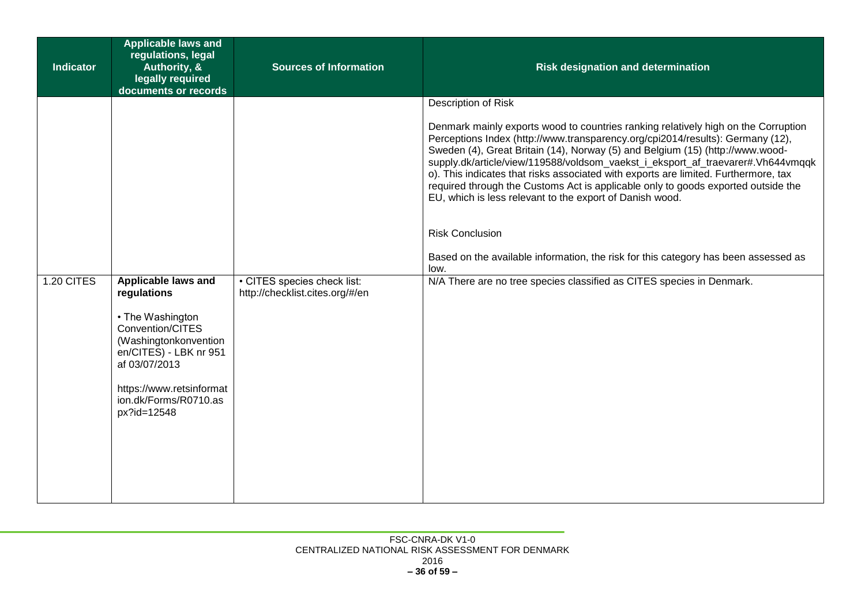| <b>Indicator</b>  | <b>Applicable laws and</b><br>regulations, legal<br>Authority, &<br>legally required<br>documents or records                                                                                | <b>Sources of Information</b>   | <b>Risk designation and determination</b>                                                                                                                                                                                                                                                                                                                                                                                                                                                                                                                                                                                                                                                                                                                                                                 |
|-------------------|---------------------------------------------------------------------------------------------------------------------------------------------------------------------------------------------|---------------------------------|-----------------------------------------------------------------------------------------------------------------------------------------------------------------------------------------------------------------------------------------------------------------------------------------------------------------------------------------------------------------------------------------------------------------------------------------------------------------------------------------------------------------------------------------------------------------------------------------------------------------------------------------------------------------------------------------------------------------------------------------------------------------------------------------------------------|
| <b>1.20 CITES</b> | Applicable laws and                                                                                                                                                                         | • CITES species check list:     | Description of Risk<br>Denmark mainly exports wood to countries ranking relatively high on the Corruption<br>Perceptions Index (http://www.transparency.org/cpi2014/results): Germany (12),<br>Sweden (4), Great Britain (14), Norway (5) and Belgium (15) (http://www.wood-<br>supply.dk/article/view/119588/voldsom_vaekst_i_eksport_af_traevarer#.Vh644vmqqk<br>o). This indicates that risks associated with exports are limited. Furthermore, tax<br>required through the Customs Act is applicable only to goods exported outside the<br>EU, which is less relevant to the export of Danish wood.<br><b>Risk Conclusion</b><br>Based on the available information, the risk for this category has been assessed as<br>low.<br>N/A There are no tree species classified as CITES species in Denmark. |
|                   | regulations<br>• The Washington<br>Convention/CITES<br>(Washingtonkonvention<br>en/CITES) - LBK nr 951<br>af 03/07/2013<br>https://www.retsinformat<br>ion.dk/Forms/R0710.as<br>px?id=12548 | http://checklist.cites.org/#/en |                                                                                                                                                                                                                                                                                                                                                                                                                                                                                                                                                                                                                                                                                                                                                                                                           |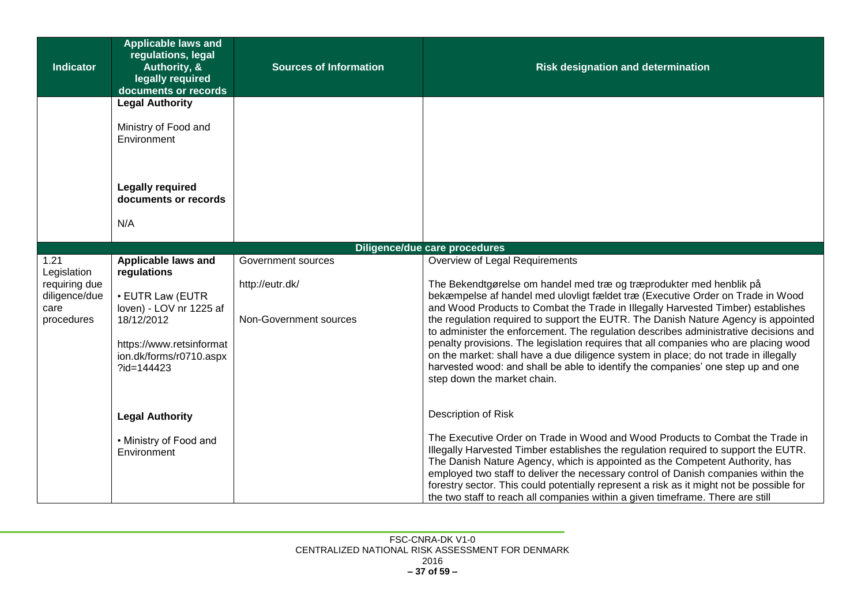| <b>Indicator</b>                                                            | <b>Applicable laws and</b><br>regulations, legal<br>Authority, &<br>legally required<br>documents or records                                                         | <b>Sources of Information</b>                                   | <b>Risk designation and determination</b>                                                                                                                                                                                                                                                                                                                                                                                                                                                                                                                                                                                                                                                                                                                    |
|-----------------------------------------------------------------------------|----------------------------------------------------------------------------------------------------------------------------------------------------------------------|-----------------------------------------------------------------|--------------------------------------------------------------------------------------------------------------------------------------------------------------------------------------------------------------------------------------------------------------------------------------------------------------------------------------------------------------------------------------------------------------------------------------------------------------------------------------------------------------------------------------------------------------------------------------------------------------------------------------------------------------------------------------------------------------------------------------------------------------|
|                                                                             | <b>Legal Authority</b>                                                                                                                                               |                                                                 |                                                                                                                                                                                                                                                                                                                                                                                                                                                                                                                                                                                                                                                                                                                                                              |
|                                                                             | Ministry of Food and<br>Environment                                                                                                                                  |                                                                 |                                                                                                                                                                                                                                                                                                                                                                                                                                                                                                                                                                                                                                                                                                                                                              |
|                                                                             | <b>Legally required</b><br>documents or records                                                                                                                      |                                                                 |                                                                                                                                                                                                                                                                                                                                                                                                                                                                                                                                                                                                                                                                                                                                                              |
|                                                                             | N/A                                                                                                                                                                  |                                                                 |                                                                                                                                                                                                                                                                                                                                                                                                                                                                                                                                                                                                                                                                                                                                                              |
|                                                                             |                                                                                                                                                                      |                                                                 | <b>Diligence/due care procedures</b>                                                                                                                                                                                                                                                                                                                                                                                                                                                                                                                                                                                                                                                                                                                         |
| 1.21<br>Legislation<br>requiring due<br>diligence/due<br>care<br>procedures | Applicable laws and<br>regulations<br>• EUTR Law (EUTR<br>loven) - LOV nr 1225 af<br>18/12/2012<br>https://www.retsinformat<br>ion.dk/forms/r0710.aspx<br>?id=144423 | Government sources<br>http://eutr.dk/<br>Non-Government sources | Overview of Legal Requirements<br>The Bekendtgørelse om handel med træ og træprodukter med henblik på<br>bekæmpelse af handel med ulovligt fældet træ (Executive Order on Trade in Wood<br>and Wood Products to Combat the Trade in Illegally Harvested Timber) establishes<br>the regulation required to support the EUTR. The Danish Nature Agency is appointed<br>to administer the enforcement. The regulation describes administrative decisions and<br>penalty provisions. The legislation requires that all companies who are placing wood<br>on the market: shall have a due diligence system in place; do not trade in illegally<br>harvested wood: and shall be able to identify the companies' one step up and one<br>step down the market chain. |
|                                                                             | <b>Legal Authority</b><br>• Ministry of Food and<br>Environment                                                                                                      |                                                                 | <b>Description of Risk</b><br>The Executive Order on Trade in Wood and Wood Products to Combat the Trade in<br>Illegally Harvested Timber establishes the regulation required to support the EUTR.<br>The Danish Nature Agency, which is appointed as the Competent Authority, has<br>employed two staff to deliver the necessary control of Danish companies within the<br>forestry sector. This could potentially represent a risk as it might not be possible for<br>the two staff to reach all companies within a given timeframe. There are still                                                                                                                                                                                                       |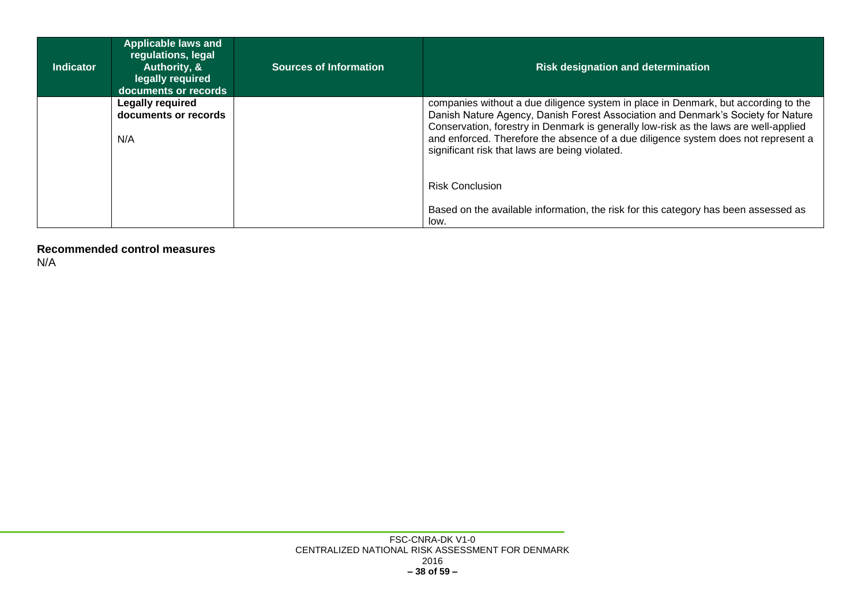| <b>Indicator</b> | <b>Applicable laws and</b><br>regulations, legal<br>Authority, &<br>legally required<br>documents or records | <b>Sources of Information</b> | <b>Risk designation and determination</b>                                                                                                                                                                                                                                                                                                                                                              |  |
|------------------|--------------------------------------------------------------------------------------------------------------|-------------------------------|--------------------------------------------------------------------------------------------------------------------------------------------------------------------------------------------------------------------------------------------------------------------------------------------------------------------------------------------------------------------------------------------------------|--|
|                  | <b>Legally required</b><br>documents or records<br>N/A                                                       |                               | companies without a due diligence system in place in Denmark, but according to the<br>Danish Nature Agency, Danish Forest Association and Denmark's Society for Nature<br>Conservation, forestry in Denmark is generally low-risk as the laws are well-applied<br>and enforced. Therefore the absence of a due diligence system does not represent a<br>significant risk that laws are being violated. |  |
|                  |                                                                                                              |                               | <b>Risk Conclusion</b>                                                                                                                                                                                                                                                                                                                                                                                 |  |
|                  |                                                                                                              |                               | Based on the available information, the risk for this category has been assessed as<br>low.                                                                                                                                                                                                                                                                                                            |  |

<span id="page-37-0"></span>**Recommended control measures** N/A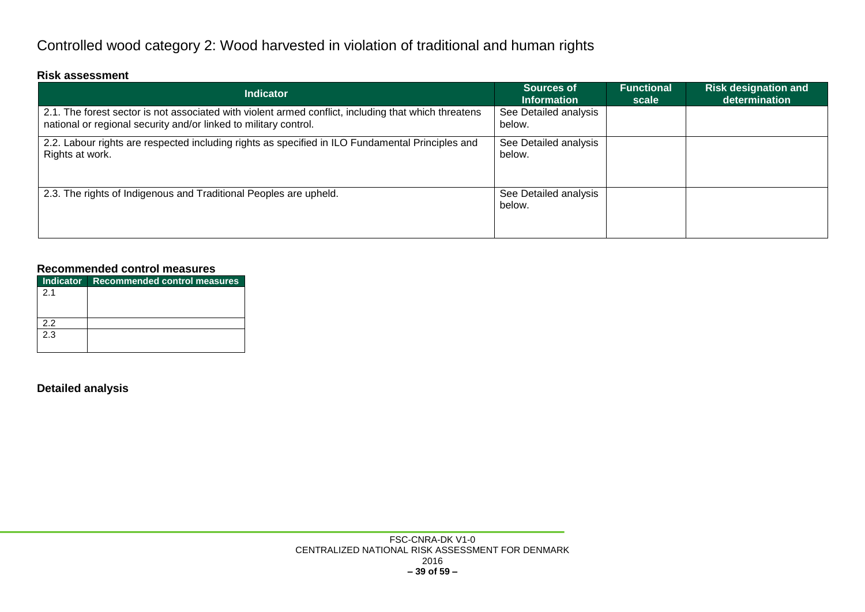## Controlled wood category 2: Wood harvested in violation of traditional and human rights

#### **Risk assessment**

| <b>Indicator</b>                                                                                                                                                         | <b>Sources of</b><br><b>Information</b> | <b>Functional</b><br>scale | <b>Risk designation and</b><br>determination |
|--------------------------------------------------------------------------------------------------------------------------------------------------------------------------|-----------------------------------------|----------------------------|----------------------------------------------|
| 2.1. The forest sector is not associated with violent armed conflict, including that which threatens<br>national or regional security and/or linked to military control. | See Detailed analysis<br>below.         |                            |                                              |
| 2.2. Labour rights are respected including rights as specified in ILO Fundamental Principles and<br>Rights at work.                                                      | See Detailed analysis<br>below.         |                            |                                              |
| 2.3. The rights of Indigenous and Traditional Peoples are upheld.                                                                                                        | See Detailed analysis<br>below.         |                            |                                              |

#### **Recommended control measures**

<span id="page-38-1"></span><span id="page-38-0"></span>

|     | Indicator Recommended control measures |
|-----|----------------------------------------|
| 21  |                                        |
|     |                                        |
|     |                                        |
| 22  |                                        |
| 2.3 |                                        |
|     |                                        |

#### <span id="page-38-3"></span><span id="page-38-2"></span>**Detailed analysis**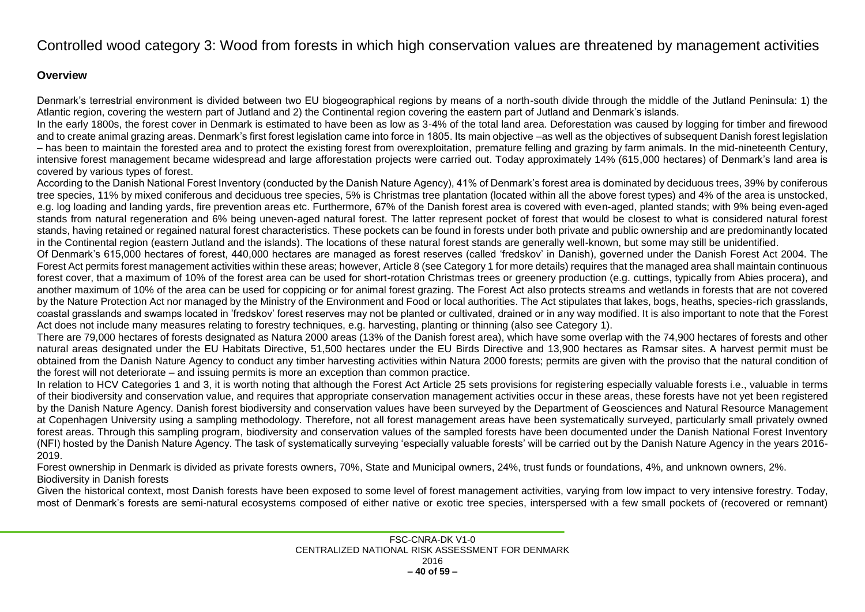### Controlled wood category 3: Wood from forests in which high conservation values are threatened by management activities

#### **Overview**

Denmark's terrestrial environment is divided between two EU biogeographical regions by means of a north-south divide through the middle of the Jutland Peninsula: 1) the Atlantic region, covering the western part of Jutland and 2) the Continental region covering the eastern part of Jutland and Denmark's islands.

In the early 1800s, the forest cover in Denmark is estimated to have been as low as 3-4% of the total land area. Deforestation was caused by logging for timber and firewood and to create animal grazing areas. Denmark's first forest legislation came into force in 1805. Its main objective –as well as the objectives of subsequent Danish forest legislation – has been to maintain the forested area and to protect the existing forest from overexploitation, premature felling and grazing by farm animals. In the mid-nineteenth Century, intensive forest management became widespread and large afforestation projects were carried out. Today approximately 14% (615,000 hectares) of Denmark's land area is covered by various types of forest.

According to the Danish National Forest Inventory (conducted by the Danish Nature Agency), 41% of Denmark's forest area is dominated by deciduous trees, 39% by coniferous tree species, 11% by mixed coniferous and deciduous tree species, 5% is Christmas tree plantation (located within all the above forest types) and 4% of the area is unstocked, e.g. log loading and landing yards, fire prevention areas etc. Furthermore, 67% of the Danish forest area is covered with even-aged, planted stands; with 9% being even-aged stands from natural regeneration and 6% being uneven-aged natural forest. The latter represent pocket of forest that would be closest to what is considered natural forest stands, having retained or regained natural forest characteristics. These pockets can be found in forests under both private and public ownership and are predominantly located in the Continental region (eastern Jutland and the islands). The locations of these natural forest stands are generally well-known, but some may still be unidentified.

Of Denmark's 615,000 hectares of forest, 440,000 hectares are managed as forest reserves (called 'fredskov' in Danish), governed under the Danish Forest Act 2004. The Forest Act permits forest management activities within these areas; however, Article 8 (see Category 1 for more details) requires that the managed area shall maintain continuous forest cover, that a maximum of 10% of the forest area can be used for short-rotation Christmas trees or greenery production (e.g. cuttings, typically from Abies procera), and another maximum of 10% of the area can be used for coppicing or for animal forest grazing. The Forest Act also protects streams and wetlands in forests that are not covered by the Nature Protection Act nor managed by the Ministry of the Environment and Food or local authorities. The Act stipulates that lakes, bogs, heaths, species-rich grasslands, coastal grasslands and swamps located in 'fredskov' forest reserves may not be planted or cultivated, drained or in any way modified. It is also important to note that the Forest Act does not include many measures relating to forestry techniques, e.g. harvesting, planting or thinning (also see Category 1).

<span id="page-39-1"></span><span id="page-39-0"></span>There are 79,000 hectares of forests designated as Natura 2000 areas (13% of the Danish forest area), which have some overlap with the 74,900 hectares of forests and other natural areas designated under the EU Habitats Directive, 51,500 hectares under the EU Birds Directive and 13,900 hectares as Ramsar sites. A harvest permit must be obtained from the Danish Nature Agency to conduct any timber harvesting activities within Natura 2000 forests; permits are given with the proviso that the natural condition of the forest will not deteriorate – and issuing permits is more an exception than common practice.

In relation to HCV Categories 1 and 3, it is worth noting that although the Forest Act Article 25 sets provisions for registering especially valuable forests i.e., valuable in terms of their biodiversity and conservation value, and requires that appropriate conservation management activities occur in these areas, these forests have not yet been registered by the Danish Nature Agency. Danish forest biodiversity and conservation values have been surveyed by the Department of Geosciences and Natural Resource Management at Copenhagen University using a sampling methodology. Therefore, not all forest management areas have been systematically surveyed, particularly small privately owned forest areas. Through this sampling program, biodiversity and conservation values of the sampled forests have been documented under the Danish National Forest Inventory (NFI) hosted by the Danish Nature Agency. The task of systematically surveying 'especially valuable forests' will be carried out by the Danish Nature Agency in the years 2016- 2019.

Forest ownership in Denmark is divided as private forests owners, 70%, State and Municipal owners, 24%, trust funds or foundations, 4%, and unknown owners, 2%. Biodiversity in Danish forests

Given the historical context, most Danish forests have been exposed to some level of forest management activities, varying from low impact to very intensive forestry. Today, most of Denmark's forests are semi-natural ecosystems composed of either native or exotic tree species, interspersed with a few small pockets of (recovered or remnant)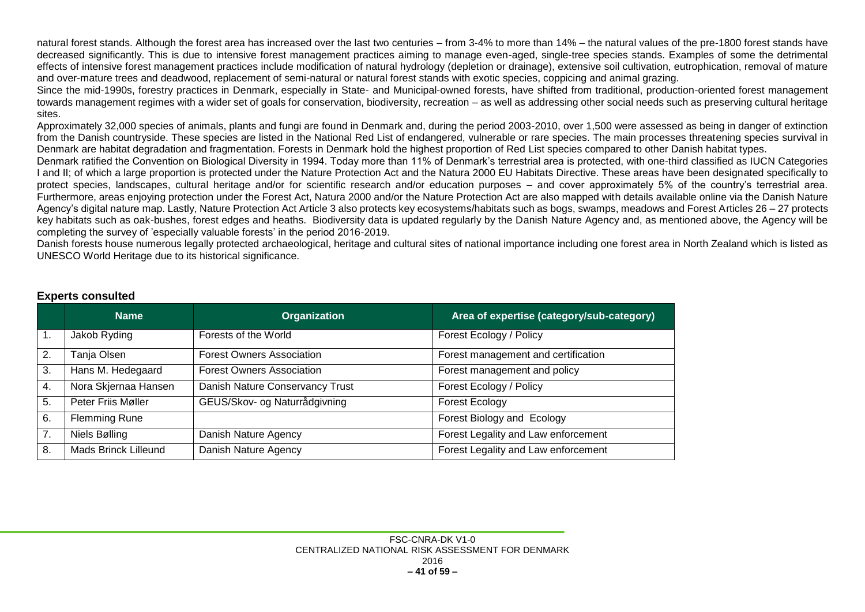natural forest stands. Although the forest area has increased over the last two centuries – from 3-4% to more than 14% – the natural values of the pre-1800 forest stands have decreased significantly. This is due to intensive forest management practices aiming to manage even-aged, single-tree species stands. Examples of some the detrimental effects of intensive forest management practices include modification of natural hydrology (depletion or drainage), extensive soil cultivation, eutrophication, removal of mature and over-mature trees and deadwood, replacement of semi-natural or natural forest stands with exotic species, coppicing and animal grazing.

Since the mid-1990s, forestry practices in Denmark, especially in State- and Municipal-owned forests, have shifted from traditional, production-oriented forest management towards management regimes with a wider set of goals for conservation, biodiversity, recreation – as well as addressing other social needs such as preserving cultural heritage sites.

Approximately 32,000 species of animals, plants and fungi are found in Denmark and, during the period 2003-2010, over 1,500 were assessed as being in danger of extinction from the Danish countryside. These species are listed in the National Red List of endangered, vulnerable or rare species. The main processes threatening species survival in Denmark are habitat degradation and fragmentation. Forests in Denmark hold the highest proportion of Red List species compared to other Danish habitat types.

Denmark ratified the Convention on Biological Diversity in 1994. Today more than 11% of Denmark's terrestrial area is protected, with one-third classified as IUCN Categories I and II; of which a large proportion is protected under the Nature Protection Act and the Natura 2000 EU Habitats Directive. These areas have been designated specifically to protect species, landscapes, cultural heritage and/or for scientific research and/or education purposes – and cover approximately 5% of the country's terrestrial area. Furthermore, areas enjoying protection under the Forest Act, Natura 2000 and/or the Nature Protection Act are also mapped with details available online via the Danish Nature Agency's digital nature map. Lastly, Nature Protection Act Article 3 also protects key ecosystems/habitats such as bogs, swamps, meadows and Forest Articles 26 – 27 protects key habitats such as oak-bushes, forest edges and heaths. Biodiversity data is updated regularly by the Danish Nature Agency and, as mentioned above, the Agency will be completing the survey of 'especially valuable forests' in the period 2016-2019.

Danish forests house numerous legally protected archaeological, heritage and cultural sites of national importance including one forest area in North Zealand which is listed as UNESCO World Heritage due to its historical significance.

<span id="page-40-0"></span>

|                                                                                             | <b>Name</b>                           | <b>Organization</b>              | Area of expertise (category/sub-category) |
|---------------------------------------------------------------------------------------------|---------------------------------------|----------------------------------|-------------------------------------------|
| 1.                                                                                          | Jakob Ryding                          | Forests of the World             | Forest Ecology / Policy                   |
| 2.                                                                                          | Tanja Olsen                           | <b>Forest Owners Association</b> | Forest management and certification       |
| Hans M. Hedegaard<br><b>Forest Owners Association</b><br>Forest management and policy<br>3. |                                       |                                  |                                           |
| 4.                                                                                          | Nora Skjernaa Hansen                  | Danish Nature Conservancy Trust  | Forest Ecology / Policy                   |
| 5.                                                                                          | Peter Friis Møller                    | GEUS/Skov- og Naturrådgivning    | Forest Ecology                            |
| 6.                                                                                          | <b>Flemming Rune</b>                  |                                  | Forest Biology and Ecology                |
| 7.                                                                                          | Niels Bølling<br>Danish Nature Agency |                                  | Forest Legality and Law enforcement       |
| 8.                                                                                          | <b>Mads Brinck Lilleund</b>           | Danish Nature Agency             | Forest Legality and Law enforcement       |

#### **Experts consulted**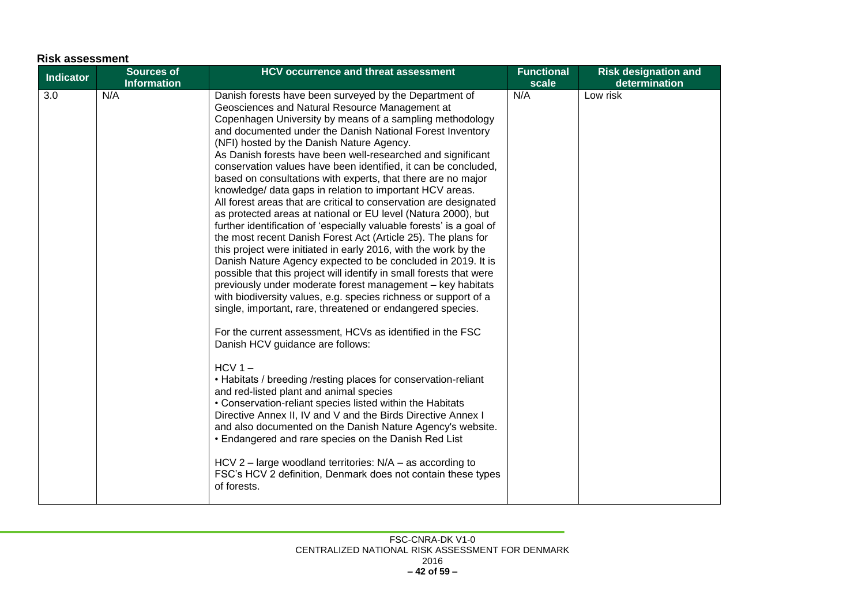<span id="page-41-0"></span>

| <b>Risk assessment</b> |                                         |                                                                                                                                                                                                                                                                                                                                                                                                                                                                                                                                                                                                                                                                                                                                                                                                                                                                                                                                                                                                                                                                                                                                                                                                                                                                                                                                                                                                                                                                                                                                                                                                                                                                                                                                                                                                                                                                |                            |                                              |
|------------------------|-----------------------------------------|----------------------------------------------------------------------------------------------------------------------------------------------------------------------------------------------------------------------------------------------------------------------------------------------------------------------------------------------------------------------------------------------------------------------------------------------------------------------------------------------------------------------------------------------------------------------------------------------------------------------------------------------------------------------------------------------------------------------------------------------------------------------------------------------------------------------------------------------------------------------------------------------------------------------------------------------------------------------------------------------------------------------------------------------------------------------------------------------------------------------------------------------------------------------------------------------------------------------------------------------------------------------------------------------------------------------------------------------------------------------------------------------------------------------------------------------------------------------------------------------------------------------------------------------------------------------------------------------------------------------------------------------------------------------------------------------------------------------------------------------------------------------------------------------------------------------------------------------------------------|----------------------------|----------------------------------------------|
| <b>Indicator</b>       | <b>Sources of</b><br><b>Information</b> | <b>HCV occurrence and threat assessment</b>                                                                                                                                                                                                                                                                                                                                                                                                                                                                                                                                                                                                                                                                                                                                                                                                                                                                                                                                                                                                                                                                                                                                                                                                                                                                                                                                                                                                                                                                                                                                                                                                                                                                                                                                                                                                                    | <b>Functional</b><br>scale | <b>Risk designation and</b><br>determination |
| 3.0                    | N/A                                     | Danish forests have been surveyed by the Department of<br>Geosciences and Natural Resource Management at<br>Copenhagen University by means of a sampling methodology<br>and documented under the Danish National Forest Inventory<br>(NFI) hosted by the Danish Nature Agency.<br>As Danish forests have been well-researched and significant<br>conservation values have been identified, it can be concluded,<br>based on consultations with experts, that there are no major<br>knowledge/ data gaps in relation to important HCV areas.<br>All forest areas that are critical to conservation are designated<br>as protected areas at national or EU level (Natura 2000), but<br>further identification of 'especially valuable forests' is a goal of<br>the most recent Danish Forest Act (Article 25). The plans for<br>this project were initiated in early 2016, with the work by the<br>Danish Nature Agency expected to be concluded in 2019. It is<br>possible that this project will identify in small forests that were<br>previously under moderate forest management - key habitats<br>with biodiversity values, e.g. species richness or support of a<br>single, important, rare, threatened or endangered species.<br>For the current assessment, HCVs as identified in the FSC<br>Danish HCV guidance are follows:<br>$HCV1 -$<br>• Habitats / breeding /resting places for conservation-reliant<br>and red-listed plant and animal species<br>• Conservation-reliant species listed within the Habitats<br>Directive Annex II, IV and V and the Birds Directive Annex I<br>and also documented on the Danish Nature Agency's website.<br>• Endangered and rare species on the Danish Red List<br>HCV 2 – large woodland territories: $N/A$ – as according to<br>FSC's HCV 2 definition, Denmark does not contain these types<br>of forests. | N/A                        | Low risk                                     |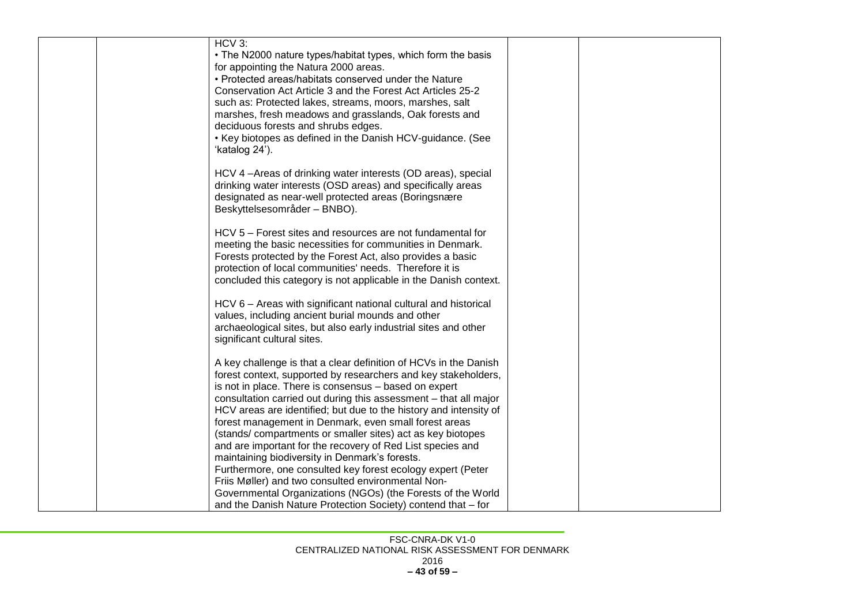| HCV 3:<br>• The N2000 nature types/habitat types, which form the basis<br>for appointing the Natura 2000 areas.<br>• Protected areas/habitats conserved under the Nature<br>Conservation Act Article 3 and the Forest Act Articles 25-2<br>such as: Protected lakes, streams, moors, marshes, salt<br>marshes, fresh meadows and grasslands, Oak forests and<br>deciduous forests and shrubs edges.<br>• Key biotopes as defined in the Danish HCV-guidance. (See<br>'katalog 24').                                                                                                                                                                                                                                                                             |  |
|-----------------------------------------------------------------------------------------------------------------------------------------------------------------------------------------------------------------------------------------------------------------------------------------------------------------------------------------------------------------------------------------------------------------------------------------------------------------------------------------------------------------------------------------------------------------------------------------------------------------------------------------------------------------------------------------------------------------------------------------------------------------|--|
| HCV 4-Areas of drinking water interests (OD areas), special<br>drinking water interests (OSD areas) and specifically areas<br>designated as near-well protected areas (Boringsnære<br>Beskyttelsesområder - BNBO).                                                                                                                                                                                                                                                                                                                                                                                                                                                                                                                                              |  |
| HCV 5 - Forest sites and resources are not fundamental for<br>meeting the basic necessities for communities in Denmark.<br>Forests protected by the Forest Act, also provides a basic<br>protection of local communities' needs. Therefore it is<br>concluded this category is not applicable in the Danish context.                                                                                                                                                                                                                                                                                                                                                                                                                                            |  |
| HCV 6 - Areas with significant national cultural and historical<br>values, including ancient burial mounds and other<br>archaeological sites, but also early industrial sites and other<br>significant cultural sites.                                                                                                                                                                                                                                                                                                                                                                                                                                                                                                                                          |  |
| A key challenge is that a clear definition of HCVs in the Danish<br>forest context, supported by researchers and key stakeholders,<br>is not in place. There is consensus - based on expert<br>consultation carried out during this assessment - that all major<br>HCV areas are identified; but due to the history and intensity of<br>forest management in Denmark, even small forest areas<br>(stands/compartments or smaller sites) act as key biotopes<br>and are important for the recovery of Red List species and<br>maintaining biodiversity in Denmark's forests.<br>Furthermore, one consulted key forest ecology expert (Peter<br>Friis Møller) and two consulted environmental Non-<br>Governmental Organizations (NGOs) (the Forests of the World |  |
| and the Danish Nature Protection Society) contend that - for                                                                                                                                                                                                                                                                                                                                                                                                                                                                                                                                                                                                                                                                                                    |  |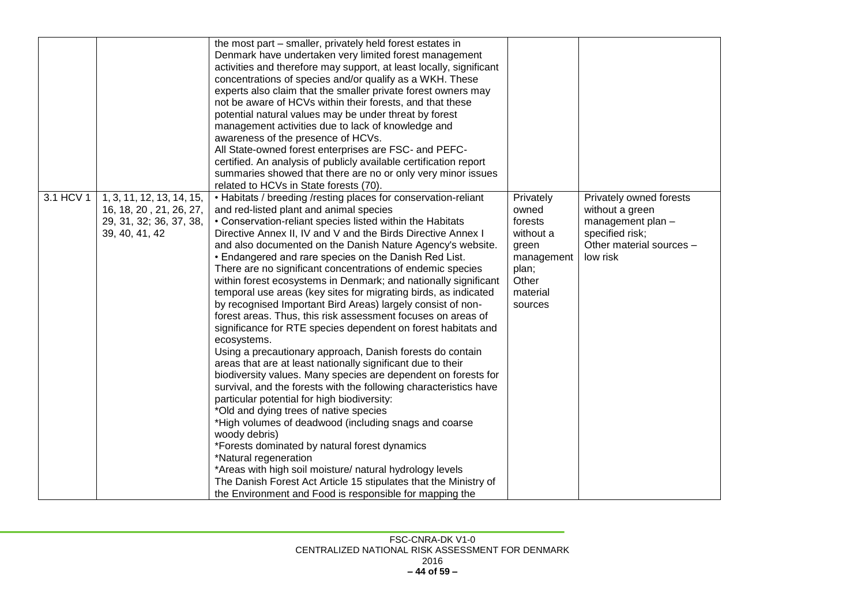|           |                           | the most part – smaller, privately held forest estates in           |            |                          |
|-----------|---------------------------|---------------------------------------------------------------------|------------|--------------------------|
|           |                           | Denmark have undertaken very limited forest management              |            |                          |
|           |                           | activities and therefore may support, at least locally, significant |            |                          |
|           |                           | concentrations of species and/or qualify as a WKH. These            |            |                          |
|           |                           | experts also claim that the smaller private forest owners may       |            |                          |
|           |                           | not be aware of HCVs within their forests, and that these           |            |                          |
|           |                           | potential natural values may be under threat by forest              |            |                          |
|           |                           | management activities due to lack of knowledge and                  |            |                          |
|           |                           | awareness of the presence of HCVs.                                  |            |                          |
|           |                           | All State-owned forest enterprises are FSC- and PEFC-               |            |                          |
|           |                           | certified. An analysis of publicly available certification report   |            |                          |
|           |                           | summaries showed that there are no or only very minor issues        |            |                          |
|           |                           | related to HCVs in State forests (70).                              |            |                          |
| 3.1 HCV 1 | 1, 3, 11, 12, 13, 14, 15, | • Habitats / breeding /resting places for conservation-reliant      | Privately  | Privately owned forests  |
|           | 16, 18, 20, 21, 26, 27,   | and red-listed plant and animal species                             | owned      | without a green          |
|           | 29, 31, 32; 36, 37, 38,   | • Conservation-reliant species listed within the Habitats           | forests    | management plan -        |
|           | 39, 40, 41, 42            | Directive Annex II, IV and V and the Birds Directive Annex I        | without a  | specified risk;          |
|           |                           | and also documented on the Danish Nature Agency's website.          | green      | Other material sources - |
|           |                           | . Endangered and rare species on the Danish Red List.               | management | low risk                 |
|           |                           | There are no significant concentrations of endemic species          | plan;      |                          |
|           |                           | within forest ecosystems in Denmark; and nationally significant     | Other      |                          |
|           |                           | temporal use areas (key sites for migrating birds, as indicated     | material   |                          |
|           |                           | by recognised Important Bird Areas) largely consist of non-         | sources    |                          |
|           |                           | forest areas. Thus, this risk assessment focuses on areas of        |            |                          |
|           |                           | significance for RTE species dependent on forest habitats and       |            |                          |
|           |                           | ecosystems.                                                         |            |                          |
|           |                           | Using a precautionary approach, Danish forests do contain           |            |                          |
|           |                           | areas that are at least nationally significant due to their         |            |                          |
|           |                           | biodiversity values. Many species are dependent on forests for      |            |                          |
|           |                           | survival, and the forests with the following characteristics have   |            |                          |
|           |                           | particular potential for high biodiversity:                         |            |                          |
|           |                           | *Old and dying trees of native species                              |            |                          |
|           |                           | *High volumes of deadwood (including snags and coarse               |            |                          |
|           |                           | woody debris)                                                       |            |                          |
|           |                           | *Forests dominated by natural forest dynamics                       |            |                          |
|           |                           | *Natural regeneration                                               |            |                          |
|           |                           | *Areas with high soil moisture/ natural hydrology levels            |            |                          |
|           |                           | The Danish Forest Act Article 15 stipulates that the Ministry of    |            |                          |
|           |                           | the Environment and Food is responsible for mapping the             |            |                          |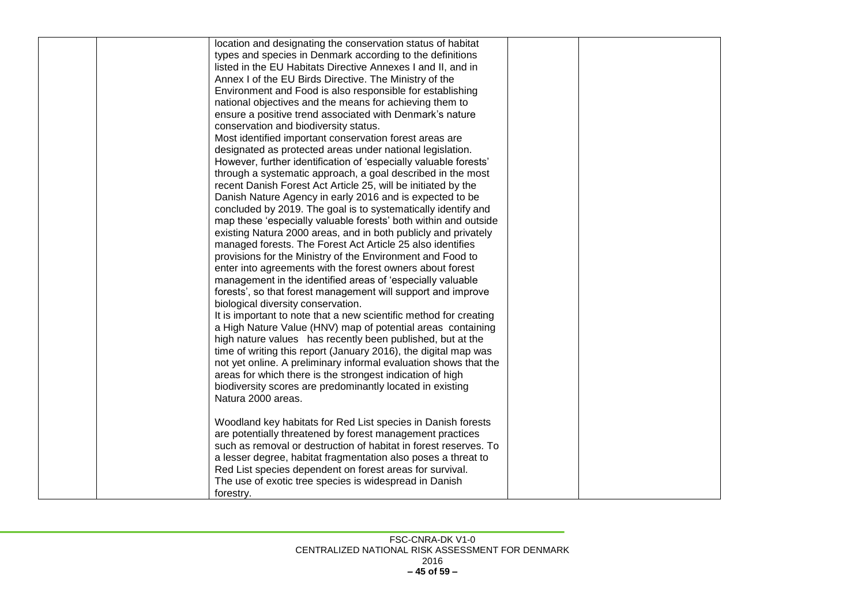| location and designating the conservation status of habitat       |  |
|-------------------------------------------------------------------|--|
| types and species in Denmark according to the definitions         |  |
| listed in the EU Habitats Directive Annexes I and II, and in      |  |
| Annex I of the EU Birds Directive. The Ministry of the            |  |
| Environment and Food is also responsible for establishing         |  |
| national objectives and the means for achieving them to           |  |
| ensure a positive trend associated with Denmark's nature          |  |
| conservation and biodiversity status.                             |  |
| Most identified important conservation forest areas are           |  |
| designated as protected areas under national legislation.         |  |
| However, further identification of 'especially valuable forests'  |  |
| through a systematic approach, a goal described in the most       |  |
| recent Danish Forest Act Article 25, will be initiated by the     |  |
| Danish Nature Agency in early 2016 and is expected to be          |  |
| concluded by 2019. The goal is to systematically identify and     |  |
| map these 'especially valuable forests' both within and outside   |  |
| existing Natura 2000 areas, and in both publicly and privately    |  |
| managed forests. The Forest Act Article 25 also identifies        |  |
| provisions for the Ministry of the Environment and Food to        |  |
| enter into agreements with the forest owners about forest         |  |
| management in the identified areas of 'especially valuable        |  |
| forests', so that forest management will support and improve      |  |
| biological diversity conservation.                                |  |
| It is important to note that a new scientific method for creating |  |
| a High Nature Value (HNV) map of potential areas containing       |  |
| high nature values has recently been published, but at the        |  |
| time of writing this report (January 2016), the digital map was   |  |
| not yet online. A preliminary informal evaluation shows that the  |  |
| areas for which there is the strongest indication of high         |  |
| biodiversity scores are predominantly located in existing         |  |
| Natura 2000 areas.                                                |  |
|                                                                   |  |
| Woodland key habitats for Red List species in Danish forests      |  |
| are potentially threatened by forest management practices         |  |
| such as removal or destruction of habitat in forest reserves. To  |  |
| a lesser degree, habitat fragmentation also poses a threat to     |  |
| Red List species dependent on forest areas for survival.          |  |
| The use of exotic tree species is widespread in Danish            |  |
| forestry.                                                         |  |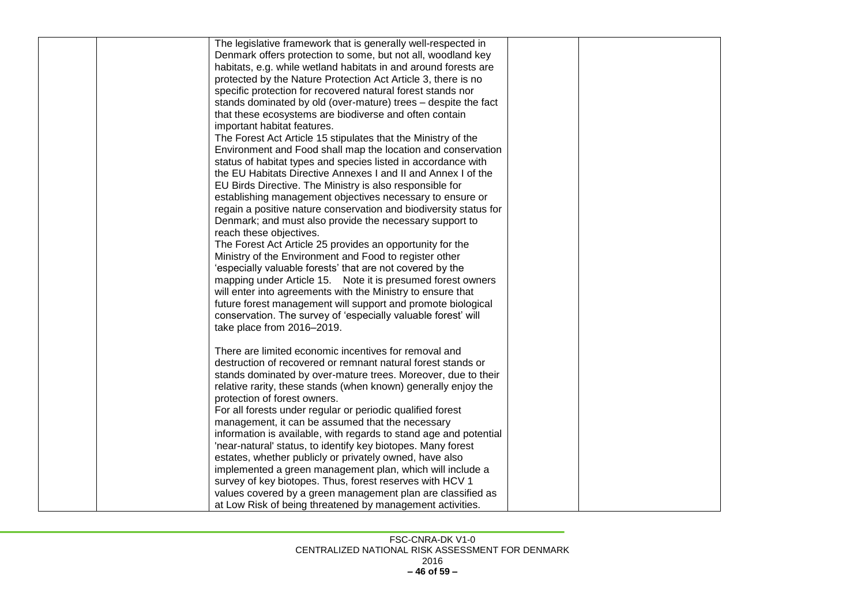| The legislative framework that is generally well-respected in     |  |
|-------------------------------------------------------------------|--|
| Denmark offers protection to some, but not all, woodland key      |  |
| habitats, e.g. while wetland habitats in and around forests are   |  |
| protected by the Nature Protection Act Article 3, there is no     |  |
| specific protection for recovered natural forest stands nor       |  |
| stands dominated by old (over-mature) trees - despite the fact    |  |
| that these ecosystems are biodiverse and often contain            |  |
| important habitat features.                                       |  |
| The Forest Act Article 15 stipulates that the Ministry of the     |  |
| Environment and Food shall map the location and conservation      |  |
| status of habitat types and species listed in accordance with     |  |
| the EU Habitats Directive Annexes I and II and Annex I of the     |  |
| EU Birds Directive. The Ministry is also responsible for          |  |
| establishing management objectives necessary to ensure or         |  |
| regain a positive nature conservation and biodiversity status for |  |
| Denmark; and must also provide the necessary support to           |  |
| reach these objectives.                                           |  |
| The Forest Act Article 25 provides an opportunity for the         |  |
| Ministry of the Environment and Food to register other            |  |
| 'especially valuable forests' that are not covered by the         |  |
| mapping under Article 15. Note it is presumed forest owners       |  |
| will enter into agreements with the Ministry to ensure that       |  |
| future forest management will support and promote biological      |  |
| conservation. The survey of 'especially valuable forest' will     |  |
| take place from 2016-2019.                                        |  |
|                                                                   |  |
| There are limited economic incentives for removal and             |  |
| destruction of recovered or remnant natural forest stands or      |  |
| stands dominated by over-mature trees. Moreover, due to their     |  |
| relative rarity, these stands (when known) generally enjoy the    |  |
| protection of forest owners.                                      |  |
| For all forests under regular or periodic qualified forest        |  |
| management, it can be assumed that the necessary                  |  |
| information is available, with regards to stand age and potential |  |
| 'near-natural' status, to identify key biotopes. Many forest      |  |
| estates, whether publicly or privately owned, have also           |  |
| implemented a green management plan, which will include a         |  |
| survey of key biotopes. Thus, forest reserves with HCV 1          |  |
| values covered by a green management plan are classified as       |  |
| at Low Risk of being threatened by management activities.         |  |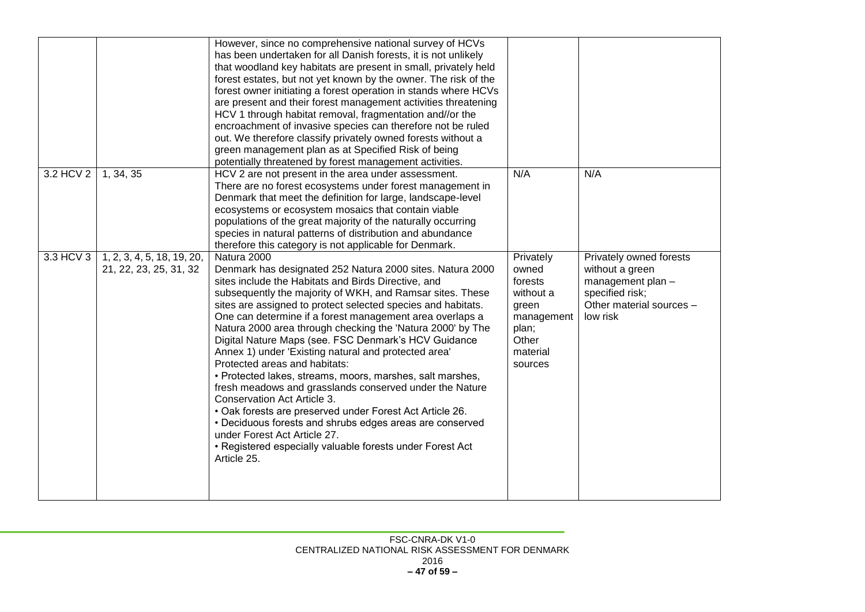|           |                                                      | However, since no comprehensive national survey of HCVs<br>has been undertaken for all Danish forests, it is not unlikely<br>that woodland key habitats are present in small, privately held<br>forest estates, but not yet known by the owner. The risk of the<br>forest owner initiating a forest operation in stands where HCVs<br>are present and their forest management activities threatening<br>HCV 1 through habitat removal, fragmentation and//or the<br>encroachment of invasive species can therefore not be ruled<br>out. We therefore classify privately owned forests without a<br>green management plan as at Specified Risk of being<br>potentially threatened by forest management activities.                                                                                                                                                                                                                  |                                                                                                            |                                                                                                                            |
|-----------|------------------------------------------------------|------------------------------------------------------------------------------------------------------------------------------------------------------------------------------------------------------------------------------------------------------------------------------------------------------------------------------------------------------------------------------------------------------------------------------------------------------------------------------------------------------------------------------------------------------------------------------------------------------------------------------------------------------------------------------------------------------------------------------------------------------------------------------------------------------------------------------------------------------------------------------------------------------------------------------------|------------------------------------------------------------------------------------------------------------|----------------------------------------------------------------------------------------------------------------------------|
| 3.2 HCV 2 | 1, 34, 35                                            | HCV 2 are not present in the area under assessment.<br>There are no forest ecosystems under forest management in<br>Denmark that meet the definition for large, landscape-level<br>ecosystems or ecosystem mosaics that contain viable<br>populations of the great majority of the naturally occurring<br>species in natural patterns of distribution and abundance<br>therefore this category is not applicable for Denmark.                                                                                                                                                                                                                                                                                                                                                                                                                                                                                                      | N/A                                                                                                        | N/A                                                                                                                        |
| 3.3 HCV 3 | 1, 2, 3, 4, 5, 18, 19, 20,<br>21, 22, 23, 25, 31, 32 | Natura 2000<br>Denmark has designated 252 Natura 2000 sites. Natura 2000<br>sites include the Habitats and Birds Directive, and<br>subsequently the majority of WKH, and Ramsar sites. These<br>sites are assigned to protect selected species and habitats.<br>One can determine if a forest management area overlaps a<br>Natura 2000 area through checking the 'Natura 2000' by The<br>Digital Nature Maps (see. FSC Denmark's HCV Guidance<br>Annex 1) under 'Existing natural and protected area'<br>Protected areas and habitats:<br>• Protected lakes, streams, moors, marshes, salt marshes,<br>fresh meadows and grasslands conserved under the Nature<br>Conservation Act Article 3.<br>• Oak forests are preserved under Forest Act Article 26.<br>• Deciduous forests and shrubs edges areas are conserved<br>under Forest Act Article 27.<br>• Registered especially valuable forests under Forest Act<br>Article 25. | Privately<br>owned<br>forests<br>without a<br>green<br>management<br>plan;<br>Other<br>material<br>sources | Privately owned forests<br>without a green<br>management plan -<br>specified risk;<br>Other material sources -<br>low risk |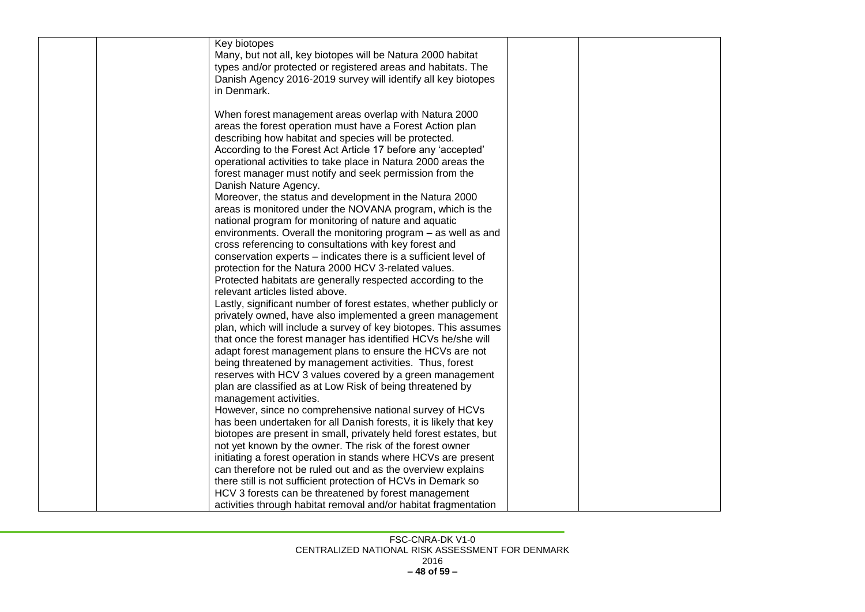|  | Key biotopes<br>Many, but not all, key biotopes will be Natura 2000 habitat<br>types and/or protected or registered areas and habitats. The<br>Danish Agency 2016-2019 survey will identify all key biotopes<br>in Denmark.                                                                                                                                                           |  |
|--|---------------------------------------------------------------------------------------------------------------------------------------------------------------------------------------------------------------------------------------------------------------------------------------------------------------------------------------------------------------------------------------|--|
|  | When forest management areas overlap with Natura 2000<br>areas the forest operation must have a Forest Action plan<br>describing how habitat and species will be protected.<br>According to the Forest Act Article 17 before any 'accepted'<br>operational activities to take place in Natura 2000 areas the<br>forest manager must notify and seek permission from the               |  |
|  | Danish Nature Agency.<br>Moreover, the status and development in the Natura 2000<br>areas is monitored under the NOVANA program, which is the<br>national program for monitoring of nature and aquatic<br>environments. Overall the monitoring program - as well as and<br>cross referencing to consultations with key forest and                                                     |  |
|  | conservation experts - indicates there is a sufficient level of<br>protection for the Natura 2000 HCV 3-related values.<br>Protected habitats are generally respected according to the<br>relevant articles listed above.<br>Lastly, significant number of forest estates, whether publicly or                                                                                        |  |
|  | privately owned, have also implemented a green management<br>plan, which will include a survey of key biotopes. This assumes<br>that once the forest manager has identified HCVs he/she will<br>adapt forest management plans to ensure the HCVs are not<br>being threatened by management activities. Thus, forest<br>reserves with HCV 3 values covered by a green management       |  |
|  | plan are classified as at Low Risk of being threatened by<br>management activities.<br>However, since no comprehensive national survey of HCVs<br>has been undertaken for all Danish forests, it is likely that key<br>biotopes are present in small, privately held forest estates, but                                                                                              |  |
|  | not yet known by the owner. The risk of the forest owner<br>initiating a forest operation in stands where HCVs are present<br>can therefore not be ruled out and as the overview explains<br>there still is not sufficient protection of HCVs in Demark so<br>HCV 3 forests can be threatened by forest management<br>activities through habitat removal and/or habitat fragmentation |  |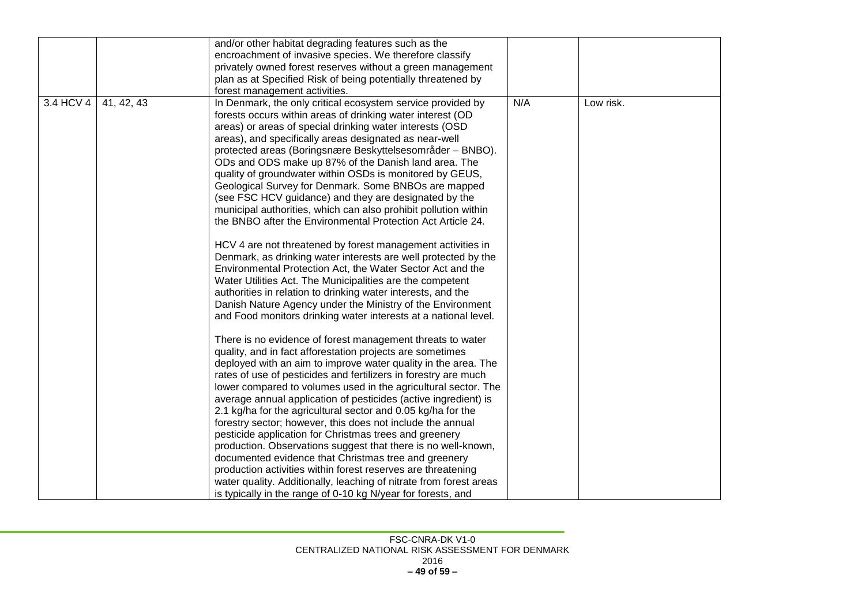|           |            | and/or other habitat degrading features such as the                                                                                                                                                                                                                                                                                                                                                                                                                                                                                                                                                                                                                                                                                                                                                                                                                                                                                                                                                                                                                                                                                                                                                                                                                                                                                                                                                                                                                                                                                                                                                                                                                                                                                                                                                                                                                                                                                    |     |           |
|-----------|------------|----------------------------------------------------------------------------------------------------------------------------------------------------------------------------------------------------------------------------------------------------------------------------------------------------------------------------------------------------------------------------------------------------------------------------------------------------------------------------------------------------------------------------------------------------------------------------------------------------------------------------------------------------------------------------------------------------------------------------------------------------------------------------------------------------------------------------------------------------------------------------------------------------------------------------------------------------------------------------------------------------------------------------------------------------------------------------------------------------------------------------------------------------------------------------------------------------------------------------------------------------------------------------------------------------------------------------------------------------------------------------------------------------------------------------------------------------------------------------------------------------------------------------------------------------------------------------------------------------------------------------------------------------------------------------------------------------------------------------------------------------------------------------------------------------------------------------------------------------------------------------------------------------------------------------------------|-----|-----------|
|           |            | encroachment of invasive species. We therefore classify                                                                                                                                                                                                                                                                                                                                                                                                                                                                                                                                                                                                                                                                                                                                                                                                                                                                                                                                                                                                                                                                                                                                                                                                                                                                                                                                                                                                                                                                                                                                                                                                                                                                                                                                                                                                                                                                                |     |           |
|           |            | privately owned forest reserves without a green management                                                                                                                                                                                                                                                                                                                                                                                                                                                                                                                                                                                                                                                                                                                                                                                                                                                                                                                                                                                                                                                                                                                                                                                                                                                                                                                                                                                                                                                                                                                                                                                                                                                                                                                                                                                                                                                                             |     |           |
|           |            |                                                                                                                                                                                                                                                                                                                                                                                                                                                                                                                                                                                                                                                                                                                                                                                                                                                                                                                                                                                                                                                                                                                                                                                                                                                                                                                                                                                                                                                                                                                                                                                                                                                                                                                                                                                                                                                                                                                                        |     |           |
|           |            | forest management activities.                                                                                                                                                                                                                                                                                                                                                                                                                                                                                                                                                                                                                                                                                                                                                                                                                                                                                                                                                                                                                                                                                                                                                                                                                                                                                                                                                                                                                                                                                                                                                                                                                                                                                                                                                                                                                                                                                                          |     |           |
| 3.4 HCV 4 | 41, 42, 43 | plan as at Specified Risk of being potentially threatened by<br>In Denmark, the only critical ecosystem service provided by<br>forests occurs within areas of drinking water interest (OD<br>areas) or areas of special drinking water interests (OSD<br>areas), and specifically areas designated as near-well<br>protected areas (Boringsnære Beskyttelsesområder – BNBO).<br>ODs and ODS make up 87% of the Danish land area. The<br>quality of groundwater within OSDs is monitored by GEUS,<br>Geological Survey for Denmark. Some BNBOs are mapped<br>(see FSC HCV guidance) and they are designated by the<br>municipal authorities, which can also prohibit pollution within<br>the BNBO after the Environmental Protection Act Article 24.<br>HCV 4 are not threatened by forest management activities in<br>Denmark, as drinking water interests are well protected by the<br>Environmental Protection Act, the Water Sector Act and the<br>Water Utilities Act. The Municipalities are the competent<br>authorities in relation to drinking water interests, and the<br>Danish Nature Agency under the Ministry of the Environment<br>and Food monitors drinking water interests at a national level.<br>There is no evidence of forest management threats to water<br>quality, and in fact afforestation projects are sometimes<br>deployed with an aim to improve water quality in the area. The<br>rates of use of pesticides and fertilizers in forestry are much<br>lower compared to volumes used in the agricultural sector. The<br>average annual application of pesticides (active ingredient) is<br>2.1 kg/ha for the agricultural sector and 0.05 kg/ha for the<br>forestry sector; however, this does not include the annual<br>pesticide application for Christmas trees and greenery<br>production. Observations suggest that there is no well-known,<br>documented evidence that Christmas tree and greenery | N/A | Low risk. |
|           |            | production activities within forest reserves are threatening<br>water quality. Additionally, leaching of nitrate from forest areas                                                                                                                                                                                                                                                                                                                                                                                                                                                                                                                                                                                                                                                                                                                                                                                                                                                                                                                                                                                                                                                                                                                                                                                                                                                                                                                                                                                                                                                                                                                                                                                                                                                                                                                                                                                                     |     |           |
|           |            | is typically in the range of 0-10 kg N/year for forests, and                                                                                                                                                                                                                                                                                                                                                                                                                                                                                                                                                                                                                                                                                                                                                                                                                                                                                                                                                                                                                                                                                                                                                                                                                                                                                                                                                                                                                                                                                                                                                                                                                                                                                                                                                                                                                                                                           |     |           |
|           |            |                                                                                                                                                                                                                                                                                                                                                                                                                                                                                                                                                                                                                                                                                                                                                                                                                                                                                                                                                                                                                                                                                                                                                                                                                                                                                                                                                                                                                                                                                                                                                                                                                                                                                                                                                                                                                                                                                                                                        |     |           |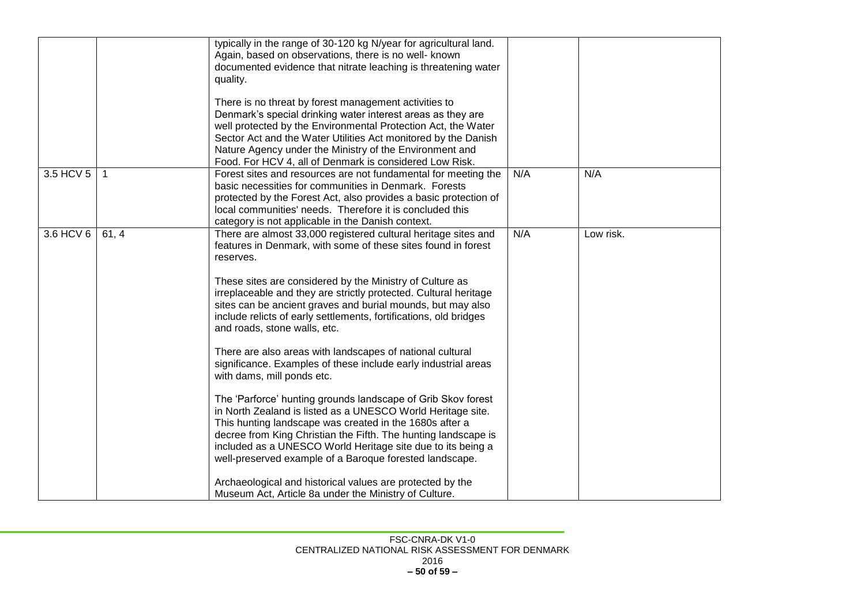|           |       | typically in the range of 30-120 kg N/year for agricultural land. |     |           |
|-----------|-------|-------------------------------------------------------------------|-----|-----------|
|           |       | Again, based on observations, there is no well- known             |     |           |
|           |       | documented evidence that nitrate leaching is threatening water    |     |           |
|           |       |                                                                   |     |           |
|           |       | quality.                                                          |     |           |
|           |       | There is no threat by forest management activities to             |     |           |
|           |       | Denmark's special drinking water interest areas as they are       |     |           |
|           |       |                                                                   |     |           |
|           |       | well protected by the Environmental Protection Act, the Water     |     |           |
|           |       | Sector Act and the Water Utilities Act monitored by the Danish    |     |           |
|           |       | Nature Agency under the Ministry of the Environment and           |     |           |
|           |       | Food. For HCV 4, all of Denmark is considered Low Risk.           |     |           |
| 3.5 HCV 5 |       | Forest sites and resources are not fundamental for meeting the    | N/A | N/A       |
|           |       | basic necessities for communities in Denmark. Forests             |     |           |
|           |       | protected by the Forest Act, also provides a basic protection of  |     |           |
|           |       | local communities' needs. Therefore it is concluded this          |     |           |
|           |       | category is not applicable in the Danish context.                 |     |           |
| 3.6 HCV 6 | 61, 4 | There are almost 33,000 registered cultural heritage sites and    | N/A | Low risk. |
|           |       |                                                                   |     |           |
|           |       | features in Denmark, with some of these sites found in forest     |     |           |
|           |       | reserves.                                                         |     |           |
|           |       | These sites are considered by the Ministry of Culture as          |     |           |
|           |       |                                                                   |     |           |
|           |       | irreplaceable and they are strictly protected. Cultural heritage  |     |           |
|           |       | sites can be ancient graves and burial mounds, but may also       |     |           |
|           |       | include relicts of early settlements, fortifications, old bridges |     |           |
|           |       | and roads, stone walls, etc.                                      |     |           |
|           |       |                                                                   |     |           |
|           |       | There are also areas with landscapes of national cultural         |     |           |
|           |       | significance. Examples of these include early industrial areas    |     |           |
|           |       | with dams, mill ponds etc.                                        |     |           |
|           |       | The 'Parforce' hunting grounds landscape of Grib Skov forest      |     |           |
|           |       | in North Zealand is listed as a UNESCO World Heritage site.       |     |           |
|           |       | This hunting landscape was created in the 1680s after a           |     |           |
|           |       |                                                                   |     |           |
|           |       | decree from King Christian the Fifth. The hunting landscape is    |     |           |
|           |       | included as a UNESCO World Heritage site due to its being a       |     |           |
|           |       | well-preserved example of a Baroque forested landscape.           |     |           |
|           |       | Archaeological and historical values are protected by the         |     |           |
|           |       | Museum Act, Article 8a under the Ministry of Culture.             |     |           |
|           |       |                                                                   |     |           |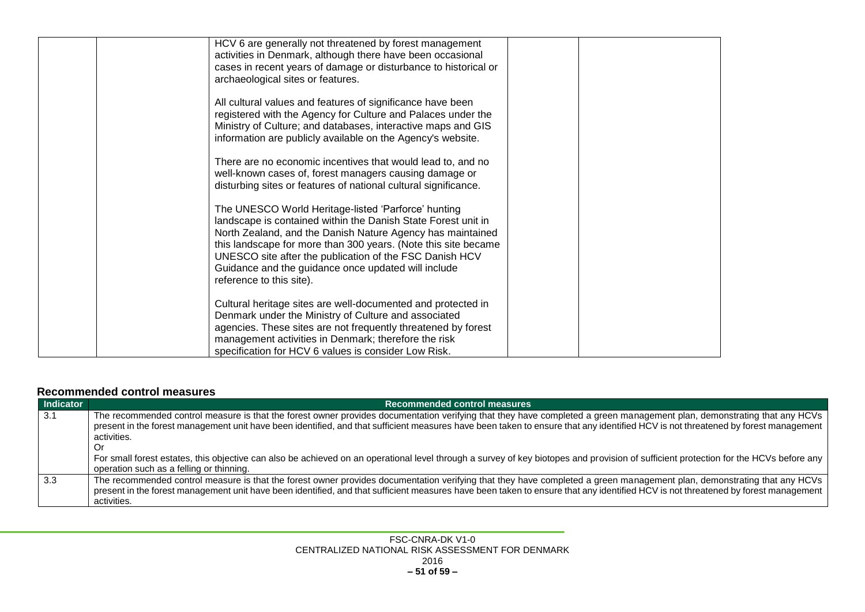| HCV 6 are generally not threatened by forest management<br>activities in Denmark, although there have been occasional<br>cases in recent years of damage or disturbance to historical or<br>archaeological sites or features.                                                                                                                                                                      |  |
|----------------------------------------------------------------------------------------------------------------------------------------------------------------------------------------------------------------------------------------------------------------------------------------------------------------------------------------------------------------------------------------------------|--|
| All cultural values and features of significance have been<br>registered with the Agency for Culture and Palaces under the<br>Ministry of Culture; and databases, interactive maps and GIS<br>information are publicly available on the Agency's website.                                                                                                                                          |  |
| There are no economic incentives that would lead to, and no<br>well-known cases of, forest managers causing damage or<br>disturbing sites or features of national cultural significance.                                                                                                                                                                                                           |  |
| The UNESCO World Heritage-listed 'Parforce' hunting<br>landscape is contained within the Danish State Forest unit in<br>North Zealand, and the Danish Nature Agency has maintained<br>this landscape for more than 300 years. (Note this site became<br>UNESCO site after the publication of the FSC Danish HCV<br>Guidance and the guidance once updated will include<br>reference to this site). |  |
| Cultural heritage sites are well-documented and protected in<br>Denmark under the Ministry of Culture and associated<br>agencies. These sites are not frequently threatened by forest<br>management activities in Denmark; therefore the risk<br>specification for HCV 6 values is consider Low Risk.                                                                                              |  |

#### **Recommended control measures**

<span id="page-50-0"></span>

| Indicator   | Recommended control measures                                                                                                                                                          |  |  |  |
|-------------|---------------------------------------------------------------------------------------------------------------------------------------------------------------------------------------|--|--|--|
| $\vert$ 3.1 | The recommended control measure is that the forest owner provides documentation verifying that they have completed a green management plan, demonstrating that any HCVs               |  |  |  |
|             | present in the forest management unit have been identified, and that sufficient measures have been taken to ensure that any identified HCV is not threatened by forest management     |  |  |  |
|             | activities.                                                                                                                                                                           |  |  |  |
|             | . Or                                                                                                                                                                                  |  |  |  |
|             | For small forest estates, this objective can also be achieved on an operational level through a survey of key biotopes and provision of sufficient protection for the HCVs before any |  |  |  |
|             | operation such as a felling or thinning.                                                                                                                                              |  |  |  |
| 3.3         | The recommended control measure is that the forest owner provides documentation verifying that they have completed a green management plan, demonstrating that any HCVs               |  |  |  |
|             | present in the forest management unit have been identified, and that sufficient measures have been taken to ensure that any identified HCV is not threatened by forest management     |  |  |  |
|             | activities.                                                                                                                                                                           |  |  |  |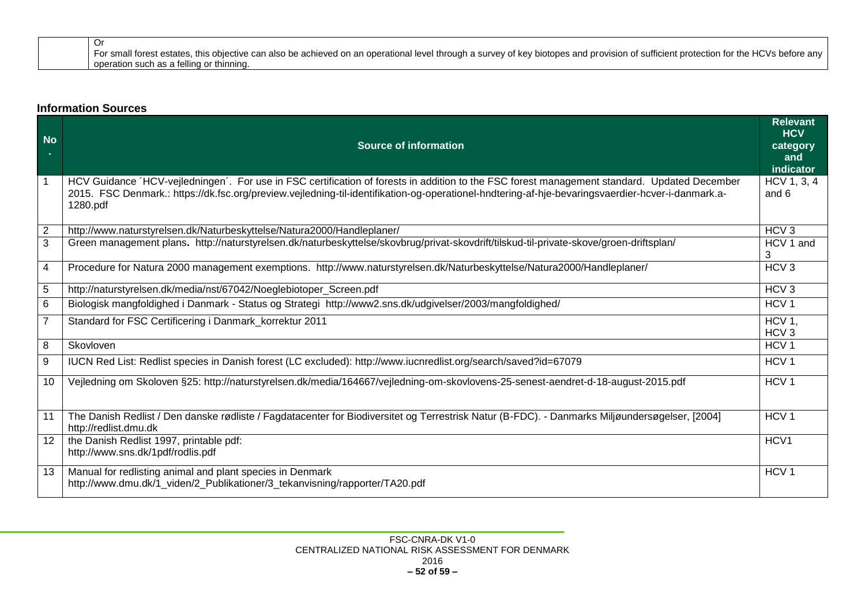| For small forest estates, this objective can also be achieved on an operational level through a survey of key biotopes and provision of sufficient protection for the HCVs before any |
|---------------------------------------------------------------------------------------------------------------------------------------------------------------------------------------|
| l operation such as a felling or thinning.                                                                                                                                            |

#### **Information Sources**

<span id="page-51-0"></span>

| <b>No</b><br>×.   | <b>Source of information</b>                                                                                                                                                                                                                                                                                  | <b>Relevant</b><br><b>HCV</b><br>category<br>and<br>indicator |
|-------------------|---------------------------------------------------------------------------------------------------------------------------------------------------------------------------------------------------------------------------------------------------------------------------------------------------------------|---------------------------------------------------------------|
| $\mathbf 1$       | HCV Guidance 'HCV-vejledningen'. For use in FSC certification of forests in addition to the FSC forest management standard. Updated December<br>2015. FSC Denmark.: https://dk.fsc.org/preview.vejledning-til-identifikation-og-operationel-hndtering-af-hje-bevaringsvaerdier-hcver-i-danmark.a-<br>1280.pdf | HCV 1, 3, 4<br>and 6                                          |
| $\mathbf{2}$      | http://www.naturstyrelsen.dk/Naturbeskyttelse/Natura2000/Handleplaner/                                                                                                                                                                                                                                        | HCV <sub>3</sub>                                              |
| $\overline{3}$    | Green management plans. http://naturstyrelsen.dk/naturbeskyttelse/skovbrug/privat-skovdrift/tilskud-til-private-skove/groen-driftsplan/                                                                                                                                                                       | HCV 1 and<br>3                                                |
| 4                 | Procedure for Natura 2000 management exemptions. http://www.naturstyrelsen.dk/Naturbeskyttelse/Natura2000/Handleplaner/                                                                                                                                                                                       | HCV <sub>3</sub>                                              |
| 5                 | http://naturstyrelsen.dk/media/nst/67042/Noeglebiotoper_Screen.pdf                                                                                                                                                                                                                                            | HCV <sub>3</sub>                                              |
| 6                 | Biologisk mangfoldighed i Danmark - Status og Strategi http://www2.sns.dk/udgivelser/2003/mangfoldighed/                                                                                                                                                                                                      | HCV <sub>1</sub>                                              |
| $\overline{7}$    | Standard for FSC Certificering i Danmark_korrektur 2011                                                                                                                                                                                                                                                       | HCV <sub>1</sub><br>HCV <sub>3</sub>                          |
| 8                 | Skovloven                                                                                                                                                                                                                                                                                                     | HCV <sub>1</sub>                                              |
| 9                 | IUCN Red List: Redlist species in Danish forest (LC excluded): http://www.iucnredlist.org/search/saved?id=67079                                                                                                                                                                                               | HCV <sub>1</sub>                                              |
| 10                | Vejledning om Skoloven §25: http://naturstyrelsen.dk/media/164667/vejledning-om-skovlovens-25-senest-aendret-d-18-august-2015.pdf                                                                                                                                                                             | HCV <sub>1</sub>                                              |
| 11                | The Danish Redlist / Den danske rødliste / Fagdatacenter for Biodiversitet og Terrestrisk Natur (B-FDC). - Danmarks Miljøundersøgelser, [2004]<br>http://redlist.dmu.dk                                                                                                                                       | HCV <sub>1</sub>                                              |
| $12 \overline{ }$ | the Danish Redlist 1997, printable pdf:<br>http://www.sns.dk/1pdf/rodlis.pdf                                                                                                                                                                                                                                  | HCV1                                                          |
| 13                | Manual for redlisting animal and plant species in Denmark<br>http://www.dmu.dk/1 viden/2 Publikationer/3 tekanvisning/rapporter/TA20.pdf                                                                                                                                                                      | HCV <sub>1</sub>                                              |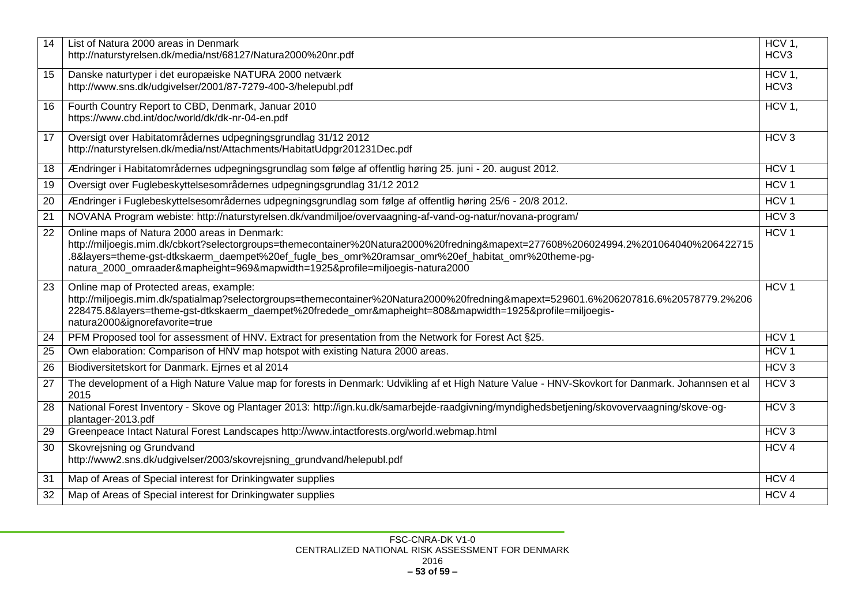| 14 | List of Natura 2000 areas in Denmark                                                                                                                     | HCV <sub>1</sub> , |
|----|----------------------------------------------------------------------------------------------------------------------------------------------------------|--------------------|
|    | http://naturstyrelsen.dk/media/nst/68127/Natura2000%20nr.pdf                                                                                             | HCV3               |
| 15 | Danske naturtyper i det europæiske NATURA 2000 netværk                                                                                                   | $HCV1$ ,           |
|    | http://www.sns.dk/udgivelser/2001/87-7279-400-3/helepubl.pdf                                                                                             | HCV3               |
|    |                                                                                                                                                          |                    |
| 16 | Fourth Country Report to CBD, Denmark, Januar 2010<br>https://www.cbd.int/doc/world/dk/dk-nr-04-en.pdf                                                   | HCV 1,             |
|    |                                                                                                                                                          |                    |
| 17 | Oversigt over Habitatområdernes udpegningsgrundlag 31/12 2012                                                                                            | HCV <sub>3</sub>   |
|    | http://naturstyrelsen.dk/media/nst/Attachments/HabitatUdpgr201231Dec.pdf                                                                                 |                    |
| 18 | Ændringer i Habitatområdernes udpegningsgrundlag som følge af offentlig høring 25. juni - 20. august 2012.                                               | HCV <sub>1</sub>   |
| 19 | Oversigt over Fuglebeskyttelsesområdernes udpegningsgrundlag 31/12 2012                                                                                  | HCV <sub>1</sub>   |
| 20 | Ændringer i Fuglebeskyttelsesområdernes udpegningsgrundlag som følge af offentlig høring 25/6 - 20/8 2012.                                               | HCV <sub>1</sub>   |
| 21 | NOVANA Program webiste: http://naturstyrelsen.dk/vandmiljoe/overvaagning-af-vand-og-natur/novana-program/                                                | HCV3               |
| 22 | Online maps of Natura 2000 areas in Denmark:                                                                                                             | HCV <sub>1</sub>   |
|    | http://miljoegis.mim.dk/cbkort?selectorgroups=themecontainer%20Natura2000%20fredning&mapext=277608%206024994.2%201064040%206422715                       |                    |
|    | .8&layers=theme-gst-dtkskaerm_daempet%20ef_fugle_bes_omr%20ramsar_omr%20ef_habitat_omr%20theme-pg-                                                       |                    |
|    | natura_2000_omraader&mapheight=969&mapwidth=1925&profile=miljoegis-natura2000                                                                            |                    |
| 23 | Online map of Protected areas, example:                                                                                                                  | HCV <sub>1</sub>   |
|    | http://miljoegis.mim.dk/spatialmap?selectorgroups=themecontainer%20Natura2000%20fredning&mapext=529601.6%206207816.6%20578779.2%206                      |                    |
|    | 228475.8&layers=theme-gst-dtkskaerm_daempet%20fredede_omr&mapheight=808&mapwidth=1925&profile=miljoegis-<br>natura2000&ignorefavorite=true               |                    |
|    |                                                                                                                                                          |                    |
| 24 | PFM Proposed tool for assessment of HNV. Extract for presentation from the Network for Forest Act §25.                                                   | HCV <sub>1</sub>   |
| 25 | Own elaboration: Comparison of HNV map hotspot with existing Natura 2000 areas.                                                                          | HCV <sub>1</sub>   |
| 26 | Biodiversitetskort for Danmark. Ejrnes et al 2014                                                                                                        | HCV3               |
| 27 | The development of a High Nature Value map for forests in Denmark: Udvikling af et High Nature Value - HNV-Skovkort for Danmark. Johannsen et al<br>2015 | HCV <sub>3</sub>   |
| 28 | National Forest Inventory - Skove og Plantager 2013: http://ign.ku.dk/samarbejde-raadgivning/myndighedsbetjening/skovovervaagning/skove-og-              | HCV3               |
|    | plantager-2013.pdf                                                                                                                                       |                    |
| 29 | Greenpeace Intact Natural Forest Landscapes http://www.intactforests.org/world.webmap.html                                                               | HCV3               |
| 30 | Skovrejsning og Grundvand                                                                                                                                | HCV <sub>4</sub>   |
|    | http://www2.sns.dk/udgivelser/2003/skovrejsning_grundvand/helepubl.pdf                                                                                   |                    |
| 31 | Map of Areas of Special interest for Drinkingwater supplies                                                                                              | HCV <sub>4</sub>   |
| 32 | Map of Areas of Special interest for Drinkingwater supplies                                                                                              | HCV <sub>4</sub>   |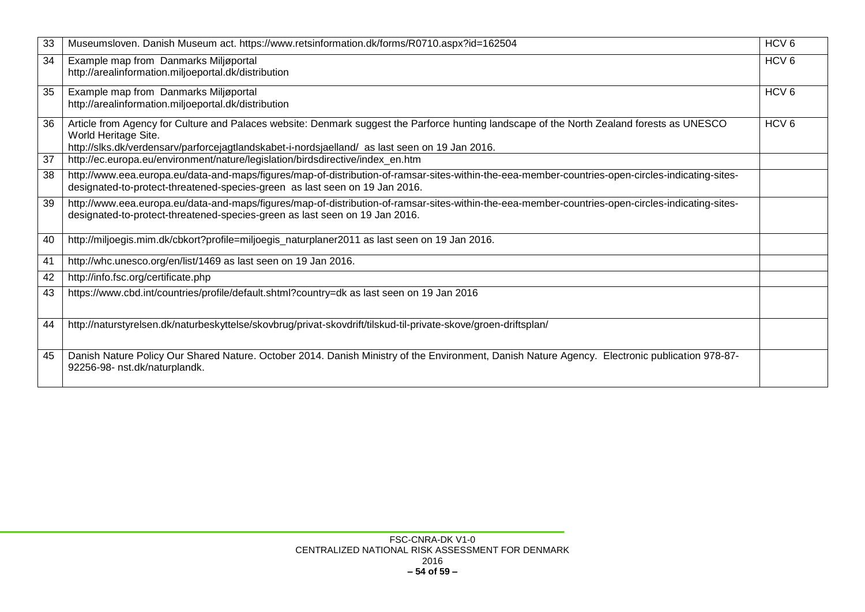| 33 | Museumsloven. Danish Museum act. https://www.retsinformation.dk/forms/R0710.aspx?id=162504                                                                                                                                                                           | HCV <sub>6</sub> |
|----|----------------------------------------------------------------------------------------------------------------------------------------------------------------------------------------------------------------------------------------------------------------------|------------------|
| 34 | Example map from Danmarks Miljøportal<br>http://arealinformation.miljoeportal.dk/distribution                                                                                                                                                                        | HCV <sub>6</sub> |
| 35 | Example map from Danmarks Miljøportal<br>http://arealinformation.miljoeportal.dk/distribution                                                                                                                                                                        | HCV <sub>6</sub> |
| 36 | Article from Agency for Culture and Palaces website: Denmark suggest the Parforce hunting landscape of the North Zealand forests as UNESCO<br>World Heritage Site.<br>http://slks.dk/verdensarv/parforcejagtlandskabet-i-nordsjaelland/ as last seen on 19 Jan 2016. | HCV <sub>6</sub> |
| 37 | http://ec.europa.eu/environment/nature/legislation/birdsdirective/index_en.htm                                                                                                                                                                                       |                  |
| 38 | http://www.eea.europa.eu/data-and-maps/figures/map-of-distribution-of-ramsar-sites-within-the-eea-member-countries-open-circles-indicating-sites-<br>designated-to-protect-threatened-species-green as last seen on 19 Jan 2016.                                     |                  |
| 39 | http://www.eea.europa.eu/data-and-maps/figures/map-of-distribution-of-ramsar-sites-within-the-eea-member-countries-open-circles-indicating-sites-<br>designated-to-protect-threatened-species-green as last seen on 19 Jan 2016.                                     |                  |
| 40 | http://miljoegis.mim.dk/cbkort?profile=miljoegis_naturplaner2011 as last seen on 19 Jan 2016.                                                                                                                                                                        |                  |
| 41 | http://whc.unesco.org/en/list/1469 as last seen on 19 Jan 2016.                                                                                                                                                                                                      |                  |
| 42 | http://info.fsc.org/certificate.php                                                                                                                                                                                                                                  |                  |
| 43 | https://www.cbd.int/countries/profile/default.shtml?country=dk as last seen on 19 Jan 2016                                                                                                                                                                           |                  |
| 44 | http://naturstyrelsen.dk/naturbeskyttelse/skovbrug/privat-skovdrift/tilskud-til-private-skove/groen-driftsplan/                                                                                                                                                      |                  |
| 45 | Danish Nature Policy Our Shared Nature. October 2014. Danish Ministry of the Environment, Danish Nature Agency. Electronic publication 978-87-<br>92256-98- nst.dk/naturplandk.                                                                                      |                  |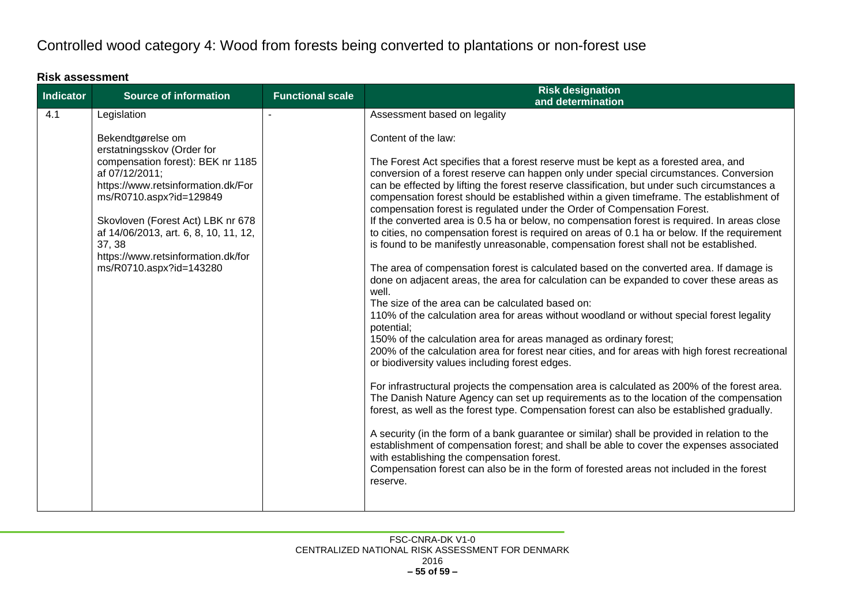# Controlled wood category 4: Wood from forests being converted to plantations or non-forest use

#### **Risk assessment**

<span id="page-54-1"></span><span id="page-54-0"></span>

| Indicator | <b>Source of information</b>                                                                                                                                                                                                                                                                                                     | <b>Functional scale</b> | <b>Risk designation</b><br>and determination                                                                                                                                                                                                                                                                                                                                                                                                                                                                                                                                                                                                                                                                                                                                                                                                                                                                                                                                                                                                                                                                                                                                                                                                                                                                                                                                                                                                                                                                                                                                                                                                                                                                                                                                                                                                                                                                                                                                                                  |
|-----------|----------------------------------------------------------------------------------------------------------------------------------------------------------------------------------------------------------------------------------------------------------------------------------------------------------------------------------|-------------------------|---------------------------------------------------------------------------------------------------------------------------------------------------------------------------------------------------------------------------------------------------------------------------------------------------------------------------------------------------------------------------------------------------------------------------------------------------------------------------------------------------------------------------------------------------------------------------------------------------------------------------------------------------------------------------------------------------------------------------------------------------------------------------------------------------------------------------------------------------------------------------------------------------------------------------------------------------------------------------------------------------------------------------------------------------------------------------------------------------------------------------------------------------------------------------------------------------------------------------------------------------------------------------------------------------------------------------------------------------------------------------------------------------------------------------------------------------------------------------------------------------------------------------------------------------------------------------------------------------------------------------------------------------------------------------------------------------------------------------------------------------------------------------------------------------------------------------------------------------------------------------------------------------------------------------------------------------------------------------------------------------------------|
| 4.1       | Legislation                                                                                                                                                                                                                                                                                                                      |                         | Assessment based on legality                                                                                                                                                                                                                                                                                                                                                                                                                                                                                                                                                                                                                                                                                                                                                                                                                                                                                                                                                                                                                                                                                                                                                                                                                                                                                                                                                                                                                                                                                                                                                                                                                                                                                                                                                                                                                                                                                                                                                                                  |
|           | Bekendtgørelse om<br>erstatningsskov (Order for<br>compensation forest): BEK nr 1185<br>af 07/12/2011;<br>https://www.retsinformation.dk/For<br>ms/R0710.aspx?id=129849<br>Skovloven (Forest Act) LBK nr 678<br>af 14/06/2013, art. 6, 8, 10, 11, 12,<br>37, 38<br>https://www.retsinformation.dk/for<br>ms/R0710.aspx?id=143280 |                         | Content of the law:<br>The Forest Act specifies that a forest reserve must be kept as a forested area, and<br>conversion of a forest reserve can happen only under special circumstances. Conversion<br>can be effected by lifting the forest reserve classification, but under such circumstances a<br>compensation forest should be established within a given timeframe. The establishment of<br>compensation forest is regulated under the Order of Compensation Forest.<br>If the converted area is 0.5 ha or below, no compensation forest is required. In areas close<br>to cities, no compensation forest is required on areas of 0.1 ha or below. If the requirement<br>is found to be manifestly unreasonable, compensation forest shall not be established.<br>The area of compensation forest is calculated based on the converted area. If damage is<br>done on adjacent areas, the area for calculation can be expanded to cover these areas as<br>well.<br>The size of the area can be calculated based on:<br>110% of the calculation area for areas without woodland or without special forest legality<br>potential;<br>150% of the calculation area for areas managed as ordinary forest;<br>200% of the calculation area for forest near cities, and for areas with high forest recreational<br>or biodiversity values including forest edges.<br>For infrastructural projects the compensation area is calculated as 200% of the forest area.<br>The Danish Nature Agency can set up requirements as to the location of the compensation<br>forest, as well as the forest type. Compensation forest can also be established gradually.<br>A security (in the form of a bank guarantee or similar) shall be provided in relation to the<br>establishment of compensation forest; and shall be able to cover the expenses associated<br>with establishing the compensation forest.<br>Compensation forest can also be in the form of forested areas not included in the forest<br>reserve. |
|           |                                                                                                                                                                                                                                                                                                                                  |                         |                                                                                                                                                                                                                                                                                                                                                                                                                                                                                                                                                                                                                                                                                                                                                                                                                                                                                                                                                                                                                                                                                                                                                                                                                                                                                                                                                                                                                                                                                                                                                                                                                                                                                                                                                                                                                                                                                                                                                                                                               |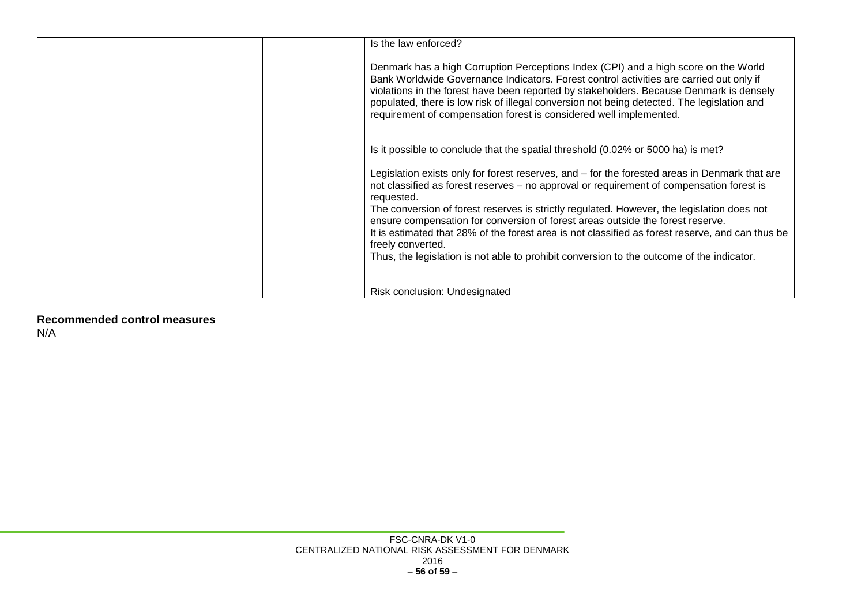| Is the law enforced?                                                                                                                                                                                                                                                                                                                                                                                                                          |
|-----------------------------------------------------------------------------------------------------------------------------------------------------------------------------------------------------------------------------------------------------------------------------------------------------------------------------------------------------------------------------------------------------------------------------------------------|
| Denmark has a high Corruption Perceptions Index (CPI) and a high score on the World<br>Bank Worldwide Governance Indicators. Forest control activities are carried out only if<br>violations in the forest have been reported by stakeholders. Because Denmark is densely<br>populated, there is low risk of illegal conversion not being detected. The legislation and<br>requirement of compensation forest is considered well implemented. |
| Is it possible to conclude that the spatial threshold (0.02% or 5000 ha) is met?                                                                                                                                                                                                                                                                                                                                                              |
| Legislation exists only for forest reserves, and – for the forested areas in Denmark that are<br>not classified as forest reserves – no approval or requirement of compensation forest is<br>requested.<br>The conversion of forest reserves is strictly regulated. However, the legislation does not                                                                                                                                         |
| ensure compensation for conversion of forest areas outside the forest reserve.<br>It is estimated that 28% of the forest area is not classified as forest reserve, and can thus be<br>freely converted.                                                                                                                                                                                                                                       |
| Thus, the legislation is not able to prohibit conversion to the outcome of the indicator.                                                                                                                                                                                                                                                                                                                                                     |
| Risk conclusion: Undesignated                                                                                                                                                                                                                                                                                                                                                                                                                 |

<span id="page-55-0"></span>**Recommended control measures** N/A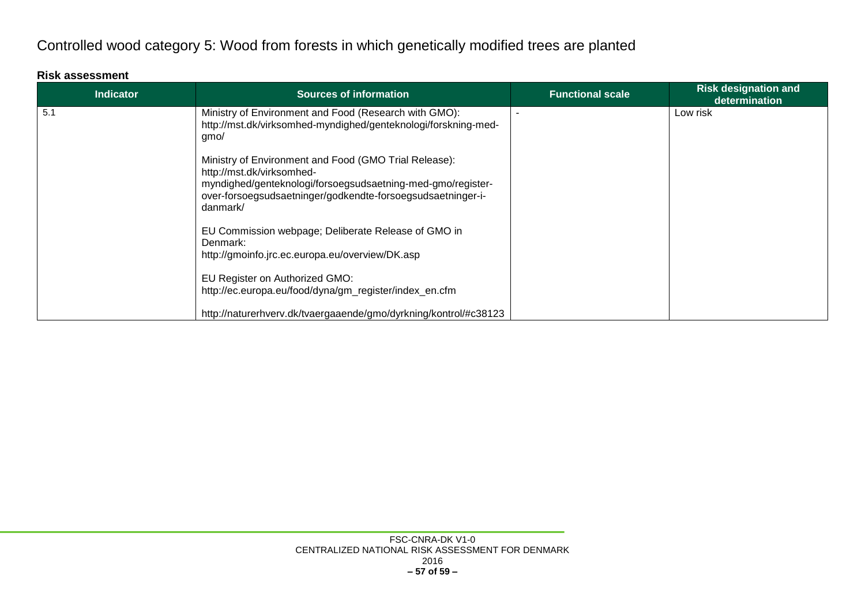# Controlled wood category 5: Wood from forests in which genetically modified trees are planted

#### **Risk assessment**

<span id="page-56-1"></span><span id="page-56-0"></span>

| <b>Indicator</b> | <b>Sources of information</b>                                                                                                                                                                                                | <b>Functional scale</b> | <b>Risk designation and</b><br>determination |
|------------------|------------------------------------------------------------------------------------------------------------------------------------------------------------------------------------------------------------------------------|-------------------------|----------------------------------------------|
| 5.1              | Ministry of Environment and Food (Research with GMO):<br>http://mst.dk/virksomhed-myndighed/genteknologi/forskning-med-<br>gmo/                                                                                              |                         | Low risk                                     |
|                  | Ministry of Environment and Food (GMO Trial Release):<br>http://mst.dk/virksomhed-<br>myndighed/genteknologi/forsoegsudsaetning-med-gmo/register-<br>over-forsoegsudsaetninger/godkendte-forsoegsudsaetninger-i-<br>danmark/ |                         |                                              |
|                  | EU Commission webpage; Deliberate Release of GMO in<br>Denmark:<br>http://gmoinfo.jrc.ec.europa.eu/overview/DK.asp                                                                                                           |                         |                                              |
|                  | EU Register on Authorized GMO:<br>http://ec.europa.eu/food/dyna/gm_register/index_en.cfm                                                                                                                                     |                         |                                              |
|                  | http://naturerhverv.dk/tvaergaaende/gmo/dyrkning/kontrol/#c38123                                                                                                                                                             |                         |                                              |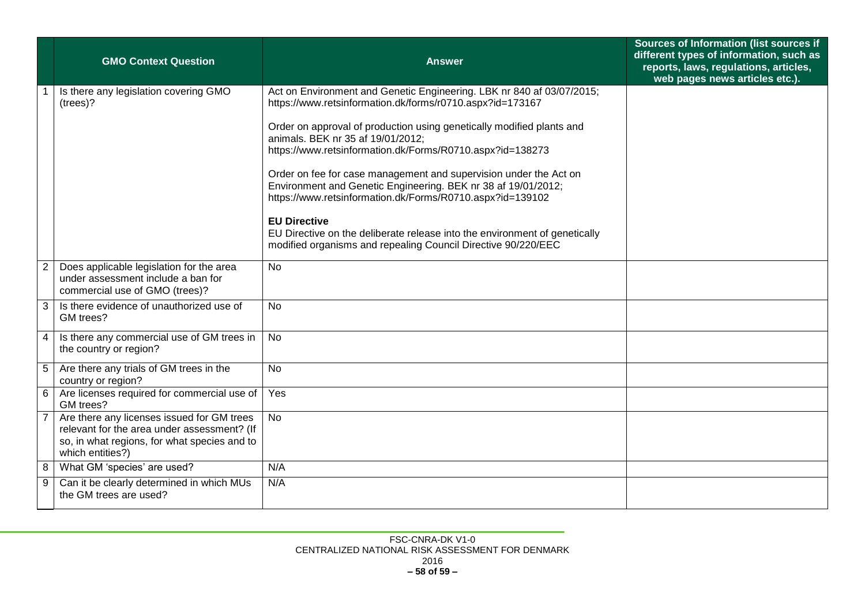|                 | <b>GMO Context Question</b>                                                                                                                                   | <b>Answer</b>                                                                                                                                                                                   | Sources of Information (list sources if<br>different types of information, such as<br>reports, laws, regulations, articles,<br>web pages news articles etc.). |
|-----------------|---------------------------------------------------------------------------------------------------------------------------------------------------------------|-------------------------------------------------------------------------------------------------------------------------------------------------------------------------------------------------|---------------------------------------------------------------------------------------------------------------------------------------------------------------|
|                 | Is there any legislation covering GMO<br>(trees)?                                                                                                             | Act on Environment and Genetic Engineering. LBK nr 840 af 03/07/2015;<br>https://www.retsinformation.dk/forms/r0710.aspx?id=173167                                                              |                                                                                                                                                               |
|                 |                                                                                                                                                               | Order on approval of production using genetically modified plants and<br>animals. BEK nr 35 af 19/01/2012;<br>https://www.retsinformation.dk/Forms/R0710.aspx?id=138273                         |                                                                                                                                                               |
|                 |                                                                                                                                                               | Order on fee for case management and supervision under the Act on<br>Environment and Genetic Engineering. BEK nr 38 af 19/01/2012;<br>https://www.retsinformation.dk/Forms/R0710.aspx?id=139102 |                                                                                                                                                               |
|                 |                                                                                                                                                               | <b>EU Directive</b><br>EU Directive on the deliberate release into the environment of genetically<br>modified organisms and repealing Council Directive 90/220/EEC                              |                                                                                                                                                               |
| $\overline{2}$  | Does applicable legislation for the area<br>under assessment include a ban for<br>commercial use of GMO (trees)?                                              | <b>No</b>                                                                                                                                                                                       |                                                                                                                                                               |
| 3               | Is there evidence of unauthorized use of<br>GM trees?                                                                                                         | <b>No</b>                                                                                                                                                                                       |                                                                                                                                                               |
| $\overline{4}$  | Is there any commercial use of GM trees in<br>the country or region?                                                                                          | <b>No</b>                                                                                                                                                                                       |                                                                                                                                                               |
| $5\phantom{.0}$ | Are there any trials of GM trees in the<br>country or region?                                                                                                 | <b>No</b>                                                                                                                                                                                       |                                                                                                                                                               |
| 6               | Are licenses required for commercial use of<br>GM trees?                                                                                                      | Yes                                                                                                                                                                                             |                                                                                                                                                               |
|                 | Are there any licenses issued for GM trees<br>relevant for the area under assessment? (If<br>so, in what regions, for what species and to<br>which entities?) | <b>No</b>                                                                                                                                                                                       |                                                                                                                                                               |
| 8               | What GM 'species' are used?                                                                                                                                   | N/A                                                                                                                                                                                             |                                                                                                                                                               |
| 9               | Can it be clearly determined in which MUs<br>the GM trees are used?                                                                                           | N/A                                                                                                                                                                                             |                                                                                                                                                               |